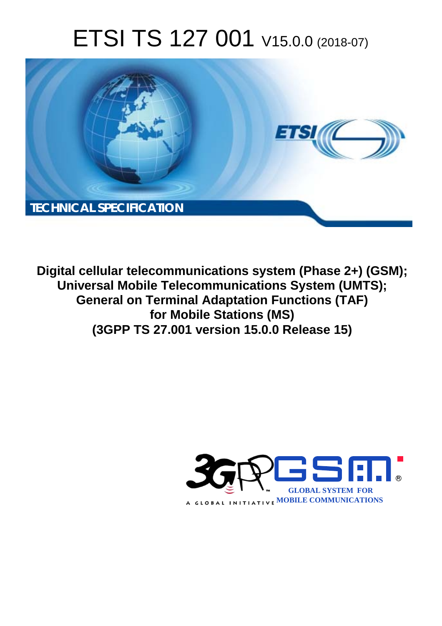# ETSI TS 127 001 V15.0.0 (2018-07)



**Digital cellular telecommunications system (Phase 2+) (GSM); Universal Mobile Telecommunications System (UMTS); General on Terminal Adaptation Functions (TAF) for Mobile Stations (MS) (3GPP TS 27.001 version 15.0.0 Release 15)** 

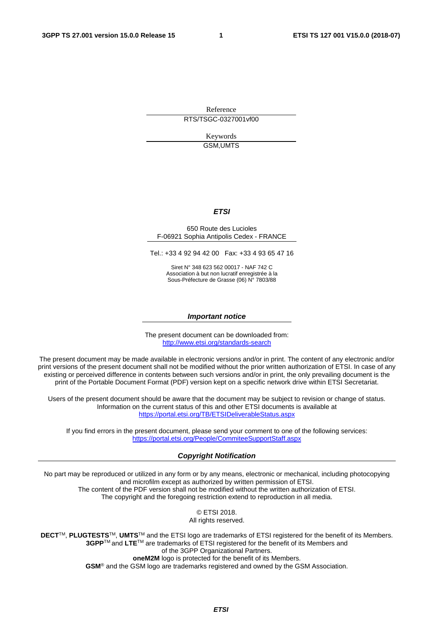Reference RTS/TSGC-0327001vf00

> Keywords GSM,UMTS

### *ETSI*

#### 650 Route des Lucioles F-06921 Sophia Antipolis Cedex - FRANCE

Tel.: +33 4 92 94 42 00 Fax: +33 4 93 65 47 16

Siret N° 348 623 562 00017 - NAF 742 C Association à but non lucratif enregistrée à la Sous-Préfecture de Grasse (06) N° 7803/88

#### *Important notice*

The present document can be downloaded from: <http://www.etsi.org/standards-search>

The present document may be made available in electronic versions and/or in print. The content of any electronic and/or print versions of the present document shall not be modified without the prior written authorization of ETSI. In case of any existing or perceived difference in contents between such versions and/or in print, the only prevailing document is the print of the Portable Document Format (PDF) version kept on a specific network drive within ETSI Secretariat.

Users of the present document should be aware that the document may be subject to revision or change of status. Information on the current status of this and other ETSI documents is available at <https://portal.etsi.org/TB/ETSIDeliverableStatus.aspx>

If you find errors in the present document, please send your comment to one of the following services: <https://portal.etsi.org/People/CommiteeSupportStaff.aspx>

#### *Copyright Notification*

No part may be reproduced or utilized in any form or by any means, electronic or mechanical, including photocopying and microfilm except as authorized by written permission of ETSI. The content of the PDF version shall not be modified without the written authorization of ETSI. The copyright and the foregoing restriction extend to reproduction in all media.

> © ETSI 2018. All rights reserved.

**DECT**TM, **PLUGTESTS**TM, **UMTS**TM and the ETSI logo are trademarks of ETSI registered for the benefit of its Members. **3GPP**TM and **LTE**TM are trademarks of ETSI registered for the benefit of its Members and of the 3GPP Organizational Partners. **oneM2M** logo is protected for the benefit of its Members.

**GSM**® and the GSM logo are trademarks registered and owned by the GSM Association.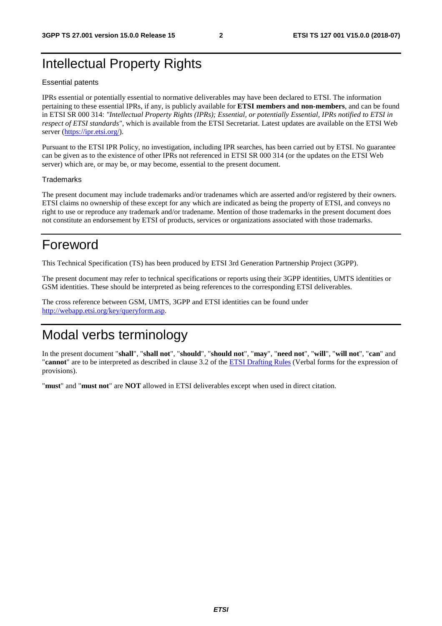## Intellectual Property Rights

#### Essential patents

IPRs essential or potentially essential to normative deliverables may have been declared to ETSI. The information pertaining to these essential IPRs, if any, is publicly available for **ETSI members and non-members**, and can be found in ETSI SR 000 314: *"Intellectual Property Rights (IPRs); Essential, or potentially Essential, IPRs notified to ETSI in respect of ETSI standards"*, which is available from the ETSI Secretariat. Latest updates are available on the ETSI Web server ([https://ipr.etsi.org/\)](https://ipr.etsi.org/).

Pursuant to the ETSI IPR Policy, no investigation, including IPR searches, has been carried out by ETSI. No guarantee can be given as to the existence of other IPRs not referenced in ETSI SR 000 314 (or the updates on the ETSI Web server) which are, or may be, or may become, essential to the present document.

#### **Trademarks**

The present document may include trademarks and/or tradenames which are asserted and/or registered by their owners. ETSI claims no ownership of these except for any which are indicated as being the property of ETSI, and conveys no right to use or reproduce any trademark and/or tradename. Mention of those trademarks in the present document does not constitute an endorsement by ETSI of products, services or organizations associated with those trademarks.

## Foreword

This Technical Specification (TS) has been produced by ETSI 3rd Generation Partnership Project (3GPP).

The present document may refer to technical specifications or reports using their 3GPP identities, UMTS identities or GSM identities. These should be interpreted as being references to the corresponding ETSI deliverables.

The cross reference between GSM, UMTS, 3GPP and ETSI identities can be found under [http://webapp.etsi.org/key/queryform.asp.](http://webapp.etsi.org/key/queryform.asp)

## Modal verbs terminology

In the present document "**shall**", "**shall not**", "**should**", "**should not**", "**may**", "**need not**", "**will**", "**will not**", "**can**" and "**cannot**" are to be interpreted as described in clause 3.2 of the [ETSI Drafting Rules](https://portal.etsi.org/Services/editHelp!/Howtostart/ETSIDraftingRules.aspx) (Verbal forms for the expression of provisions).

"**must**" and "**must not**" are **NOT** allowed in ETSI deliverables except when used in direct citation.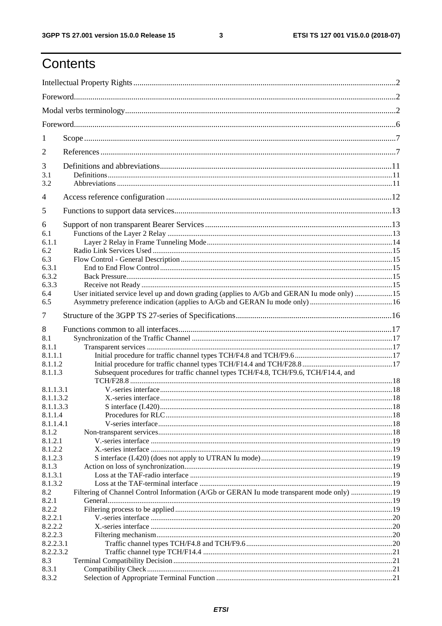## Contents

| 1              |                                                                                              |  |  |
|----------------|----------------------------------------------------------------------------------------------|--|--|
| 2              |                                                                                              |  |  |
| 3              |                                                                                              |  |  |
| 3.1<br>3.2     |                                                                                              |  |  |
| $\overline{4}$ |                                                                                              |  |  |
| 5              |                                                                                              |  |  |
| 6              |                                                                                              |  |  |
| 6.1            |                                                                                              |  |  |
| 6.1.1          |                                                                                              |  |  |
| 6.2            |                                                                                              |  |  |
| 6.3            |                                                                                              |  |  |
| 6.3.1          |                                                                                              |  |  |
| 6.3.2          |                                                                                              |  |  |
| 6.3.3          |                                                                                              |  |  |
| 6.4            | User initiated service level up and down grading (applies to A/Gb and GERAN Iu mode only) 15 |  |  |
| 6.5            |                                                                                              |  |  |
| $\tau$         |                                                                                              |  |  |
|                |                                                                                              |  |  |
| 8              |                                                                                              |  |  |
| 8.1            |                                                                                              |  |  |
| 8.1.1          |                                                                                              |  |  |
| 8.1.1.1        |                                                                                              |  |  |
| 8.1.1.2        |                                                                                              |  |  |
| 8.1.1.3        | Subsequent procedures for traffic channel types TCH/F4.8, TCH/F9.6, TCH/F14.4, and           |  |  |
|                |                                                                                              |  |  |
| 8.1.1.3.1      |                                                                                              |  |  |
| 8.1.1.3.2      |                                                                                              |  |  |
| 8.1.1.3.3      |                                                                                              |  |  |
| 8.1.1.4        |                                                                                              |  |  |
| 8.1.1.4.1      |                                                                                              |  |  |
| 8.1.2          |                                                                                              |  |  |
| 8.1.2.1        |                                                                                              |  |  |
| 8.1.2.2        |                                                                                              |  |  |
| 8.1.2.3        |                                                                                              |  |  |
| 8.1.3          |                                                                                              |  |  |
| 8.1.3.1        |                                                                                              |  |  |
| 8.1.3.2        |                                                                                              |  |  |
| 8.2            | Filtering of Channel Control Information (A/Gb or GERAN Iu mode transparent mode only) 19    |  |  |
| 8.2.1          |                                                                                              |  |  |
| 8.2.2          |                                                                                              |  |  |
| 8.2.2.1        |                                                                                              |  |  |
| 8.2.2.2        |                                                                                              |  |  |
| 8.2.2.3        |                                                                                              |  |  |
| 8.2.2.3.1      |                                                                                              |  |  |
| 8.2.2.3.2      |                                                                                              |  |  |
| 8.3            |                                                                                              |  |  |
| 8.3.1          |                                                                                              |  |  |
| 8.3.2          |                                                                                              |  |  |
|                |                                                                                              |  |  |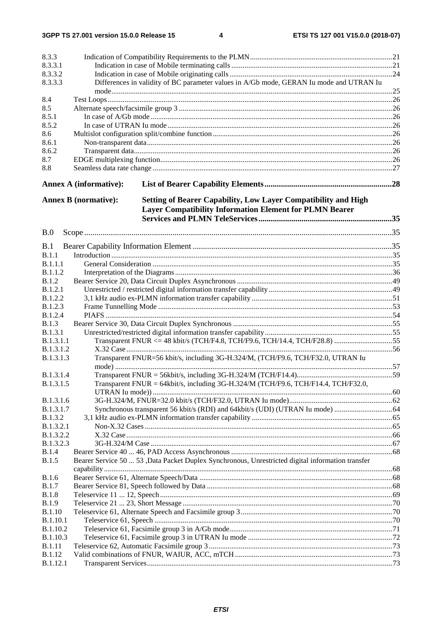3GPP TS 27.001 version 15.0.0 Release 15

 $\overline{\mathbf{4}}$ 

| 8.3.3                         |                               |                                                                                                   |  |
|-------------------------------|-------------------------------|---------------------------------------------------------------------------------------------------|--|
| 8.3.3.1                       |                               |                                                                                                   |  |
| 8.3.3.2                       |                               |                                                                                                   |  |
| 8.3.3.3                       |                               | Differences in validity of BC parameter values in A/Gb mode, GERAN Iu mode and UTRAN Iu           |  |
| 8.4                           |                               |                                                                                                   |  |
| 8.5                           |                               |                                                                                                   |  |
| 8.5.1                         |                               |                                                                                                   |  |
| 8.5.2                         |                               |                                                                                                   |  |
| 8.6                           |                               |                                                                                                   |  |
| 8.6.1                         |                               |                                                                                                   |  |
| 8.6.2                         |                               |                                                                                                   |  |
| 8.7                           |                               |                                                                                                   |  |
| 8.8                           |                               |                                                                                                   |  |
|                               | <b>Annex A (informative):</b> |                                                                                                   |  |
|                               | <b>Annex B</b> (normative):   | Setting of Bearer Capability, Low Layer Compatibility and High                                    |  |
|                               |                               | <b>Layer Compatibility Information Element for PLMN Bearer</b>                                    |  |
|                               |                               |                                                                                                   |  |
|                               |                               |                                                                                                   |  |
| B.0                           |                               |                                                                                                   |  |
|                               |                               |                                                                                                   |  |
| B.1                           |                               |                                                                                                   |  |
| B.1.1                         |                               |                                                                                                   |  |
| <b>B.1.1.1</b>                |                               |                                                                                                   |  |
| <b>B.1.1.2</b>                |                               |                                                                                                   |  |
| <b>B.1.2</b>                  |                               |                                                                                                   |  |
| <b>B.1.2.1</b>                |                               |                                                                                                   |  |
| B.1.2.2                       |                               |                                                                                                   |  |
| <b>B.1.2.3</b>                |                               |                                                                                                   |  |
| B.1.2.4                       |                               |                                                                                                   |  |
| B.1.3                         |                               |                                                                                                   |  |
| B.1.3.1                       |                               |                                                                                                   |  |
| B.1.3.1.1                     |                               | Transparent FNUR <= 48 kbit/s (TCH/F4.8, TCH/F9.6, TCH/14.4, TCH/F28.8) 55                        |  |
| B.1.3.1.2<br><b>B.1.3.1.3</b> |                               | Transparent FNUR=56 kbit/s, including 3G-H.324/M, (TCH/F9.6, TCH/F32.0, UTRAN Iu                  |  |
|                               |                               |                                                                                                   |  |
| <b>B.1.3.1.4</b>              |                               |                                                                                                   |  |
| B.1.3.1.5                     |                               | Transparent FNUR = 64kbit/s, including 3G-H.324/M (TCH/F9.6, TCH/F14.4, TCH/F32.0,                |  |
|                               |                               |                                                                                                   |  |
| B.1.3.1.6                     |                               |                                                                                                   |  |
| <b>B.1.3.1.7</b>              |                               |                                                                                                   |  |
| B.1.3.2                       |                               |                                                                                                   |  |
| <b>B.1.3.2.1</b>              |                               |                                                                                                   |  |
| B.1.3.2.2                     |                               |                                                                                                   |  |
| B.1.3.2.3                     |                               |                                                                                                   |  |
| <b>B.1.4</b>                  |                               |                                                                                                   |  |
| <b>B.1.5</b>                  |                               | Bearer Service 50  53 , Data Packet Duplex Synchronous, Unrestricted digital information transfer |  |
|                               |                               |                                                                                                   |  |
| <b>B.1.6</b>                  |                               |                                                                                                   |  |
| <b>B.1.7</b>                  |                               |                                                                                                   |  |
| <b>B.1.8</b>                  |                               |                                                                                                   |  |
| <b>B.1.9</b>                  |                               |                                                                                                   |  |
| <b>B.1.10</b>                 |                               |                                                                                                   |  |
| <b>B.1.10.1</b>               |                               |                                                                                                   |  |
| B.1.10.2                      |                               |                                                                                                   |  |
| B.1.10.3                      |                               |                                                                                                   |  |
| <b>B.1.11</b>                 |                               |                                                                                                   |  |
| <b>B.1.12</b>                 |                               |                                                                                                   |  |
| <b>B.1.12.1</b>               |                               |                                                                                                   |  |
|                               |                               |                                                                                                   |  |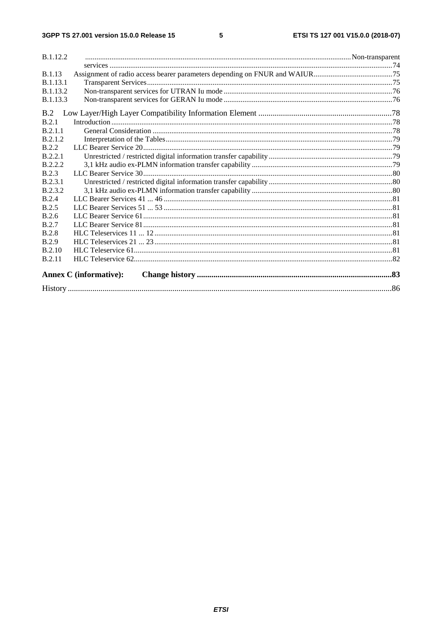| <b>B.1.12.2</b> |                               |  |
|-----------------|-------------------------------|--|
|                 |                               |  |
| <b>B.1.13</b>   |                               |  |
| <b>B.1.13.1</b> |                               |  |
| <b>B.1.13.2</b> |                               |  |
| <b>B.1.13.3</b> |                               |  |
| B.2             |                               |  |
| B.2.1           |                               |  |
| <b>B</b> 2.1.1  |                               |  |
| B.2.1.2         |                               |  |
| <b>B</b> .2.2   |                               |  |
| B.2.2.1         |                               |  |
| B.2.2.2         |                               |  |
| <b>B.2.3</b>    |                               |  |
| B.2.3.1         |                               |  |
| B.2.3.2         |                               |  |
| <b>B.2.4</b>    |                               |  |
| <b>B.2.5</b>    |                               |  |
| B.2.6           |                               |  |
| <b>B.2.7</b>    |                               |  |
| <b>B.2.8</b>    |                               |  |
| <b>B.2.9</b>    |                               |  |
| <b>B.2.10</b>   |                               |  |
| <b>B.2.11</b>   |                               |  |
|                 | <b>Annex C</b> (informative): |  |
|                 |                               |  |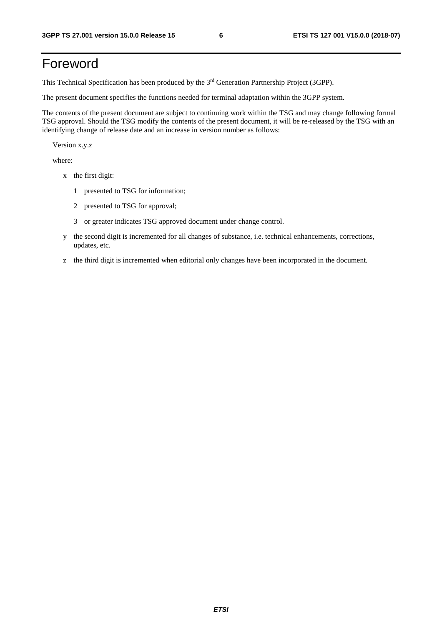## Foreword

This Technical Specification has been produced by the 3rd Generation Partnership Project (3GPP).

The present document specifies the functions needed for terminal adaptation within the 3GPP system.

The contents of the present document are subject to continuing work within the TSG and may change following formal TSG approval. Should the TSG modify the contents of the present document, it will be re-released by the TSG with an identifying change of release date and an increase in version number as follows:

Version x.y.z

where:

- x the first digit:
	- 1 presented to TSG for information;
	- 2 presented to TSG for approval;
	- 3 or greater indicates TSG approved document under change control.
- y the second digit is incremented for all changes of substance, i.e. technical enhancements, corrections, updates, etc.
- z the third digit is incremented when editorial only changes have been incorporated in the document.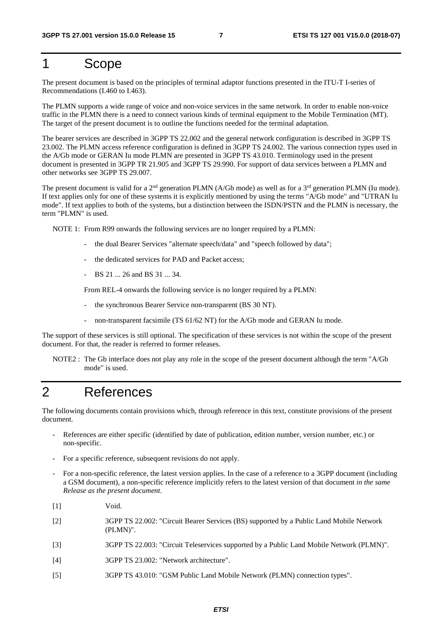### 1 Scope

The present document is based on the principles of terminal adaptor functions presented in the ITU-T I-series of Recommendations (I.460 to I.463).

The PLMN supports a wide range of voice and non-voice services in the same network. In order to enable non-voice traffic in the PLMN there is a need to connect various kinds of terminal equipment to the Mobile Termination (MT). The target of the present document is to outline the functions needed for the terminal adaptation.

The bearer services are described in 3GPP TS 22.002 and the general network configuration is described in 3GPP TS 23.002. The PLMN access reference configuration is defined in 3GPP TS 24.002. The various connection types used in the A/Gb mode or GERAN Iu mode PLMN are presented in 3GPP TS 43.010. Terminology used in the present document is presented in 3GPP TR 21.905 and 3GPP TS 29.990. For support of data services between a PLMN and other networks see 3GPP TS 29.007.

The present document is valid for a 2<sup>nd</sup> generation PLMN (A/Gb mode) as well as for a 3<sup>rd</sup> generation PLMN (Iu mode). If text applies only for one of these systems it is explicitly mentioned by using the terms "A/Gb mode" and "UTRAN Iu mode". If text applies to both of the systems, but a distinction between the ISDN/PSTN and the PLMN is necessary, the term "PLMN" is used.

NOTE 1: From R99 onwards the following services are no longer required by a PLMN:

- the dual Bearer Services "alternate speech/data" and "speech followed by data";
- the dedicated services for PAD and Packet access;
- $-BS$  21  $\ldots$  26 and BS 31  $\ldots$  34.

From REL-4 onwards the following service is no longer required by a PLMN:

- the synchronous Bearer Service non-transparent (BS 30 NT).
- non-transparent facsimile (TS 61/62 NT) for the A/Gb mode and GERAN Iu mode.

The support of these services is still optional. The specification of these services is not within the scope of the present document. For that, the reader is referred to former releases.

NOTE2 : The Gb interface does not play any role in the scope of the present document although the term "A/Gb mode" is used.

### 2 References

The following documents contain provisions which, through reference in this text, constitute provisions of the present document.

- References are either specific (identified by date of publication, edition number, version number, etc.) or non-specific.
- For a specific reference, subsequent revisions do not apply.
- For a non-specific reference, the latest version applies. In the case of a reference to a 3GPP document (including a GSM document), a non-specific reference implicitly refers to the latest version of that document *in the same Release as the present document*.
- [1] Void.
- [2] 3GPP TS 22.002: "Circuit Bearer Services (BS) supported by a Public Land Mobile Network (PLMN)".
- [3] 3GPP TS 22.003: "Circuit Teleservices supported by a Public Land Mobile Network (PLMN)".
- [4] 3GPP TS 23.002: "Network architecture".
- [5] 3GPP TS 43.010: "GSM Public Land Mobile Network (PLMN) connection types".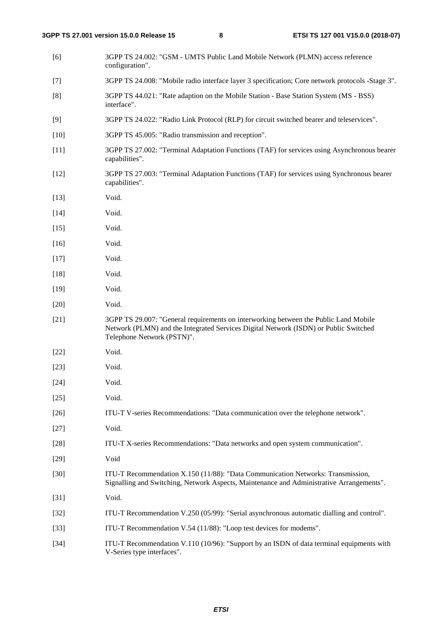[6] 3GPP TS 24.002: "GSM - UMTS Public Land Mobile Network (PLMN) access reference configuration". [7] 3GPP TS 24.008: "Mobile radio interface layer 3 specification; Core network protocols -Stage 3". [8] 3GPP TS 44.021: "Rate adaption on the Mobile Station - Base Station System (MS - BSS) interface". [9] 3GPP TS 24.022: "Radio Link Protocol (RLP) for circuit switched bearer and teleservices". [10] 3GPP TS 45.005: "Radio transmission and reception". [11] 3GPP TS 27.002: "Terminal Adaptation Functions (TAF) for services using Asynchronous bearer capabilities". [12] 3GPP TS 27.003: "Terminal Adaptation Functions (TAF) for services using Synchronous bearer capabilities". [13] Void. [14] **Void.** [15] Void. [16] Void. [17] Void. [18] Void. [19] Void. [20] Void. [21] 3GPP TS 29.007: "General requirements on interworking between the Public Land Mobile Network (PLMN) and the Integrated Services Digital Network (ISDN) or Public Switched Telephone Network (PSTN)". [22] Void. [23] **Void.** [24] **Void.** [25] Void. [26] ITU-T V-series Recommendations: "Data communication over the telephone network". [27] Void. [28] ITU-T X-series Recommendations: "Data networks and open system communication". [29] Void [30] ITU-T Recommendation X.150 (11/88): "Data Communication Networks: Transmission, Signalling and Switching, Network Aspects, Maintenance and Administrative Arrangements". [31] **Void.** [32] ITU-T Recommendation V.250 (05/99): "Serial asynchronous automatic dialling and control". [33] ITU-T Recommendation V.54 (11/88): "Loop test devices for modems". [34] ITU-T Recommendation V.110 (10/96): "Support by an ISDN of data terminal equipments with V-Series type interfaces".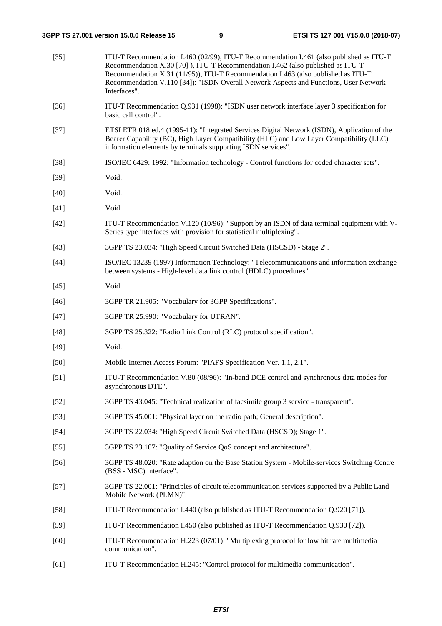| $[35]$ | ITU-T Recommendation I.460 (02/99), ITU-T Recommendation I.461 (also published as ITU-T<br>Recommendation X.30 [70]), ITU-T Recommendation I.462 (also published as ITU-T<br>Recommendation X.31 (11/95)), ITU-T Recommendation I.463 (also published as ITU-T<br>Recommendation V.110 [34]): "ISDN Overall Network Aspects and Functions, User Network<br>Interfaces". |
|--------|-------------------------------------------------------------------------------------------------------------------------------------------------------------------------------------------------------------------------------------------------------------------------------------------------------------------------------------------------------------------------|
| $[36]$ | ITU-T Recommendation Q.931 (1998): "ISDN user network interface layer 3 specification for<br>basic call control".                                                                                                                                                                                                                                                       |
| $[37]$ | ETSI ETR 018 ed.4 (1995-11): "Integrated Services Digital Network (ISDN), Application of the<br>Bearer Capability (BC), High Layer Compatibility (HLC) and Low Layer Compatibility (LLC)<br>information elements by terminals supporting ISDN services".                                                                                                                |
| $[38]$ | ISO/IEC 6429: 1992: "Information technology - Control functions for coded character sets".                                                                                                                                                                                                                                                                              |
| $[39]$ | Void.                                                                                                                                                                                                                                                                                                                                                                   |
| $[40]$ | Void.                                                                                                                                                                                                                                                                                                                                                                   |
| $[41]$ | Void.                                                                                                                                                                                                                                                                                                                                                                   |
| $[42]$ | ITU-T Recommendation V.120 (10/96): "Support by an ISDN of data terminal equipment with V-<br>Series type interfaces with provision for statistical multiplexing".                                                                                                                                                                                                      |
| $[43]$ | 3GPP TS 23.034: "High Speed Circuit Switched Data (HSCSD) - Stage 2".                                                                                                                                                                                                                                                                                                   |
| $[44]$ | ISO/IEC 13239 (1997) Information Technology: "Telecommunications and information exchange<br>between systems - High-level data link control (HDLC) procedures"                                                                                                                                                                                                          |
| $[45]$ | Void.                                                                                                                                                                                                                                                                                                                                                                   |
| $[46]$ | 3GPP TR 21.905: "Vocabulary for 3GPP Specifications".                                                                                                                                                                                                                                                                                                                   |
| $[47]$ | 3GPP TR 25.990: "Vocabulary for UTRAN".                                                                                                                                                                                                                                                                                                                                 |
| $[48]$ | 3GPP TS 25.322: "Radio Link Control (RLC) protocol specification".                                                                                                                                                                                                                                                                                                      |
| $[49]$ | Void.                                                                                                                                                                                                                                                                                                                                                                   |
| $[50]$ | Mobile Internet Access Forum: "PIAFS Specification Ver. 1.1, 2.1".                                                                                                                                                                                                                                                                                                      |
| $[51]$ | ITU-T Recommendation V.80 (08/96): "In-band DCE control and synchronous data modes for<br>asynchronous DTE".                                                                                                                                                                                                                                                            |
| $[52]$ | 3GPP TS 43.045: "Technical realization of facsimile group 3 service - transparent".                                                                                                                                                                                                                                                                                     |
| $[53]$ | 3GPP TS 45.001: "Physical layer on the radio path; General description".                                                                                                                                                                                                                                                                                                |
| $[54]$ | 3GPP TS 22.034: "High Speed Circuit Switched Data (HSCSD); Stage 1".                                                                                                                                                                                                                                                                                                    |
| $[55]$ | 3GPP TS 23.107: "Quality of Service QoS concept and architecture".                                                                                                                                                                                                                                                                                                      |
| $[56]$ | 3GPP TS 48.020: "Rate adaption on the Base Station System - Mobile-services Switching Centre<br>(BSS - MSC) interface".                                                                                                                                                                                                                                                 |
| $[57]$ | 3GPP TS 22.001: "Principles of circuit telecommunication services supported by a Public Land<br>Mobile Network (PLMN)".                                                                                                                                                                                                                                                 |
| $[58]$ | ITU-T Recommendation I.440 (also published as ITU-T Recommendation Q.920 [71]).                                                                                                                                                                                                                                                                                         |
| $[59]$ | ITU-T Recommendation I.450 (also published as ITU-T Recommendation Q.930 [72]).                                                                                                                                                                                                                                                                                         |
| $[60]$ | ITU-T Recommendation H.223 (07/01): "Multiplexing protocol for low bit rate multimedia<br>communication".                                                                                                                                                                                                                                                               |
| [61]   | ITU-T Recommendation H.245: "Control protocol for multimedia communication".                                                                                                                                                                                                                                                                                            |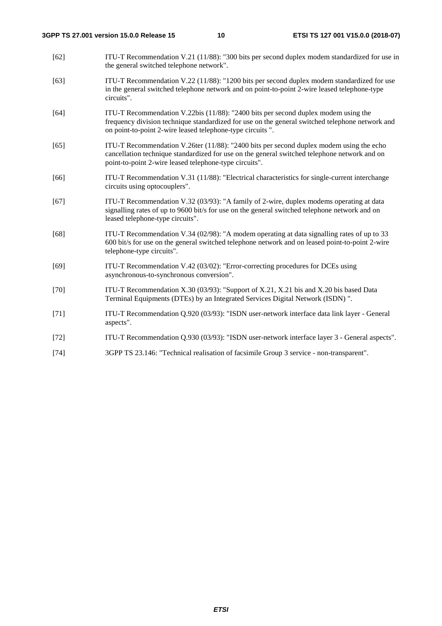- [62] ITU-T Recommendation V.21 (11/88): "300 bits per second duplex modem standardized for use in the general switched telephone network".
- [63] ITU-T Recommendation V.22 (11/88): "1200 bits per second duplex modem standardized for use in the general switched telephone network and on point-to-point 2-wire leased telephone-type circuits".
- [64] ITU-T Recommendation V.22bis (11/88): "2400 bits per second duplex modem using the frequency division technique standardized for use on the general switched telephone network and on point-to-point 2-wire leased telephone-type circuits ".
- [65] ITU-T Recommendation V.26ter (11/88): "2400 bits per second duplex modem using the echo cancellation technique standardized for use on the general switched telephone network and on point-to-point 2-wire leased telephone-type circuits".
- [66] ITU-T Recommendation V.31 (11/88): "Electrical characteristics for single-current interchange circuits using optocouplers".
- [67] ITU-T Recommendation V.32 (03/93): "A family of 2-wire, duplex modems operating at data signalling rates of up to 9600 bit/s for use on the general switched telephone network and on leased telephone-type circuits".
- [68] ITU-T Recommendation V.34 (02/98): "A modem operating at data signalling rates of up to 33 600 bit/s for use on the general switched telephone network and on leased point-to-point 2-wire telephone-type circuits".
- [69] ITU-T Recommendation V.42 (03/02): "Error-correcting procedures for DCEs using asynchronous-to-synchronous conversion".
- [70] ITU-T Recommendation X.30 (03/93): "Support of X.21, X.21 bis and X.20 bis based Data Terminal Equipments (DTEs) by an Integrated Services Digital Network (ISDN) ".
- [71] ITU-T Recommendation Q.920 (03/93): "ISDN user-network interface data link layer General aspects".
- [72] ITU-T Recommendation Q.930 (03/93): "ISDN user-network interface layer 3 General aspects".
- [74] 3GPP TS 23.146: "Technical realisation of facsimile Group 3 service non-transparent".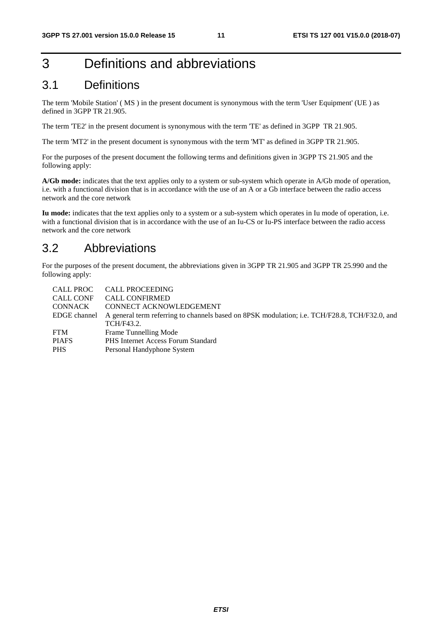## 3 Definitions and abbreviations

### 3.1 Definitions

The term 'Mobile Station' ( MS ) in the present document is synonymous with the term 'User Equipment' (UE ) as defined in 3GPP TR 21.905.

The term 'TE2' in the present document is synonymous with the term 'TE' as defined in 3GPP TR 21.905.

The term 'MT2' in the present document is synonymous with the term 'MT' as defined in 3GPP TR 21.905.

For the purposes of the present document the following terms and definitions given in 3GPP TS 21.905 and the following apply:

**A/Gb mode:** indicates that the text applies only to a system or sub-system which operate in A/Gb mode of operation, i.e. with a functional division that is in accordance with the use of an A or a Gb interface between the radio access network and the core network

**Iu mode:** indicates that the text applies only to a system or a sub-system which operates in Iu mode of operation, i.e. with a functional division that is in accordance with the use of an Iu-CS or Iu-PS interface between the radio access network and the core network

### 3.2 Abbreviations

For the purposes of the present document, the abbreviations given in 3GPP TR 21.905 and 3GPP TR 25.990 and the following apply:

|                | CALL PROC CALL PROCEEDING                                                                     |
|----------------|-----------------------------------------------------------------------------------------------|
| CALL CONF      | <b>CALL CONFIRMED</b>                                                                         |
| <b>CONNACK</b> | CONNECT ACKNOWLEDGEMENT                                                                       |
| EDGE channel   | A general term referring to channels based on 8PSK modulation; i.e. TCH/F28.8, TCH/F32.0, and |
|                | TCH/F43.2.                                                                                    |
| <b>FTM</b>     | Frame Tunnelling Mode                                                                         |
| <b>PIAFS</b>   | <b>PHS</b> Internet Access Forum Standard                                                     |
| <b>PHS</b>     | Personal Handyphone System                                                                    |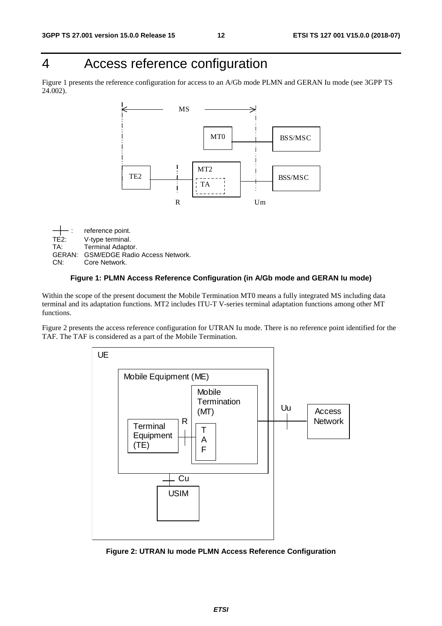## 4 Access reference configuration

Figure 1 presents the reference configuration for access to an A/Gb mode PLMN and GERAN Iu mode (see 3GPP TS 24.002).



reference point. TE2: V-type terminal.<br>TA: Terminal Adapto Terminal Adaptor. GERAN: GSM/EDGE Radio Access Network. CN: Core Network.

### **Figure 1: PLMN Access Reference Configuration (in A/Gb mode and GERAN Iu mode)**

Within the scope of the present document the Mobile Termination MT0 means a fully integrated MS including data terminal and its adaptation functions. MT2 includes ITU-T V-series terminal adaptation functions among other MT functions.

Figure 2 presents the access reference configuration for UTRAN Iu mode. There is no reference point identified for the TAF. The TAF is considered as a part of the Mobile Termination.



**Figure 2: UTRAN Iu mode PLMN Access Reference Configuration**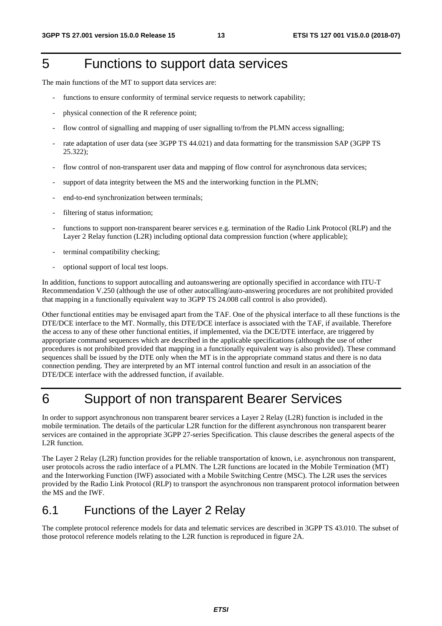## 5 Functions to support data services

The main functions of the MT to support data services are:

- functions to ensure conformity of terminal service requests to network capability;
- physical connection of the R reference point;
- flow control of signalling and mapping of user signalling to/from the PLMN access signalling;
- rate adaptation of user data (see 3GPP TS 44.021) and data formatting for the transmission SAP (3GPP TS 25.322);
- flow control of non-transparent user data and mapping of flow control for asynchronous data services;
- support of data integrity between the MS and the interworking function in the PLMN;
- end-to-end synchronization between terminals;
- filtering of status information;
- functions to support non-transparent bearer services e.g. termination of the Radio Link Protocol (RLP) and the Layer 2 Relay function (L2R) including optional data compression function (where applicable);
- terminal compatibility checking;
- optional support of local test loops.

In addition, functions to support autocalling and autoanswering are optionally specified in accordance with ITU-T Recommendation V.250 (although the use of other autocalling/auto-answering procedures are not prohibited provided that mapping in a functionally equivalent way to 3GPP TS 24.008 call control is also provided).

Other functional entities may be envisaged apart from the TAF. One of the physical interface to all these functions is the DTE/DCE interface to the MT. Normally, this DTE/DCE interface is associated with the TAF, if available. Therefore the access to any of these other functional entities, if implemented, via the DCE/DTE interface, are triggered by appropriate command sequences which are described in the applicable specifications (although the use of other procedures is not prohibited provided that mapping in a functionally equivalent way is also provided). These command sequences shall be issued by the DTE only when the MT is in the appropriate command status and there is no data connection pending. They are interpreted by an MT internal control function and result in an association of the DTE/DCE interface with the addressed function, if available.

## 6 Support of non transparent Bearer Services

In order to support asynchronous non transparent bearer services a Layer 2 Relay (L2R) function is included in the mobile termination. The details of the particular L2R function for the different asynchronous non transparent bearer services are contained in the appropriate 3GPP 27-series Specification. This clause describes the general aspects of the L2R function.

The Layer 2 Relay (L2R) function provides for the reliable transportation of known, i.e. asynchronous non transparent, user protocols across the radio interface of a PLMN. The L2R functions are located in the Mobile Termination (MT) and the Interworking Function (IWF) associated with a Mobile Switching Centre (MSC). The L2R uses the services provided by the Radio Link Protocol (RLP) to transport the asynchronous non transparent protocol information between the MS and the IWF.

### 6.1 Functions of the Layer 2 Relay

The complete protocol reference models for data and telematic services are described in 3GPP TS 43.010. The subset of those protocol reference models relating to the L2R function is reproduced in figure 2A.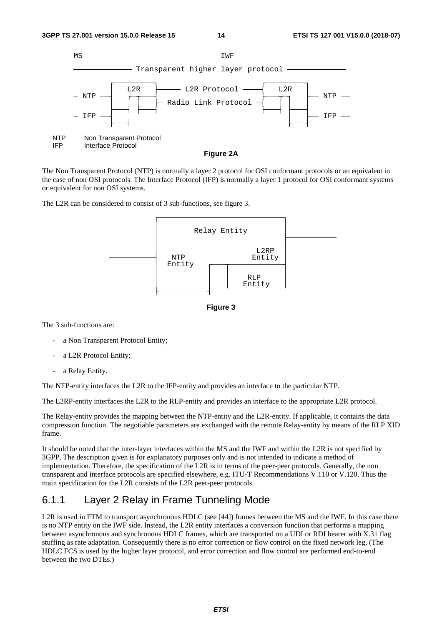

The Non Transparent Protocol (NTP) is normally a layer 2 protocol for OSI conformant protocols or an equivalent in the case of non OSI protocols. The Interface Protocol (IFP) is normally a layer 1 protocol for OSI conformant systems or equivalent for non OSI systems.

The L2R can be considered to consist of 3 sub-functions, see figure 3.





The 3 sub-functions are:

- a Non Transparent Protocol Entity;
- a L2R Protocol Entity;
- a Relay Entity.

The NTP-entity interfaces the L2R to the IFP-entity and provides an interface to the particular NTP.

The L2RP-entity interfaces the L2R to the RLP-entity and provides an interface to the appropriate L2R protocol.

The Relay-entity provides the mapping between the NTP-entity and the L2R-entity. If applicable, it contains the data compression function. The negotiable parameters are exchanged with the remote Relay-entity by means of the RLP XID frame.

It should be noted that the inter-layer interfaces within the MS and the IWF and within the L2R is not specified by 3GPP, The description given is for explanatory purposes only and is not intended to indicate a method of implementation. Therefore, the specification of the L2R is in terms of the peer-peer protocols. Generally, the non transparent and interface protocols are specified elsewhere, e.g. ITU-T Recommendations V.110 or V.120. Thus the main specification for the L2R consists of the L2R peer-peer protocols.

### 6.1.1 Layer 2 Relay in Frame Tunneling Mode

L2R is used in FTM to transport asynchronous HDLC (see [44]) frames between the MS and the IWF. In this case there is no NTP entity on the IWF side. Instead, the L2R entity interfaces a conversion function that performs a mapping between asynchronous and synchronous HDLC frames, which are transported on a UDI or RDI bearer with X.31 flag stuffing as rate adaptation. Consequently there is no error correction or flow control on the fixed network leg. (The HDLC FCS is used by the higher layer protocol, and error correction and flow control are performed end-to-end between the two DTEs.)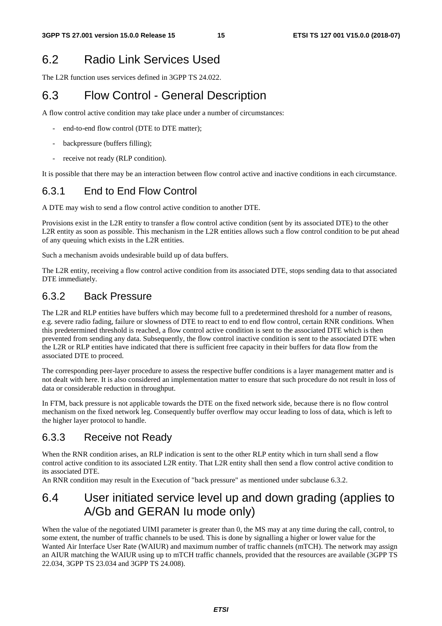## 6.2 Radio Link Services Used

The L2R function uses services defined in 3GPP TS 24.022.

## 6.3 Flow Control - General Description

A flow control active condition may take place under a number of circumstances:

- end-to-end flow control (DTE to DTE matter);
- backpressure (buffers filling);
- receive not ready (RLP condition).

It is possible that there may be an interaction between flow control active and inactive conditions in each circumstance.

### 6.3.1 End to End Flow Control

A DTE may wish to send a flow control active condition to another DTE.

Provisions exist in the L2R entity to transfer a flow control active condition (sent by its associated DTE) to the other L2R entity as soon as possible. This mechanism in the L2R entities allows such a flow control condition to be put ahead of any queuing which exists in the L2R entities.

Such a mechanism avoids undesirable build up of data buffers.

The L2R entity, receiving a flow control active condition from its associated DTE, stops sending data to that associated DTE immediately.

### 6.3.2 Back Pressure

The L2R and RLP entities have buffers which may become full to a predetermined threshold for a number of reasons, e.g. severe radio fading, failure or slowness of DTE to react to end to end flow control, certain RNR conditions. When this predetermined threshold is reached, a flow control active condition is sent to the associated DTE which is then prevented from sending any data. Subsequently, the flow control inactive condition is sent to the associated DTE when the L2R or RLP entities have indicated that there is sufficient free capacity in their buffers for data flow from the associated DTE to proceed.

The corresponding peer-layer procedure to assess the respective buffer conditions is a layer management matter and is not dealt with here. It is also considered an implementation matter to ensure that such procedure do not result in loss of data or considerable reduction in throughput.

In FTM, back pressure is not applicable towards the DTE on the fixed network side, because there is no flow control mechanism on the fixed network leg. Consequently buffer overflow may occur leading to loss of data, which is left to the higher layer protocol to handle.

### 6.3.3 Receive not Ready

When the RNR condition arises, an RLP indication is sent to the other RLP entity which in turn shall send a flow control active condition to its associated L2R entity. That L2R entity shall then send a flow control active condition to its associated DTE.

An RNR condition may result in the Execution of "back pressure" as mentioned under subclause 6.3.2.

### 6.4 User initiated service level up and down grading (applies to A/Gb and GERAN Iu mode only)

When the value of the negotiated UIMI parameter is greater than 0, the MS may at any time during the call, control, to some extent, the number of traffic channels to be used. This is done by signalling a higher or lower value for the Wanted Air Interface User Rate (WAIUR) and maximum number of traffic channels (mTCH). The network may assign an AIUR matching the WAIUR using up to mTCH traffic channels, provided that the resources are available (3GPP TS 22.034, 3GPP TS 23.034 and 3GPP TS 24.008).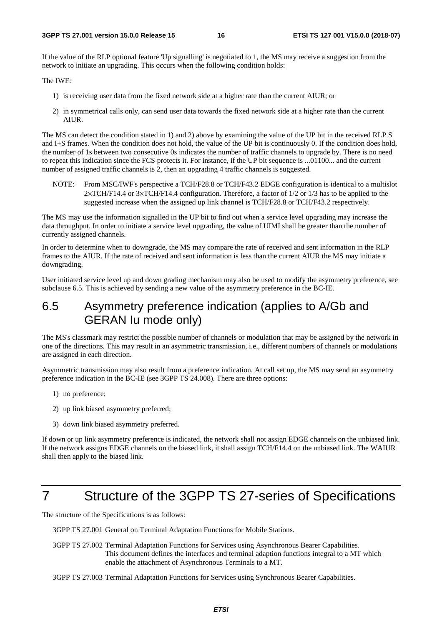If the value of the RLP optional feature 'Up signalling' is negotiated to 1, the MS may receive a suggestion from the network to initiate an upgrading. This occurs when the following condition holds:

The IWF:

- 1) is receiving user data from the fixed network side at a higher rate than the current AIUR; or
- 2) in symmetrical calls only, can send user data towards the fixed network side at a higher rate than the current AIUR.

The MS can detect the condition stated in 1) and 2) above by examining the value of the UP bit in the received RLP S and I+S frames. When the condition does not hold, the value of the UP bit is continuously 0. If the condition does hold, the number of 1s between two consecutive 0s indicates the number of traffic channels to upgrade by. There is no need to repeat this indication since the FCS protects it. For instance, if the UP bit sequence is ...01100... and the current number of assigned traffic channels is 2, then an upgrading 4 traffic channels is suggested.

NOTE: From MSC/IWF's perspective a TCH/F28.8 or TCH/F43.2 EDGE configuration is identical to a multislot 2×TCH/F14.4 or 3×TCH/F14.4 configuration. Therefore, a factor of 1/2 or 1/3 has to be applied to the suggested increase when the assigned up link channel is TCH/F28.8 or TCH/F43.2 respectively.

The MS may use the information signalled in the UP bit to find out when a service level upgrading may increase the data throughput. In order to initiate a service level upgrading, the value of UIMI shall be greater than the number of currently assigned channels.

In order to determine when to downgrade, the MS may compare the rate of received and sent information in the RLP frames to the AIUR. If the rate of received and sent information is less than the current AIUR the MS may initiate a downgrading.

User initiated service level up and down grading mechanism may also be used to modify the asymmetry preference, see subclause 6.5. This is achieved by sending a new value of the asymmetry preference in the BC-IE.

### 6.5 Asymmetry preference indication (applies to A/Gb and GERAN Iu mode only)

The MS's classmark may restrict the possible number of channels or modulation that may be assigned by the network in one of the directions. This may result in an asymmetric transmission, i.e., different numbers of channels or modulations are assigned in each direction.

Asymmetric transmission may also result from a preference indication. At call set up, the MS may send an asymmetry preference indication in the BC-IE (see 3GPP TS 24.008). There are three options:

- 1) no preference;
- 2) up link biased asymmetry preferred;
- 3) down link biased asymmetry preferred.

If down or up link asymmetry preference is indicated, the network shall not assign EDGE channels on the unbiased link. If the network assigns EDGE channels on the biased link, it shall assign TCH/F14.4 on the unbiased link. The WAIUR shall then apply to the biased link.

## 7 Structure of the 3GPP TS 27-series of Specifications

The structure of the Specifications is as follows:

3GPP TS 27.001 General on Terminal Adaptation Functions for Mobile Stations.

3GPP TS 27.002 Terminal Adaptation Functions for Services using Asynchronous Bearer Capabilities. This document defines the interfaces and terminal adaption functions integral to a MT which enable the attachment of Asynchronous Terminals to a MT.

3GPP TS 27.003 Terminal Adaptation Functions for Services using Synchronous Bearer Capabilities.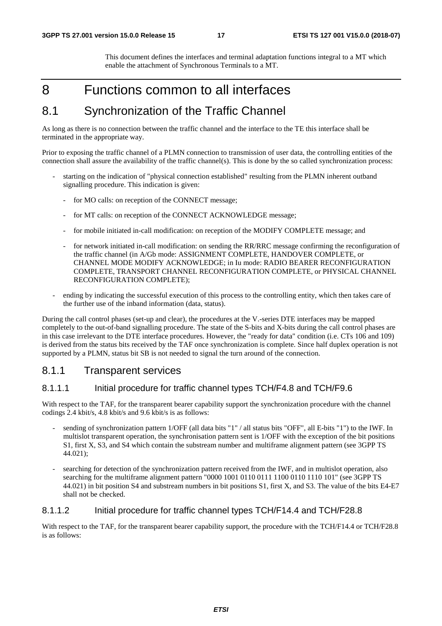This document defines the interfaces and terminal adaptation functions integral to a MT which enable the attachment of Synchronous Terminals to a MT.

### 8 Functions common to all interfaces

### 8.1 Synchronization of the Traffic Channel

As long as there is no connection between the traffic channel and the interface to the TE this interface shall be terminated in the appropriate way.

Prior to exposing the traffic channel of a PLMN connection to transmission of user data, the controlling entities of the connection shall assure the availability of the traffic channel(s). This is done by the so called synchronization process:

- starting on the indication of "physical connection established" resulting from the PLMN inherent outband signalling procedure. This indication is given:
	- for MO calls: on reception of the CONNECT message:
	- for MT calls: on reception of the CONNECT ACKNOWLEDGE message;
	- for mobile initiated in-call modification: on reception of the MODIFY COMPLETE message; and
	- for network initiated in-call modification: on sending the RR/RRC message confirming the reconfiguration of the traffic channel (in A/Gb mode: ASSIGNMENT COMPLETE, HANDOVER COMPLETE, or CHANNEL MODE MODIFY ACKNOWLEDGE; in Iu mode: RADIO BEARER RECONFIGURATION COMPLETE, TRANSPORT CHANNEL RECONFIGURATION COMPLETE, or PHYSICAL CHANNEL RECONFIGURATION COMPLETE);
- ending by indicating the successful execution of this process to the controlling entity, which then takes care of the further use of the inband information (data, status).

During the call control phases (set-up and clear), the procedures at the V.-series DTE interfaces may be mapped completely to the out-of-band signalling procedure. The state of the S-bits and X-bits during the call control phases are in this case irrelevant to the DTE interface procedures. However, the "ready for data" condition (i.e. CTs 106 and 109) is derived from the status bits received by the TAF once synchronization is complete. Since half duplex operation is not supported by a PLMN, status bit SB is not needed to signal the turn around of the connection.

### 8.1.1 Transparent services

### 8.1.1.1 Initial procedure for traffic channel types TCH/F4.8 and TCH/F9.6

With respect to the TAF, for the transparent bearer capability support the synchronization procedure with the channel codings 2.4 kbit/s, 4.8 kbit/s and 9.6 kbit/s is as follows:

- sending of synchronization pattern 1/OFF (all data bits "1" / all status bits "OFF", all E-bits "1") to the IWF. In multislot transparent operation, the synchronisation pattern sent is 1/OFF with the exception of the bit positions S1, first X, S3, and S4 which contain the substream number and multiframe alignment pattern (see 3GPP TS 44.021);
- searching for detection of the synchronization pattern received from the IWF, and in multislot operation, also searching for the multiframe alignment pattern "0000 1001 0110 0111 1100 0110 1110 101" (see 3GPP TS 44.021) in bit position S4 and substream numbers in bit positions S1, first X, and S3. The value of the bits E4-E7 shall not be checked.

### 8.1.1.2 Initial procedure for traffic channel types TCH/F14.4 and TCH/F28.8

With respect to the TAF, for the transparent bearer capability support, the procedure with the TCH/F14.4 or TCH/F28.8 is as follows: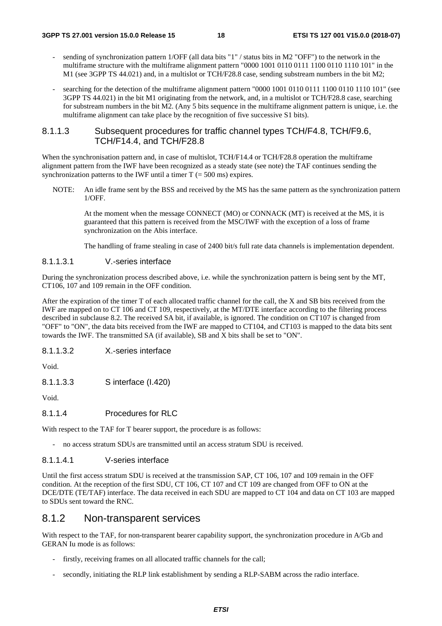- sending of synchronization pattern 1/OFF (all data bits "1" / status bits in M2 "OFF") to the network in the multiframe structure with the multiframe alignment pattern "0000 1001 0110 0111 1100 0110 1110 101" in the M1 (see 3GPP TS 44.021) and, in a multislot or TCH/F28.8 case, sending substream numbers in the bit M2;
- searching for the detection of the multiframe alignment pattern "0000 1001 0110 0111 1100 0110 1110 101" (see 3GPP TS 44.021) in the bit M1 originating from the network, and, in a multislot or TCH/F28.8 case, searching for substream numbers in the bit M2. (Any 5 bits sequence in the multiframe alignment pattern is unique, i.e. the multiframe alignment can take place by the recognition of five successive S1 bits).

### 8.1.1.3 Subsequent procedures for traffic channel types TCH/F4.8, TCH/F9.6, TCH/F14.4, and TCH/F28.8

When the synchronisation pattern and, in case of multislot, TCH/F14.4 or TCH/F28.8 operation the multiframe alignment pattern from the IWF have been recognized as a steady state (see note) the TAF continues sending the synchronization patterns to the IWF until a timer  $T = 500$  ms) expires.

NOTE: An idle frame sent by the BSS and received by the MS has the same pattern as the synchronization pattern 1/OFF.

 At the moment when the message CONNECT (MO) or CONNACK (MT) is received at the MS, it is guaranteed that this pattern is received from the MSC/IWF with the exception of a loss of frame synchronization on the Abis interface.

The handling of frame stealing in case of 2400 bit/s full rate data channels is implementation dependent.

### 8.1.1.3.1 V.-series interface

During the synchronization process described above, i.e. while the synchronization pattern is being sent by the MT, CT106, 107 and 109 remain in the OFF condition.

After the expiration of the timer T of each allocated traffic channel for the call, the X and SB bits received from the IWF are mapped on to CT 106 and CT 109, respectively, at the MT/DTE interface according to the filtering process described in subclause 8.2. The received SA bit, if available, is ignored. The condition on CT107 is changed from "OFF" to "ON", the data bits received from the IWF are mapped to CT104, and CT103 is mapped to the data bits sent towards the IWF. The transmitted SA (if available), SB and X bits shall be set to "ON".

8.1.1.3.2 X.-series interface

Void.

8.1.1.3.3 S interface (I.420)

Void.

### 8.1.1.4 Procedures for RLC

With respect to the TAF for T bearer support, the procedure is as follows:

- no access stratum SDUs are transmitted until an access stratum SDU is received.

### 8.1.1.4.1 V-series interface

Until the first access stratum SDU is received at the transmission SAP, CT 106, 107 and 109 remain in the OFF condition. At the reception of the first SDU, CT 106, CT 107 and CT 109 are changed from OFF to ON at the DCE/DTE (TE/TAF) interface. The data received in each SDU are mapped to CT 104 and data on CT 103 are mapped to SDUs sent toward the RNC.

### 8.1.2 Non-transparent services

With respect to the TAF, for non-transparent bearer capability support, the synchronization procedure in A/Gb and GERAN Iu mode is as follows:

- firstly, receiving frames on all allocated traffic channels for the call;
- secondly, initiating the RLP link establishment by sending a RLP-SABM across the radio interface.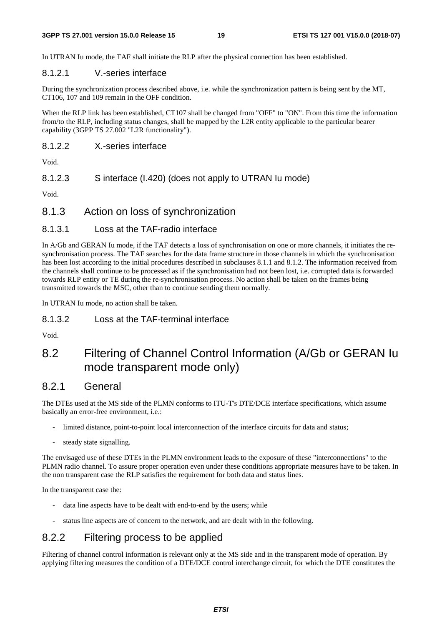In UTRAN Iu mode, the TAF shall initiate the RLP after the physical connection has been established.

### 8.1.2.1 V.-series interface

During the synchronization process described above, i.e. while the synchronization pattern is being sent by the MT, CT106, 107 and 109 remain in the OFF condition.

When the RLP link has been established, CT107 shall be changed from "OFF" to "ON". From this time the information from/to the RLP, including status changes, shall be mapped by the L2R entity applicable to the particular bearer capability (3GPP TS 27.002 "L2R functionality").

### 8.1.2.2 X.-series interface

Void.

8.1.2.3 S interface (I.420) (does not apply to UTRAN Iu mode)

Void.

### 8.1.3 Action on loss of synchronization

### 8.1.3.1 Loss at the TAF-radio interface

In A/Gb and GERAN Iu mode, if the TAF detects a loss of synchronisation on one or more channels, it initiates the resynchronisation process. The TAF searches for the data frame structure in those channels in which the synchronisation has been lost according to the initial procedures described in subclauses 8.1.1 and 8.1.2. The information received from the channels shall continue to be processed as if the synchronisation had not been lost, i.e. corrupted data is forwarded towards RLP entity or TE during the re-synchronisation process. No action shall be taken on the frames being transmitted towards the MSC, other than to continue sending them normally.

In UTRAN Iu mode, no action shall be taken.

### 8.1.3.2 Loss at the TAF-terminal interface

Void.

### 8.2 Filtering of Channel Control Information (A/Gb or GERAN Iu mode transparent mode only)

### 8.2.1 General

The DTEs used at the MS side of the PLMN conforms to ITU-T's DTE/DCE interface specifications, which assume basically an error-free environment, i.e.:

- limited distance, point-to-point local interconnection of the interface circuits for data and status;
- steady state signalling.

The envisaged use of these DTEs in the PLMN environment leads to the exposure of these "interconnections" to the PLMN radio channel. To assure proper operation even under these conditions appropriate measures have to be taken. In the non transparent case the RLP satisfies the requirement for both data and status lines.

In the transparent case the:

- data line aspects have to be dealt with end-to-end by the users; while
- status line aspects are of concern to the network, and are dealt with in the following.

### 8.2.2 Filtering process to be applied

Filtering of channel control information is relevant only at the MS side and in the transparent mode of operation. By applying filtering measures the condition of a DTE/DCE control interchange circuit, for which the DTE constitutes the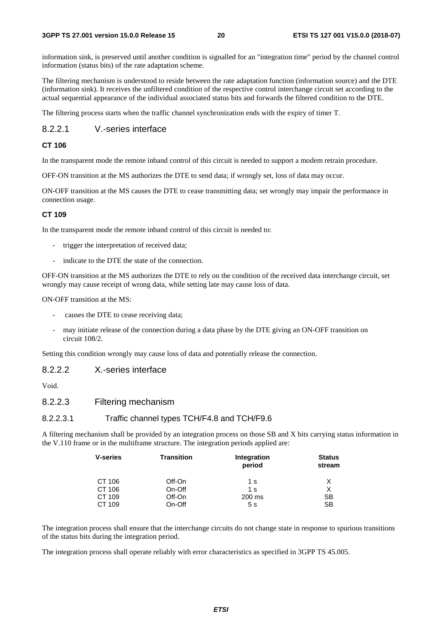information sink, is preserved until another condition is signalled for an "integration time" period by the channel control information (status bits) of the rate adaptation scheme.

The filtering mechanism is understood to reside between the rate adaptation function (information source) and the DTE (information sink). It receives the unfiltered condition of the respective control interchange circuit set according to the actual sequential appearance of the individual associated status bits and forwards the filtered condition to the DTE.

The filtering process starts when the traffic channel synchronization ends with the expiry of timer T.

### 8.2.2.1 V.-series interface

### **CT 106**

In the transparent mode the remote inband control of this circuit is needed to support a modem retrain procedure.

OFF-ON transition at the MS authorizes the DTE to send data; if wrongly set, loss of data may occur.

ON-OFF transition at the MS causes the DTE to cease transmitting data; set wrongly may impair the performance in connection usage.

#### **CT 109**

In the transparent mode the remote inband control of this circuit is needed to:

- trigger the interpretation of received data;
- indicate to the DTE the state of the connection.

OFF-ON transition at the MS authorizes the DTE to rely on the condition of the received data interchange circuit, set wrongly may cause receipt of wrong data, while setting late may cause loss of data.

ON-OFF transition at the MS:

- causes the DTE to cease receiving data;
- may initiate release of the connection during a data phase by the DTE giving an ON-OFF transition on circuit 108/2.

Setting this condition wrongly may cause loss of data and potentially release the connection.

### 8.2.2.2 X.-series interface

Void.

### 8.2.2.3 Filtering mechanism

### 8.2.2.3.1 Traffic channel types TCH/F4.8 and TCH/F9.6

A filtering mechanism shall be provided by an integration process on those SB and X bits carrying status information in the V.110 frame or in the multiframe structure. The integration periods applied are:

| <b>V-series</b> | <b>Transition</b> | Integration<br>period | <b>Status</b><br>stream |
|-----------------|-------------------|-----------------------|-------------------------|
| CT 106          | Off-On            | 1 s                   | X                       |
| CT 106          | On-Off            | 1 s                   | Х                       |
| CT 109          | Off-On            | 200 ms                | SB                      |
| CT 109          | On-Off            | 5s                    | <b>SB</b>               |

The integration process shall ensure that the interchange circuits do not change state in response to spurious transitions of the status bits during the integration period.

The integration process shall operate reliably with error characteristics as specified in 3GPP TS 45.005.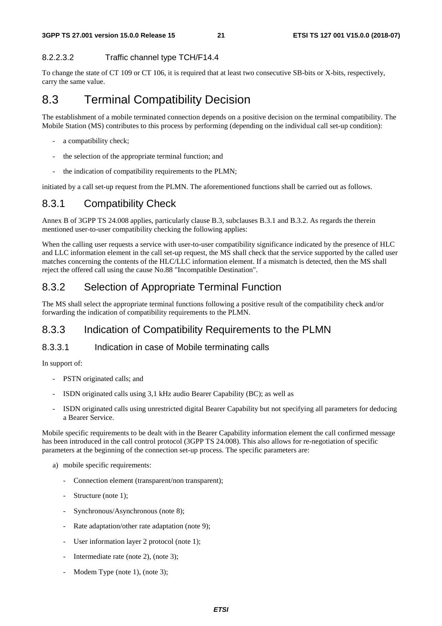### 8.2.2.3.2 Traffic channel type TCH/F14.4

To change the state of CT 109 or CT 106, it is required that at least two consecutive SB-bits or X-bits, respectively, carry the same value.

### 8.3 Terminal Compatibility Decision

The establishment of a mobile terminated connection depends on a positive decision on the terminal compatibility. The Mobile Station (MS) contributes to this process by performing (depending on the individual call set-up condition):

- a compatibility check;
- the selection of the appropriate terminal function; and
- the indication of compatibility requirements to the PLMN;

initiated by a call set-up request from the PLMN. The aforementioned functions shall be carried out as follows.

### 8.3.1 Compatibility Check

Annex B of 3GPP TS 24.008 applies, particularly clause B.3, subclauses B.3.1 and B.3.2. As regards the therein mentioned user-to-user compatibility checking the following applies:

When the calling user requests a service with user-to-user compatibility significance indicated by the presence of HLC and LLC information element in the call set-up request, the MS shall check that the service supported by the called user matches concerning the contents of the HLC/LLC information element. If a mismatch is detected, then the MS shall reject the offered call using the cause No.88 "Incompatible Destination".

### 8.3.2 Selection of Appropriate Terminal Function

The MS shall select the appropriate terminal functions following a positive result of the compatibility check and/or forwarding the indication of compatibility requirements to the PLMN.

### 8.3.3 Indication of Compatibility Requirements to the PLMN

### 8.3.3.1 Indication in case of Mobile terminating calls

In support of:

- PSTN originated calls; and
- ISDN originated calls using 3,1 kHz audio Bearer Capability (BC); as well as
- ISDN originated calls using unrestricted digital Bearer Capability but not specifying all parameters for deducing a Bearer Service.

Mobile specific requirements to be dealt with in the Bearer Capability information element the call confirmed message has been introduced in the call control protocol (3GPP TS 24.008). This also allows for re-negotiation of specific parameters at the beginning of the connection set-up process. The specific parameters are:

- a) mobile specific requirements:
	- Connection element (transparent/non transparent);
	- Structure (note 1);
	- Synchronous/Asynchronous (note 8);
	- Rate adaptation/other rate adaptation (note 9):
	- User information layer 2 protocol (note 1);
	- Intermediate rate (note 2), (note 3);
	- Modem Type (note 1), (note 3);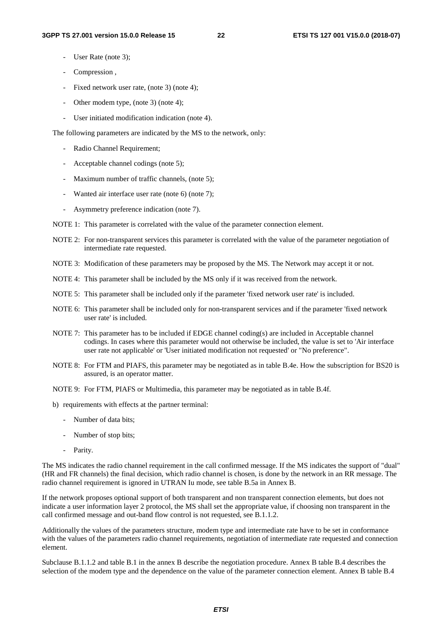- User Rate (note 3);
- Compression ,
- Fixed network user rate, (note 3) (note 4);
- Other modem type, (note 3) (note 4);
- User initiated modification indication (note 4).

The following parameters are indicated by the MS to the network, only:

- Radio Channel Requirement;
- Acceptable channel codings (note 5);
- Maximum number of traffic channels, (note 5);
- Wanted air interface user rate (note 6) (note 7);
- Asymmetry preference indication (note 7).
- NOTE 1: This parameter is correlated with the value of the parameter connection element.
- NOTE 2: For non-transparent services this parameter is correlated with the value of the parameter negotiation of intermediate rate requested.
- NOTE 3: Modification of these parameters may be proposed by the MS. The Network may accept it or not.
- NOTE 4: This parameter shall be included by the MS only if it was received from the network.
- NOTE 5: This parameter shall be included only if the parameter 'fixed network user rate' is included.
- NOTE 6: This parameter shall be included only for non-transparent services and if the parameter 'fixed network user rate' is included.
- NOTE 7: This parameter has to be included if EDGE channel coding(s) are included in Acceptable channel codings. In cases where this parameter would not otherwise be included, the value is set to 'Air interface user rate not applicable' or 'User initiated modification not requested' or "No preference".
- NOTE 8: For FTM and PIAFS, this parameter may be negotiated as in table B.4e. How the subscription for BS20 is assured, is an operator matter.
- NOTE 9: For FTM, PIAFS or Multimedia, this parameter may be negotiated as in table B.4f.
- b) requirements with effects at the partner terminal:
	- Number of data bits;
	- Number of stop bits;
	- Parity.

The MS indicates the radio channel requirement in the call confirmed message. If the MS indicates the support of "dual" (HR and FR channels) the final decision, which radio channel is chosen, is done by the network in an RR message. The radio channel requirement is ignored in UTRAN Iu mode, see table B.5a in Annex B.

If the network proposes optional support of both transparent and non transparent connection elements, but does not indicate a user information layer 2 protocol, the MS shall set the appropriate value, if choosing non transparent in the call confirmed message and out-band flow control is not requested, see B.1.1.2.

Additionally the values of the parameters structure, modem type and intermediate rate have to be set in conformance with the values of the parameters radio channel requirements, negotiation of intermediate rate requested and connection element.

Subclause B.1.1.2 and table B.1 in the annex B describe the negotiation procedure. Annex B table B.4 describes the selection of the modem type and the dependence on the value of the parameter connection element. Annex B table B.4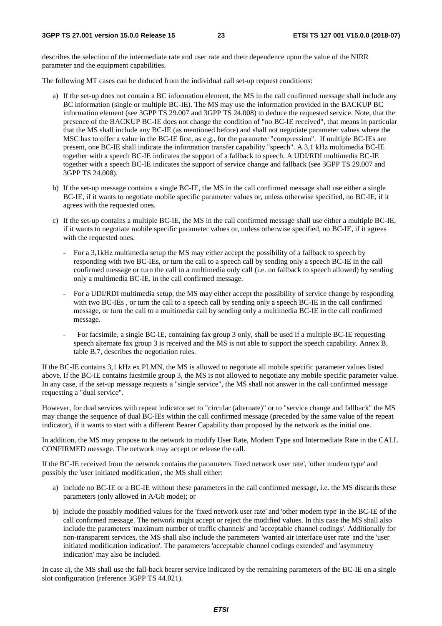describes the selection of the intermediate rate and user rate and their dependence upon the value of the NIRR parameter and the equipment capabilities.

The following MT cases can be deduced from the individual call set-up request conditions:

- a) If the set-up does not contain a BC information element, the MS in the call confirmed message shall include any BC information (single or multiple BC-IE). The MS may use the information provided in the BACKUP BC information element (see 3GPP TS 29.007 and 3GPP TS 24.008) to deduce the requested service. Note, that the presence of the BACKUP BC-IE does not change the condition of "no BC-IE received", that means in particular that the MS shall include any BC-IE (as mentioned before) and shall not negotiate parameter values where the MSC has to offer a value in the BC-IE first, as e.g., for the parameter "compression". If multiple BC-IEs are present, one BC-IE shall indicate the information transfer capability "speech". A 3,1 kHz multimedia BC-IE together with a speech BC-IE indicates the support of a fallback to speech. A UDI/RDI multimedia BC-IE together with a speech BC-IE indicates the support of service change and fallback (see 3GPP TS 29.007 and 3GPP TS 24.008).
- b) If the set-up message contains a single BC-IE, the MS in the call confirmed message shall use either a single BC-IE, if it wants to negotiate mobile specific parameter values or, unless otherwise specified, no BC-IE, if it agrees with the requested ones.
- c) If the set-up contains a multiple BC-IE, the MS in the call confirmed message shall use either a multiple BC-IE, if it wants to negotiate mobile specific parameter values or, unless otherwise specified, no BC-IE, if it agrees with the requested ones.
	- For a 3,1kHz multimedia setup the MS may either accept the possibility of a fallback to speech by responding with two BC-IEs, or turn the call to a speech call by sending only a speech BC-IE in the call confirmed message or turn the call to a multimedia only call (i.e. no fallback to speech allowed) by sending only a multimedia BC-IE, in the call confirmed message.
	- For a UDI/RDI multimedia setup, the MS may either accept the possibility of service change by responding with two BC-IEs , or turn the call to a speech call by sending only a speech BC-IE in the call confirmed message, or turn the call to a multimedia call by sending only a multimedia BC-IE in the call confirmed message.
	- For facsimile, a single BC-IE, containing fax group 3 only, shall be used if a multiple BC-IE requesting speech alternate fax group 3 is received and the MS is not able to support the speech capability. Annex B, table B.7, describes the negotiation rules.

If the BC-IE contains 3,1 kHz ex PLMN, the MS is allowed to negotiate all mobile specific parameter values listed above. If the BC-IE contains facsimile group 3, the MS is not allowed to negotiate any mobile specific parameter value. In any case, if the set-up message requests a "single service", the MS shall not answer in the call confirmed message requesting a "dual service".

However, for dual services with repeat indicator set to "circular (alternate)" or to "service change and fallback" the MS may change the sequence of dual BC-IEs within the call confirmed message (preceded by the same value of the repeat indicator), if it wants to start with a different Bearer Capability than proposed by the network as the initial one.

In addition, the MS may propose to the network to modify User Rate, Modem Type and Intermediate Rate in the CALL CONFIRMED message. The network may accept or release the call.

If the BC-IE received from the network contains the parameters 'fixed network user rate', 'other modem type' and possibly the 'user initiated modification', the MS shall either:

- a) include no BC-IE or a BC-IE without these parameters in the call confirmed message, i.e. the MS discards these parameters (only allowed in A/Gb mode); or
- b) include the possibly modified values for the 'fixed network user rate' and 'other modem type' in the BC-IE of the call confirmed message. The network might accept or reject the modified values. In this case the MS shall also include the parameters 'maximum number of traffic channels' and 'acceptable channel codings'. Additionally for non-transparent services, the MS shall also include the parameters 'wanted air interface user rate' and the 'user initiated modification indication'. The parameters 'acceptable channel codings extended' and 'asymmetry indication' may also be included.

In case a), the MS shall use the fall-back bearer service indicated by the remaining parameters of the BC-IE on a single slot configuration (reference 3GPP TS 44.021).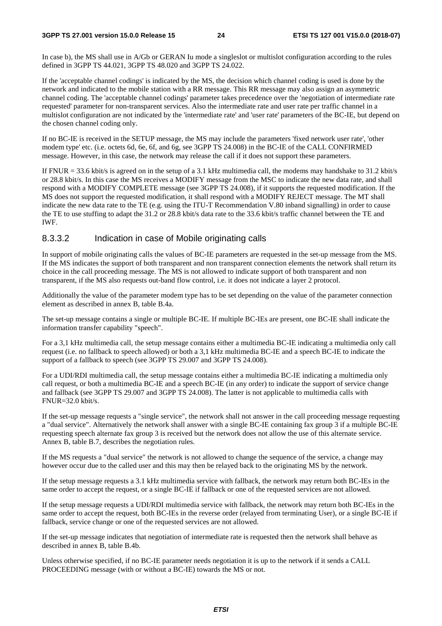In case b), the MS shall use in A/Gb or GERAN Iu mode a singleslot or multislot configuration according to the rules defined in 3GPP TS 44.021, 3GPP TS 48.020 and 3GPP TS 24.022.

If the 'acceptable channel codings' is indicated by the MS, the decision which channel coding is used is done by the network and indicated to the mobile station with a RR message. This RR message may also assign an asymmetric channel coding. The 'acceptable channel codings' parameter takes precedence over the 'negotiation of intermediate rate requested' parameter for non-transparent services. Also the intermediate rate and user rate per traffic channel in a multislot configuration are not indicated by the 'intermediate rate' and 'user rate' parameters of the BC-IE, but depend on the chosen channel coding only.

If no BC-IE is received in the SETUP message, the MS may include the parameters 'fixed network user rate', 'other modem type' etc. (i.e. octets 6d, 6e, 6f, and 6g, see 3GPP TS 24.008) in the BC-IE of the CALL CONFIRMED message. However, in this case, the network may release the call if it does not support these parameters.

If FNUR = 33.6 kbit/s is agreed on in the setup of a 3.1 kHz multimedia call, the modems may handshake to 31.2 kbit/s or 28.8 kbit/s. In this case the MS receives a MODIFY message from the MSC to indicate the new data rate, and shall respond with a MODIFY COMPLETE message (see 3GPP TS 24.008), if it supports the requested modification. If the MS does not support the requested modification, it shall respond with a MODIFY REJECT message. The MT shall indicate the new data rate to the TE (e.g. using the ITU-T Recommendation V.80 inband signalling) in order to cause the TE to use stuffing to adapt the 31.2 or 28.8 kbit/s data rate to the 33.6 kbit/s traffic channel between the TE and IWF.

### 8.3.3.2 Indication in case of Mobile originating calls

In support of mobile originating calls the values of BC-IE parameters are requested in the set-up message from the MS. If the MS indicates the support of both transparent and non transparent connection elements the network shall return its choice in the call proceeding message. The MS is not allowed to indicate support of both transparent and non transparent, if the MS also requests out-band flow control, i.e. it does not indicate a layer 2 protocol.

Additionally the value of the parameter modem type has to be set depending on the value of the parameter connection element as described in annex B, table B.4a.

The set-up message contains a single or multiple BC-IE. If multiple BC-IEs are present, one BC-IE shall indicate the information transfer capability "speech".

For a 3,1 kHz multimedia call, the setup message contains either a multimedia BC-IE indicating a multimedia only call request (i.e. no fallback to speech allowed) or both a 3,1 kHz multimedia BC-IE and a speech BC-IE to indicate the support of a fallback to speech (see 3GPP TS 29.007 and 3GPP TS 24.008).

For a UDI/RDI multimedia call, the setup message contains either a multimedia BC-IE indicating a multimedia only call request, or both a multimedia BC-IE and a speech BC-IE (in any order) to indicate the support of service change and fallback (see 3GPP TS 29.007 and 3GPP TS 24.008). The latter is not applicable to multimedia calls with FNUR=32.0 kbit/s.

If the set-up message requests a "single service", the network shall not answer in the call proceeding message requesting a "dual service". Alternatively the network shall answer with a single BC-IE containing fax group 3 if a multiple BC-IE requesting speech alternate fax group 3 is received but the network does not allow the use of this alternate service. Annex B, table B.7, describes the negotiation rules.

If the MS requests a "dual service" the network is not allowed to change the sequence of the service, a change may however occur due to the called user and this may then be relayed back to the originating MS by the network.

If the setup message requests a 3.1 kHz multimedia service with fallback, the network may return both BC-IEs in the same order to accept the request, or a single BC-IE if fallback or one of the requested services are not allowed.

If the setup message requests a UDI/RDI multimedia service with fallback, the network may return both BC-IEs in the same order to accept the request, both BC-IEs in the reverse order (relayed from terminating User), or a single BC-IE if fallback, service change or one of the requested services are not allowed.

If the set-up message indicates that negotiation of intermediate rate is requested then the network shall behave as described in annex B, table B.4b.

Unless otherwise specified, if no BC-IE parameter needs negotiation it is up to the network if it sends a CALL PROCEEDING message (with or without a BC-IE) towards the MS or not.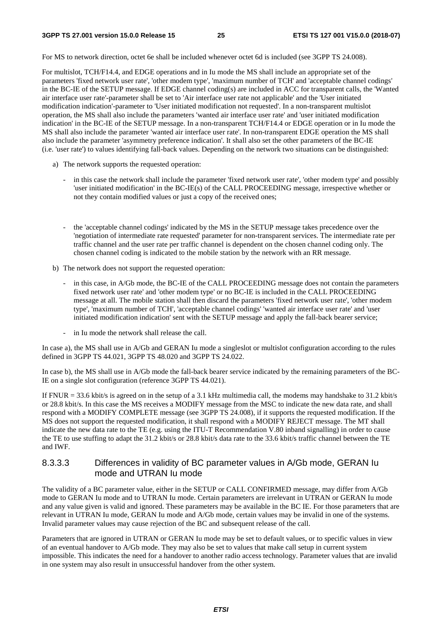For MS to network direction, octet 6e shall be included whenever octet 6d is included (see 3GPP TS 24.008).

For multislot, TCH/F14.4, and EDGE operations and in Iu mode the MS shall include an appropriate set of the parameters 'fixed network user rate', 'other modem type', 'maximum number of TCH' and 'acceptable channel codings' in the BC-IE of the SETUP message. If EDGE channel coding(s) are included in ACC for transparent calls, the 'Wanted air interface user rate'-parameter shall be set to 'Air interface user rate not applicable' and the 'User initiated modification indication'-parameter to 'User initiated modification not requested'. In a non-transparent multislot operation, the MS shall also include the parameters 'wanted air interface user rate' and 'user initiated modification indication' in the BC-IE of the SETUP message. In a non-transparent TCH/F14.4 or EDGE operation or in Iu mode the MS shall also include the parameter 'wanted air interface user rate'. In non-transparent EDGE operation the MS shall also include the parameter 'asymmetry preference indication'. It shall also set the other parameters of the BC-IE (i.e. 'user rate') to values identifying fall-back values. Depending on the network two situations can be distinguished:

- a) The network supports the requested operation:
	- in this case the network shall include the parameter 'fixed network user rate', 'other modem type' and possibly 'user initiated modification' in the BC-IE(s) of the CALL PROCEEDING message, irrespective whether or not they contain modified values or just a copy of the received ones;
	- the 'acceptable channel codings' indicated by the MS in the SETUP message takes precedence over the 'negotiation of intermediate rate requested' parameter for non-transparent services. The intermediate rate per traffic channel and the user rate per traffic channel is dependent on the chosen channel coding only. The chosen channel coding is indicated to the mobile station by the network with an RR message.
- b) The network does not support the requested operation:
	- in this case, in A/Gb mode, the BC-IE of the CALL PROCEEDING message does not contain the parameters fixed network user rate' and 'other modem type' or no BC-IE is included in the CALL PROCEEDING message at all. The mobile station shall then discard the parameters 'fixed network user rate', 'other modem type', 'maximum number of TCH', 'acceptable channel codings' 'wanted air interface user rate' and 'user initiated modification indication' sent with the SETUP message and apply the fall-back bearer service;
	- in Iu mode the network shall release the call.

In case a), the MS shall use in A/Gb and GERAN Iu mode a singleslot or multislot configuration according to the rules defined in 3GPP TS 44.021, 3GPP TS 48.020 and 3GPP TS 24.022.

In case b), the MS shall use in A/Gb mode the fall-back bearer service indicated by the remaining parameters of the BC-IE on a single slot configuration (reference 3GPP TS 44.021).

If FNUR = 33.6 kbit/s is agreed on in the setup of a 3.1 kHz multimedia call, the modems may handshake to 31.2 kbit/s or 28.8 kbit/s. In this case the MS receives a MODIFY message from the MSC to indicate the new data rate, and shall respond with a MODIFY COMPLETE message (see 3GPP TS 24.008), if it supports the requested modification. If the MS does not support the requested modification, it shall respond with a MODIFY REJECT message. The MT shall indicate the new data rate to the TE (e.g. using the ITU-T Recommendation V.80 inband signalling) in order to cause the TE to use stuffing to adapt the 31.2 kbit/s or 28.8 kbit/s data rate to the 33.6 kbit/s traffic channel between the TE and IWF.

### 8.3.3.3 Differences in validity of BC parameter values in A/Gb mode, GERAN Iu mode and UTRAN Iu mode

The validity of a BC parameter value, either in the SETUP or CALL CONFIRMED message, may differ from A/Gb mode to GERAN Iu mode and to UTRAN Iu mode. Certain parameters are irrelevant in UTRAN or GERAN Iu mode and any value given is valid and ignored. These parameters may be available in the BC IE. For those parameters that are relevant in UTRAN Iu mode, GERAN Iu mode and A/Gb mode, certain values may be invalid in one of the systems. Invalid parameter values may cause rejection of the BC and subsequent release of the call.

Parameters that are ignored in UTRAN or GERAN Iu mode may be set to default values, or to specific values in view of an eventual handover to A/Gb mode. They may also be set to values that make call setup in current system impossible. This indicates the need for a handover to another radio access technology. Parameter values that are invalid in one system may also result in unsuccessful handover from the other system.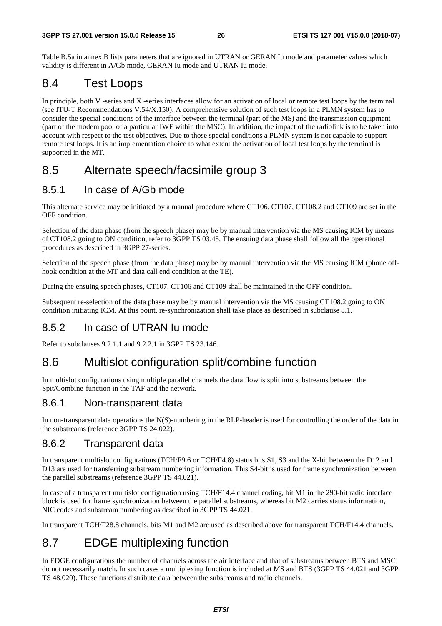Table B.5a in annex B lists parameters that are ignored in UTRAN or GERAN Iu mode and parameter values which validity is different in A/Gb mode, GERAN Iu mode and UTRAN Iu mode.

### 8.4 Test Loops

In principle, both V -series and X -series interfaces allow for an activation of local or remote test loops by the terminal (see ITU-T Recommendations V.54/X.150). A comprehensive solution of such test loops in a PLMN system has to consider the special conditions of the interface between the terminal (part of the MS) and the transmission equipment (part of the modem pool of a particular IWF within the MSC). In addition, the impact of the radiolink is to be taken into account with respect to the test objectives. Due to those special conditions a PLMN system is not capable to support remote test loops. It is an implementation choice to what extent the activation of local test loops by the terminal is supported in the MT.

### 8.5 Alternate speech/facsimile group 3

### 8.5.1 In case of A/Gb mode

This alternate service may be initiated by a manual procedure where CT106, CT107, CT108.2 and CT109 are set in the OFF condition.

Selection of the data phase (from the speech phase) may be by manual intervention via the MS causing ICM by means of CT108.2 going to ON condition, refer to 3GPP TS 03.45. The ensuing data phase shall follow all the operational procedures as described in 3GPP 27-series.

Selection of the speech phase (from the data phase) may be by manual intervention via the MS causing ICM (phone offhook condition at the MT and data call end condition at the TE).

During the ensuing speech phases, CT107, CT106 and CT109 shall be maintained in the OFF condition.

Subsequent re-selection of the data phase may be by manual intervention via the MS causing CT108.2 going to ON condition initiating ICM. At this point, re-synchronization shall take place as described in subclause 8.1.

### 8.5.2 In case of UTRAN Iu mode

Refer to subclauses 9.2.1.1 and 9.2.2.1 in 3GPP TS 23.146.

### 8.6 Multislot configuration split/combine function

In multislot configurations using multiple parallel channels the data flow is split into substreams between the Spit/Combine-function in the TAF and the network.

### 8.6.1 Non-transparent data

In non-transparent data operations the N(S)-numbering in the RLP-header is used for controlling the order of the data in the substreams (reference 3GPP TS 24.022).

### 8.6.2 Transparent data

In transparent multislot configurations (TCH/F9.6 or TCH/F4.8) status bits S1, S3 and the X-bit between the D12 and D13 are used for transferring substream numbering information. This S4-bit is used for frame synchronization between the parallel substreams (reference 3GPP TS 44.021).

In case of a transparent multislot configuration using TCH/F14.4 channel coding, bit M1 in the 290-bit radio interface block is used for frame synchronization between the parallel substreams, whereas bit M2 carries status information, NIC codes and substream numbering as described in 3GPP TS 44.021.

In transparent TCH/F28.8 channels, bits M1 and M2 are used as described above for transparent TCH/F14.4 channels.

## 8.7 EDGE multiplexing function

In EDGE configurations the number of channels across the air interface and that of substreams between BTS and MSC do not necessarily match. In such cases a multiplexing function is included at MS and BTS (3GPP TS 44.021 and 3GPP TS 48.020). These functions distribute data between the substreams and radio channels.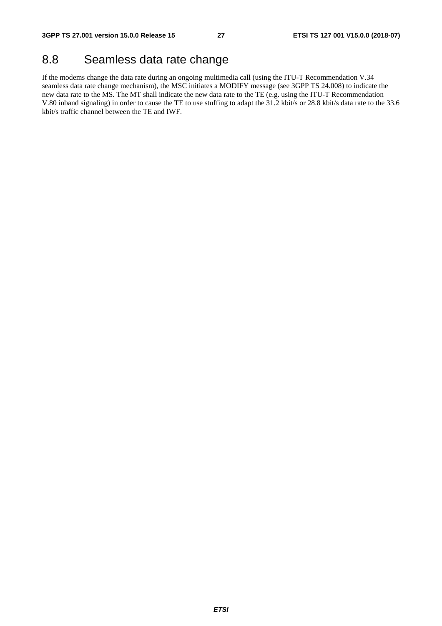### 8.8 Seamless data rate change

If the modems change the data rate during an ongoing multimedia call (using the ITU-T Recommendation V.34 seamless data rate change mechanism), the MSC initiates a MODIFY message (see 3GPP TS 24.008) to indicate the new data rate to the MS. The MT shall indicate the new data rate to the TE (e.g. using the ITU-T Recommendation V.80 inband signaling) in order to cause the TE to use stuffing to adapt the 31.2 kbit/s or 28.8 kbit/s data rate to the 33.6 kbit/s traffic channel between the TE and IWF.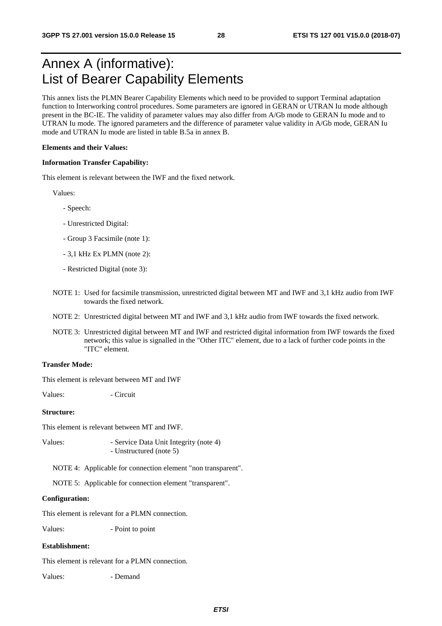## Annex A (informative): List of Bearer Capability Elements

This annex lists the PLMN Bearer Capability Elements which need to be provided to support Terminal adaptation function to Interworking control procedures. Some parameters are ignored in GERAN or UTRAN Iu mode although present in the BC-IE. The validity of parameter values may also differ from A/Gb mode to GERAN Iu mode and to UTRAN Iu mode. The ignored parameters and the difference of parameter value validity in A/Gb mode, GERAN Iu mode and UTRAN Iu mode are listed in table B.5a in annex B.

#### **Elements and their Values:**

#### **Information Transfer Capability:**

This element is relevant between the IWF and the fixed network.

Values:

- Speech:
- Unrestricted Digital:
- Group 3 Facsimile (note 1):
- 3,1 kHz Ex PLMN (note 2):
- Restricted Digital (note 3):
- NOTE 1: Used for facsimile transmission, unrestricted digital between MT and IWF and 3,1 kHz audio from IWF towards the fixed network.
- NOTE 2: Unrestricted digital between MT and IWF and 3,1 kHz audio from IWF towards the fixed network.
- NOTE 3: Unrestricted digital between MT and IWF and restricted digital information from IWF towards the fixed network; this value is signalled in the "Other ITC" element, due to a lack of further code points in the "ITC" element.

#### **Transfer Mode:**

This element is relevant between MT and IWF

Values: - Circuit

### **Structure:**

This element is relevant between MT and IWF.

Values: - Service Data Unit Integrity (note 4) - Unstructured (note 5)

NOTE 4: Applicable for connection element "non transparent".

NOTE 5: Applicable for connection element "transparent".

#### **Configuration:**

This element is relevant for a PLMN connection.

Values:  $\overline{\phantom{a}}$  - Point to point

#### **Establishment:**

This element is relevant for a PLMN connection.

Values: - Demand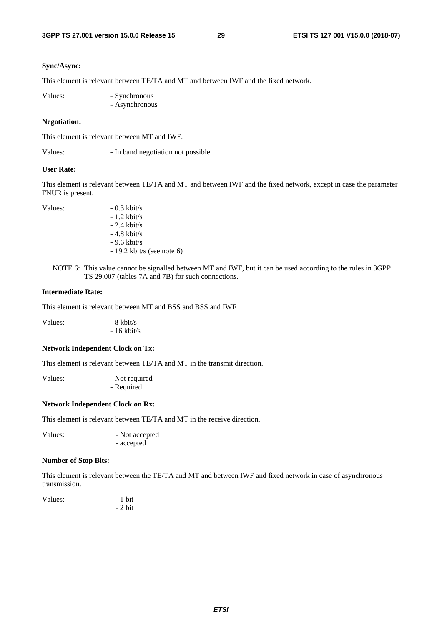### **Sync/Async:**

This element is relevant between TE/TA and MT and between IWF and the fixed network.

| Values: | - Synchronous  |
|---------|----------------|
|         | - Asynchronous |

### **Negotiation:**

This element is relevant between MT and IWF.

Values: - In band negotiation not possible

#### **User Rate:**

This element is relevant between TE/TA and MT and between IWF and the fixed network, except in case the parameter FNUR is present.

Values:  $-0.3 \text{ kbit/s}$ 

 - 1.2 kbit/s - 2.4 kbit/s - 4.8 kbit/s - 9.6 kbit/s - 19.2 kbit/s (see note 6)

NOTE 6: This value cannot be signalled between MT and IWF, but it can be used according to the rules in 3GPP TS 29.007 (tables 7A and 7B) for such connections.

#### **Intermediate Rate:**

This element is relevant between MT and BSS and BSS and IWF

Values:  $-8 \text{ kbit/s}$ - 16 kbit/s

#### **Network Independent Clock on Tx:**

This element is relevant between TE/TA and MT in the transmit direction.

Values:  $\blacksquare$  - Not required - Required

### **Network Independent Clock on Rx:**

This element is relevant between TE/TA and MT in the receive direction.

Values:  $-$  Not accepted - accepted

### **Number of Stop Bits:**

This element is relevant between the TE/TA and MT and between IWF and fixed network in case of asynchronous transmission.

| Values: | $-1$ bit |
|---------|----------|
|         | $-2$ bit |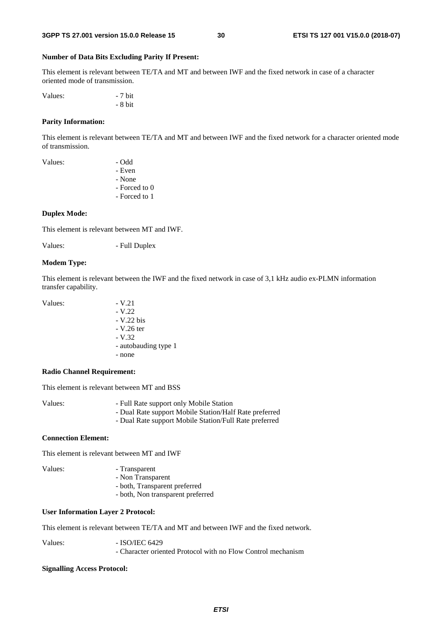### **Number of Data Bits Excluding Parity If Present:**

This element is relevant between TE/TA and MT and between IWF and the fixed network in case of a character oriented mode of transmission.

Values:  $-7$  bit - 8 bit

### **Parity Information:**

This element is relevant between TE/TA and MT and between IWF and the fixed network for a character oriented mode of transmission.

| Values: | - Odd         |
|---------|---------------|
|         | - Even        |
|         | - None        |
|         | - Forced to 0 |
|         | - Forced to 1 |
|         |               |

#### **Duplex Mode:**

This element is relevant between MT and IWF.

Values: - Full Duplex

#### **Modem Type:**

This element is relevant between the IWF and the fixed network in case of 3,1 kHz audio ex-PLMN information transfer capability.

| Values: | $-V.21$              |
|---------|----------------------|
|         | $-V.22$              |
|         | $-V.22$ bis          |
|         | $- V.26$ ter         |
|         | $-V.32$              |
|         | - autobauding type 1 |
|         | - none               |

#### **Radio Channel Requirement:**

This element is relevant between MT and BSS

| Values:<br>- Full Rate support only Mobile Station |  |
|----------------------------------------------------|--|
|----------------------------------------------------|--|

- Dual Rate support Mobile Station/Half Rate preferred
- Dual Rate support Mobile Station/Full Rate preferred

### **Connection Element:**

This element is relevant between MT and IWF

- Values: Transparent
	- Non Transparent
	- both, Transparent preferred
	- both, Non transparent preferred

### **User Information Layer 2 Protocol:**

This element is relevant between TE/TA and MT and between IWF and the fixed network.

Values: - ISO/IEC 6429

- Character oriented Protocol with no Flow Control mechanism

#### **Signalling Access Protocol:**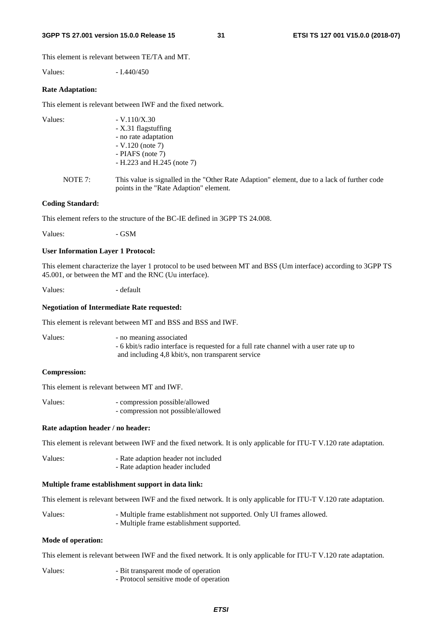#### **3GPP TS 27.001 version 15.0.0 Release 15 31 ETSI TS 127 001 V15.0.0 (2018-07)**

This element is relevant between TE/TA and MT.

Values: - I.440/450

#### **Rate Adaptation:**

This element is relevant between IWF and the fixed network.

| Values: | $-V.110/X.30$<br>- X.31 flagstuffing<br>- no rate adaptation                                                                          |
|---------|---------------------------------------------------------------------------------------------------------------------------------------|
|         | $-V.120$ (note 7)<br>- PIAFS (note $7$ )<br>$-H.223$ and H.245 (note 7)                                                               |
| NOTE 7: | This value is signalled in the "Other Rate Adaption" element, due to a lack of further code<br>points in the "Rate Adaption" element. |

#### **Coding Standard:**

This element refers to the structure of the BC-IE defined in 3GPP TS 24.008.

Values: GSM

### **User Information Layer 1 Protocol:**

This element characterize the layer 1 protocol to be used between MT and BSS (Um interface) according to 3GPP TS 45.001, or between the MT and the RNC (Uu interface).

Values:  $\qquad \qquad -$  default

#### **Negotiation of Intermediate Rate requested:**

This element is relevant between MT and BSS and BSS and IWF.

Values:  $\blacksquare$  - no meaning associated - 6 kbit/s radio interface is requested for a full rate channel with a user rate up to and including 4,8 kbit/s, non transparent service

### **Compression:**

This element is relevant between MT and IWF.

Values: - compression possible/allowed - compression not possible/allowed

#### **Rate adaption header / no header:**

This element is relevant between IWF and the fixed network. It is only applicable for ITU-T V.120 rate adaptation.

Values: - Rate adaption header not included - Rate adaption header included

#### **Multiple frame establishment support in data link:**

This element is relevant between IWF and the fixed network. It is only applicable for ITU-T V.120 rate adaptation.

Values: - Multiple frame establishment not supported. Only UI frames allowed. - Multiple frame establishment supported.

### **Mode of operation:**

This element is relevant between IWF and the fixed network. It is only applicable for ITU-T V.120 rate adaptation.

Values: - Bit transparent mode of operation - Protocol sensitive mode of operation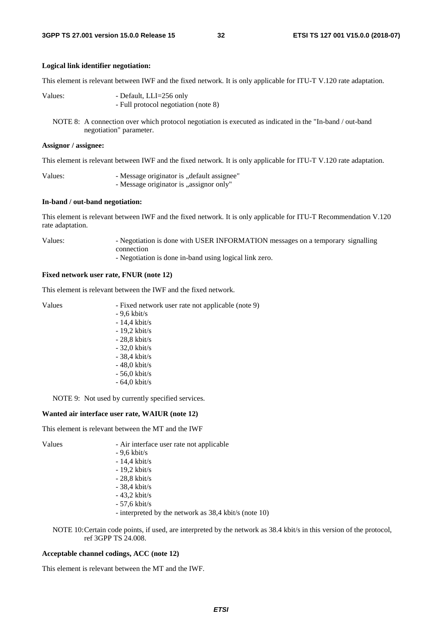#### **Logical link identifier negotiation:**

This element is relevant between IWF and the fixed network. It is only applicable for ITU-T V.120 rate adaptation.

Values: - Default, LLI=256 only - Full protocol negotiation (note 8)

NOTE 8: A connection over which protocol negotiation is executed as indicated in the "In-band / out-band negotiation" parameter.

#### **Assignor / assignee:**

This element is relevant between IWF and the fixed network. It is only applicable for ITU-T V.120 rate adaptation.

Values: - Message originator is "default assignee" - Message originator is "assignor only"

#### **In-band / out-band negotiation:**

This element is relevant between IWF and the fixed network. It is only applicable for ITU-T Recommendation V.120 rate adaptation.

Values: - Negotiation is done with USER INFORMATION messages on a temporary signalling connection

- Negotiation is done in-band using logical link zero.

#### **Fixed network user rate, FNUR (note 12)**

This element is relevant between the IWF and the fixed network.

| Values | - Fixed network user rate not applicable (note 9) |
|--------|---------------------------------------------------|
|        | $-9.6$ kbit/s                                     |
|        | $-14.4$ kbit/s                                    |
|        | $-19.2$ kbit/s                                    |
|        | $-28.8$ kbit/s                                    |
|        | $-32.0$ kbit/s                                    |
|        | $-38.4$ kbit/s                                    |
|        | $-48,0$ kbit/s                                    |
|        | $-56.0$ kbit/s                                    |
|        | $-64.0 \text{ kbit/s}$                            |

NOTE 9: Not used by currently specified services.

### **Wanted air interface user rate, WAIUR (note 12)**

This element is relevant between the MT and the IWF

- Values Air interface user rate not applicable - 9,6 kbit/s - 14,4 kbit/s - 19,2 kbit/s
	- 28,8 kbit/s
	- 38,4 kbit/s
	- 43,2 kbit/s
	- 57,6 kbit/s

- interpreted by the network as 38,4 kbit/s (note 10)

NOTE 10: Certain code points, if used, are interpreted by the network as 38.4 kbit/s in this version of the protocol, ref 3GPP TS 24.008.

#### **Acceptable channel codings, ACC (note 12)**

This element is relevant between the MT and the IWF.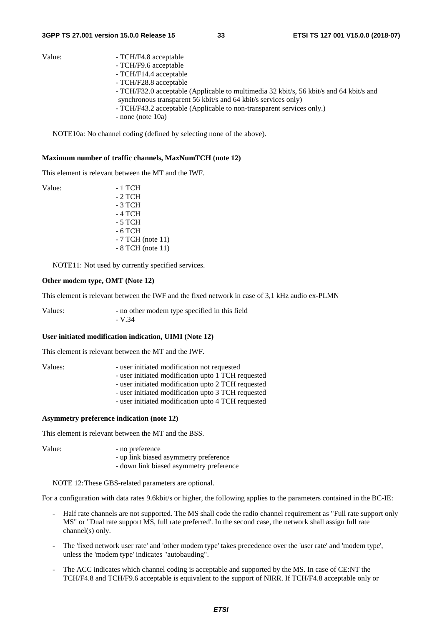- Value: TCH/F4.8 acceptable
	- TCH/F9.6 acceptable
	- TCH/F14.4 acceptable
	- TCH/F28.8 acceptable
	- TCH/F32.0 acceptable (Applicable to multimedia 32 kbit/s, 56 kbit/s and 64 kbit/s and synchronous transparent 56 kbit/s and 64 kbit/s services only)
	- TCH/F43.2 acceptable (Applicable to non-transparent services only.)
	- none (note 10a)

NOTE10a: No channel coding (defined by selecting none of the above).

#### **Maximum number of traffic channels, MaxNumTCH (note 12)**

This element is relevant between the MT and the IWF.

| Value: | - 1 TCH            |
|--------|--------------------|
|        | - 2 TCH            |
|        | - 3 TCH            |
|        | - 4 TCH            |
|        | - 5 TCH            |
|        | - 6 TCH            |
|        | $-7$ TCH (note 11) |
|        | $-8$ TCH (note 11) |

NOTE11: Not used by currently specified services.

#### **Other modem type, OMT (Note 12)**

This element is relevant between the IWF and the fixed network in case of 3,1 kHz audio ex-PLMN

Values: - no other modem type specified in this field - V.34

#### **User initiated modification indication, UIMI (Note 12)**

This element is relevant between the MT and the IWF.

| Values: | - user initiated modification not requested        |
|---------|----------------------------------------------------|
|         | - user initiated modification upto 1 TCH requested |
|         | - user initiated modification upto 2 TCH requested |
|         | - user initiated modification upto 3 TCH requested |
|         | - user initiated modification upto 4 TCH requested |

### **Asymmetry preference indication (note 12)**

This element is relevant between the MT and the BSS.

Value: - no preference - up link biased asymmetry preference

- down link biased asymmetry preference

NOTE 12: These GBS-related parameters are optional.

For a configuration with data rates 9.6kbit/s or higher, the following applies to the parameters contained in the BC-IE:

- Half rate channels are not supported. The MS shall code the radio channel requirement as "Full rate support only MS" or "Dual rate support MS, full rate preferred'. In the second case, the network shall assign full rate channel(s) only.
- The 'fixed network user rate' and 'other modem type' takes precedence over the 'user rate' and 'modem type', unless the 'modem type' indicates "autobauding".
- The ACC indicates which channel coding is acceptable and supported by the MS. In case of CE:NT the TCH/F4.8 and TCH/F9.6 acceptable is equivalent to the support of NIRR. If TCH/F4.8 acceptable only or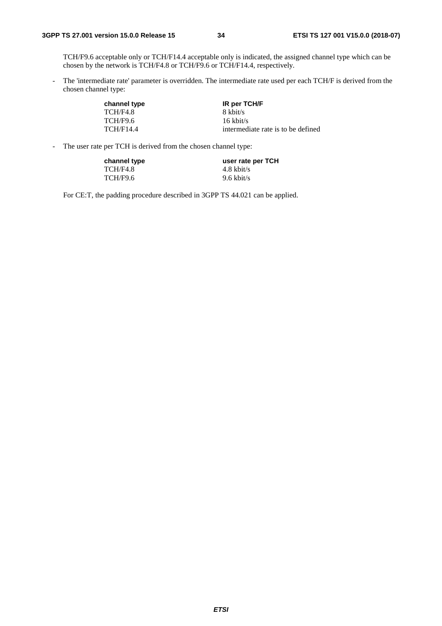TCH/F9.6 acceptable only or TCH/F14.4 acceptable only is indicated, the assigned channel type which can be chosen by the network is TCH/F4.8 or TCH/F9.6 or TCH/F14.4, respectively.

- The 'intermediate rate' parameter is overridden. The intermediate rate used per each TCH/F is derived from the chosen channel type:

| channel type     | <b>IR per TCH/F</b>                |
|------------------|------------------------------------|
| TCH/F4.8         | 8 kbit/s                           |
| <b>TCH/F9.6</b>  | $16 \text{ kbit/s}$                |
| <b>TCH/F14.4</b> | intermediate rate is to be defined |

- The user rate per TCH is derived from the chosen channel type:

| channel type | user rate per TCH    |
|--------------|----------------------|
| TCH/F4.8     | $4.8 \text{ kbit/s}$ |
| TCH/F9.6     | $9.6 \text{ kbit/s}$ |

For CE:T, the padding procedure described in 3GPP TS 44.021 can be applied.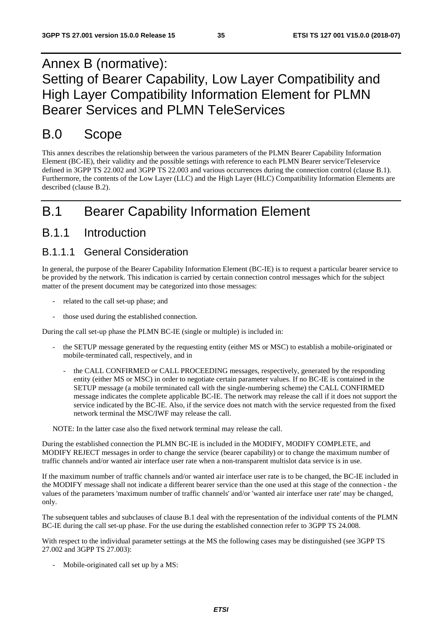## Annex B (normative): Setting of Bearer Capability, Low Layer Compatibility and High Layer Compatibility Information Element for PLMN Bearer Services and PLMN TeleServices

## B.0 Scope

This annex describes the relationship between the various parameters of the PLMN Bearer Capability Information Element (BC-IE), their validity and the possible settings with reference to each PLMN Bearer service/Teleservice defined in 3GPP TS 22.002 and 3GPP TS 22.003 and various occurrences during the connection control (clause B.1). Furthermore, the contents of the Low Layer (LLC) and the High Layer (HLC) Compatibility Information Elements are described (clause B.2).

## B.1 Bearer Capability Information Element

### B.1.1 Introduction

### B.1.1.1 General Consideration

In general, the purpose of the Bearer Capability Information Element (BC-IE) is to request a particular bearer service to be provided by the network. This indication is carried by certain connection control messages which for the subject matter of the present document may be categorized into those messages:

- related to the call set-up phase; and
- those used during the established connection.

During the call set-up phase the PLMN BC-IE (single or multiple) is included in:

- the SETUP message generated by the requesting entity (either MS or MSC) to establish a mobile-originated or mobile-terminated call, respectively, and in
	- the CALL CONFIRMED or CALL PROCEEDING messages, respectively, generated by the responding entity (either MS or MSC) in order to negotiate certain parameter values. If no BC-IE is contained in the SETUP message (a mobile terminated call with the single-numbering scheme) the CALL CONFIRMED message indicates the complete applicable BC-IE. The network may release the call if it does not support the service indicated by the BC-IE. Also, if the service does not match with the service requested from the fixed network terminal the MSC/IWF may release the call.

NOTE: In the latter case also the fixed network terminal may release the call.

During the established connection the PLMN BC-IE is included in the MODIFY, MODIFY COMPLETE, and MODIFY REJECT messages in order to change the service (bearer capability) or to change the maximum number of traffic channels and/or wanted air interface user rate when a non-transparent multislot data service is in use.

If the maximum number of traffic channels and/or wanted air interface user rate is to be changed, the BC-IE included in the MODIFY message shall not indicate a different bearer service than the one used at this stage of the connection - the values of the parameters 'maximum number of traffic channels' and/or 'wanted air interface user rate' may be changed, only.

The subsequent tables and subclauses of clause B.1 deal with the representation of the individual contents of the PLMN BC-IE during the call set-up phase. For the use during the established connection refer to 3GPP TS 24.008.

With respect to the individual parameter settings at the MS the following cases may be distinguished (see 3GPP TS 27.002 and 3GPP TS 27.003):

Mobile-originated call set up by a MS: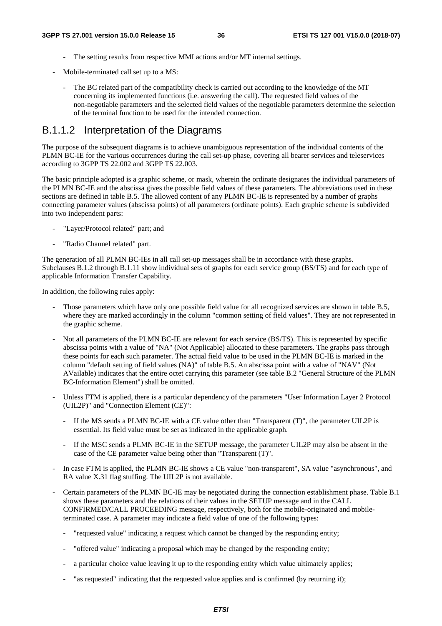- The setting results from respective MMI actions and/or MT internal settings.
- Mobile-terminated call set up to a MS:
	- The BC related part of the compatibility check is carried out according to the knowledge of the MT concerning its implemented functions (i.e. answering the call). The requested field values of the non-negotiable parameters and the selected field values of the negotiable parameters determine the selection of the terminal function to be used for the intended connection.

## B.1.1.2 Interpretation of the Diagrams

The purpose of the subsequent diagrams is to achieve unambiguous representation of the individual contents of the PLMN BC-IE for the various occurrences during the call set-up phase, covering all bearer services and teleservices according to 3GPP TS 22.002 and 3GPP TS 22.003.

The basic principle adopted is a graphic scheme, or mask, wherein the ordinate designates the individual parameters of the PLMN BC-IE and the abscissa gives the possible field values of these parameters. The abbreviations used in these sections are defined in table B.5. The allowed content of any PLMN BC-IE is represented by a number of graphs connecting parameter values (abscissa points) of all parameters (ordinate points). Each graphic scheme is subdivided into two independent parts:

- "Layer/Protocol related" part; and
- "Radio Channel related" part.

The generation of all PLMN BC-IEs in all call set-up messages shall be in accordance with these graphs. Subclauses B.1.2 through B.1.11 show individual sets of graphs for each service group (BS/TS) and for each type of applicable Information Transfer Capability.

In addition, the following rules apply:

- Those parameters which have only one possible field value for all recognized services are shown in table B.5, where they are marked accordingly in the column "common setting of field values". They are not represented in the graphic scheme.
- Not all parameters of the PLMN BC-IE are relevant for each service (BS/TS). This is represented by specific abscissa points with a value of "NA" (Not Applicable) allocated to these parameters. The graphs pass through these points for each such parameter. The actual field value to be used in the PLMN BC-IE is marked in the column "default setting of field values (NA)" of table B.5. An abscissa point with a value of "NAV" (Not AVailable) indicates that the entire octet carrying this parameter (see table B.2 "General Structure of the PLMN BC-Information Element") shall be omitted.
- Unless FTM is applied, there is a particular dependency of the parameters "User Information Layer 2 Protocol (UIL2P)" and "Connection Element (CE)":
	- If the MS sends a PLMN BC-IE with a CE value other than "Transparent  $(T)$ ", the parameter UIL2P is essential. Its field value must be set as indicated in the applicable graph.
	- If the MSC sends a PLMN BC-IE in the SETUP message, the parameter UIL2P may also be absent in the case of the CE parameter value being other than "Transparent (T)".
- In case FTM is applied, the PLMN BC-IE shows a CE value "non-transparent", SA value "asynchronous", and RA value X.31 flag stuffing. The UIL2P is not available.
- Certain parameters of the PLMN BC-IE may be negotiated during the connection establishment phase. Table B.1 shows these parameters and the relations of their values in the SETUP message and in the CALL CONFIRMED/CALL PROCEEDING message, respectively, both for the mobile-originated and mobileterminated case. A parameter may indicate a field value of one of the following types:
	- "requested value" indicating a request which cannot be changed by the responding entity;
	- "offered value" indicating a proposal which may be changed by the responding entity;
	- a particular choice value leaving it up to the responding entity which value ultimately applies;
	- "as requested" indicating that the requested value applies and is confirmed (by returning it);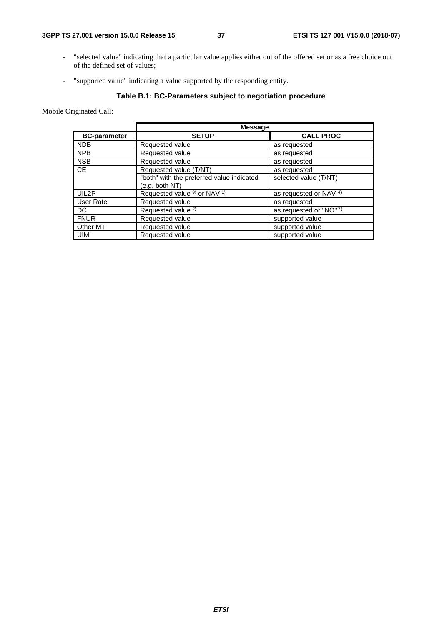- "selected value" indicating that a particular value applies either out of the offered set or as a free choice out of the defined set of values;
- "supported value" indicating a value supported by the responding entity.

## **Table B.1: BC-Parameters subject to negotiation procedure**

Mobile Originated Call:

|                     | <b>Message</b>                                     |                         |
|---------------------|----------------------------------------------------|-------------------------|
| <b>BC-parameter</b> | <b>SETUP</b>                                       | <b>CALL PROC</b>        |
| <b>NDB</b>          | Requested value                                    | as requested            |
| <b>NPB</b>          | Requested value                                    | as requested            |
| <b>NSB</b>          | Requested value                                    | as requested            |
| <b>CE</b>           | Requested value (T/NT)                             | as requested            |
|                     | "both" with the preferred value indicated          | selected value (T/NT)   |
|                     | (e.g. both NT)                                     |                         |
| UIL2P               | Requested value <sup>9)</sup> or NAV <sup>1)</sup> | as requested or NAV 4)  |
| User Rate           | Requested value                                    | as requested            |
| DC.                 | Requested value <sup>2)</sup>                      | as requested or "NO" 7) |
| <b>FNUR</b>         | Requested value                                    | supported value         |
| Other MT            | Requested value                                    | supported value         |
| UIMI                | Requested value                                    | supported value         |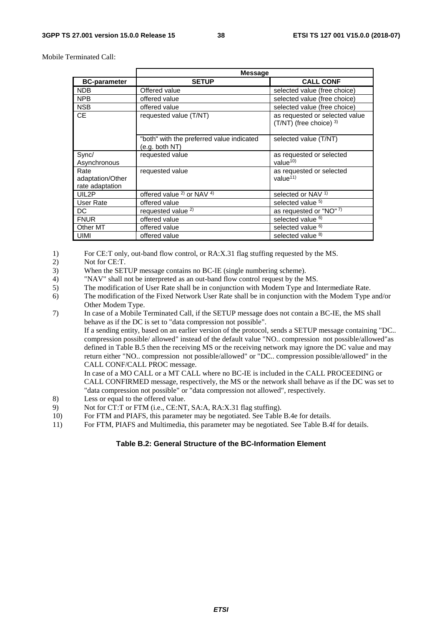Mobile Terminated Call:

|                                             | <b>Message</b>                                              |                                                                |
|---------------------------------------------|-------------------------------------------------------------|----------------------------------------------------------------|
| <b>BC-parameter</b>                         | <b>SETUP</b>                                                | <b>CALL CONF</b>                                               |
| <b>NDB</b>                                  | Offered value                                               | selected value (free choice)                                   |
| <b>NPB</b>                                  | offered value                                               | selected value (free choice)                                   |
| <b>NSB</b>                                  | offered value                                               | selected value (free choice)                                   |
| CE.                                         | requested value (T/NT)                                      | as requested or selected value<br>$(T/NT)$ (free choice) $3$ ) |
|                                             | "both" with the preferred value indicated<br>(e.g. both NT) | selected value (T/NT)                                          |
| Sync/<br>Asynchronous                       | requested value                                             | as requested or selected<br>value $10$                         |
| Rate<br>adaptation/Other<br>rate adaptation | requested value                                             | as requested or selected<br>value $11$                         |
| UIL2P                                       | offered value <sup>2</sup> or NAV <sup>4)</sup>             | selected or NAV <sup>1)</sup>                                  |
| User Rate                                   | offered value                                               | selected value 5)                                              |
| DC                                          | requested value <sup>2)</sup>                               | as requested or "NO" 7)                                        |
| <b>FNUR</b>                                 | offered value                                               | selected value <sup>6)</sup>                                   |
| Other MT                                    | offered value                                               | selected value <sup>6)</sup>                                   |
| <b>UIMI</b>                                 | offered value                                               | selected value 8)                                              |

1) For CE:T only, out-band flow control, or RA:X.31 flag stuffing requested by the MS.<br>2) Not for CE:T.

- Not for CE:T.
- 3) When the SETUP message contains no BC-IE (single numbering scheme).
- 4) "NAV" shall not be interpreted as an out-band flow control request by the MS.
- 5) The modification of User Rate shall be in conjunction with Modem Type and Intermediate Rate.
- 6) The modification of the Fixed Network User Rate shall be in conjunction with the Modem Type and/or Other Modem Type.
- 7) In case of a Mobile Terminated Call, if the SETUP message does not contain a BC-IE, the MS shall behave as if the DC is set to "data compression not possible".

 If a sending entity, based on an earlier version of the protocol, sends a SETUP message containing "DC.. compression possible/ allowed" instead of the default value "NO.. compression not possible/allowed"as defined in Table B.5 then the receiving MS or the receiving network may ignore the DC value and may return either "NO.. compression not possible/allowed" or "DC.. compression possible/allowed" in the CALL CONF/CALL PROC message.

 In case of a MO CALL or a MT CALL where no BC-IE is included in the CALL PROCEEDING or CALL CONFIRMED message, respectively, the MS or the network shall behave as if the DC was set to "data compression not possible" or "data compression not allowed", respectively.

- 8) Less or equal to the offered value.<br>9) Not for CT:T or FTM (i.e., CE:NT
- Not for CT:T or FTM (i.e., CE:NT, SA:A, RA:X.31 flag stuffing).
- 10) For FTM and PIAFS, this parameter may be negotiated. See Table B.4e for details.
- 11) For FTM, PIAFS and Multimedia, this parameter may be negotiated. See Table B.4f for details.

## **Table B.2: General Structure of the BC-Information Element**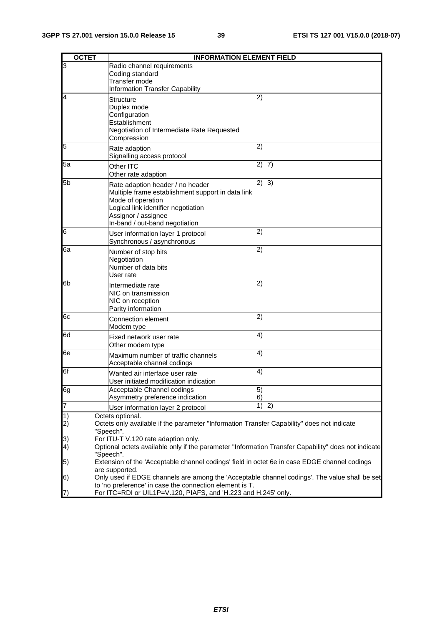| <b>OCTET</b>            | <b>INFORMATION ELEMENT FIELD</b>                                                                                                                                                                           |                |
|-------------------------|------------------------------------------------------------------------------------------------------------------------------------------------------------------------------------------------------------|----------------|
| 3                       | Radio channel requirements<br>Coding standard<br>Transfer mode<br><b>Information Transfer Capability</b>                                                                                                   |                |
| $\overline{4}$          | <b>Structure</b><br>Duplex mode<br>Configuration<br>Establishment<br>Negotiation of Intermediate Rate Requested<br>Compression                                                                             | 2)             |
| 5                       | Rate adaption<br>Signalling access protocol                                                                                                                                                                | 2)             |
| 5a                      | Other ITC<br>Other rate adaption                                                                                                                                                                           | 2) 7)          |
| 5 <sub>b</sub>          | Rate adaption header / no header<br>Multiple frame establishment support in data link<br>Mode of operation<br>Logical link identifier negotiation<br>Assignor / assignee<br>In-band / out-band negotiation | 2) 3)          |
| 6                       | User information layer 1 protocol<br>Synchronous / asynchronous                                                                                                                                            | 2)             |
| 6a                      | Number of stop bits<br>Negotiation<br>Number of data bits<br>User rate                                                                                                                                     | 2)             |
| 6b                      | Intermediate rate<br>NIC on transmission<br>NIC on reception<br>Parity information                                                                                                                         | 2)             |
| 6c                      | Connection element<br>Modem type                                                                                                                                                                           | 2)             |
| 6d                      | Fixed network user rate<br>Other modem type                                                                                                                                                                | $\overline{4}$ |
| 6e                      | Maximum number of traffic channels<br>Acceptable channel codings                                                                                                                                           | 4)             |
| 6f                      | Wanted air interface user rate<br>User initiated modification indication                                                                                                                                   | 4)             |
| 6g                      | Acceptable Channel codings<br>Asymmetry preference indication                                                                                                                                              | 5)<br>6)       |
| $\overline{7}$          | User information layer 2 protocol                                                                                                                                                                          | $1)$ 2)        |
| 1)<br>$\left( 2\right)$ | Octets optional.<br>Octets only available if the parameter "Information Transfer Capability" does not indicate<br>"Speech".                                                                                |                |
| 3)<br>4)                | For ITU-T V.120 rate adaption only.<br>Optional octets available only if the parameter "Information Transfer Capability" does not indicate<br>"Speech".                                                    |                |
| $\vert 5)$              | Extension of the 'Acceptable channel codings' field in octet 6e in case EDGE channel codings<br>are supported.                                                                                             |                |
| 6)                      | Only used if EDGE channels are among the 'Acceptable channel codings'. The value shall be set<br>to 'no preference' in case the connection element is T.                                                   |                |
| (7)                     | For ITC=RDI or UIL1P=V.120, PIAFS, and 'H.223 and H.245' only.                                                                                                                                             |                |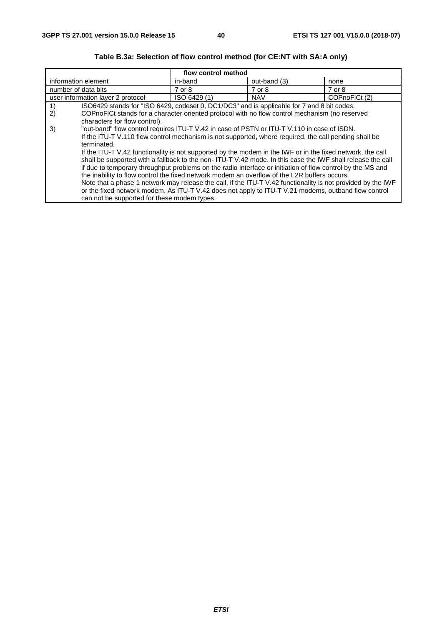|                                                                                                             | flow control method                                                                                          |              |               |
|-------------------------------------------------------------------------------------------------------------|--------------------------------------------------------------------------------------------------------------|--------------|---------------|
| information element                                                                                         | in-band                                                                                                      | out-band (3) | none          |
| number of data bits                                                                                         | 7 or 8                                                                                                       | 7 or 8       | 7 or 8        |
| user information layer 2 protocol                                                                           | ISO 6429 (1)                                                                                                 | <b>NAV</b>   | COPnoFICt (2) |
| ISO6429 stands for "ISO 6429, codeset 0, DC1/DC3" and is applicable for 7 and 8 bit codes.<br>1)            |                                                                                                              |              |               |
| 2)<br>COPnoFICt stands for a character oriented protocol with no flow control mechanism (no reserved        |                                                                                                              |              |               |
| characters for flow control).                                                                               |                                                                                                              |              |               |
| "out-band" flow control requires ITU-T V.42 in case of PSTN or ITU-T V.110 in case of ISDN.<br>3)           |                                                                                                              |              |               |
| If the ITU-T V.110 flow control mechanism is not supported, where required, the call pending shall be       |                                                                                                              |              |               |
| terminated.                                                                                                 |                                                                                                              |              |               |
| If the ITU-T V.42 functionality is not supported by the modem in the IWF or in the fixed network, the call  |                                                                                                              |              |               |
| shall be supported with a fallback to the non- ITU-T V.42 mode. In this case the IWF shall release the call |                                                                                                              |              |               |
|                                                                                                             | if due to temporary throughput problems on the radio interface or initiation of flow control by the MS and   |              |               |
| the inability to flow control the fixed network modem an overflow of the L2R buffers occurs.                |                                                                                                              |              |               |
|                                                                                                             | Note that a phase 1 network may release the call, if the ITU-T V.42 functionality is not provided by the IWF |              |               |
|                                                                                                             | or the fixed network modem. As ITU-T V.42 does not apply to ITU-T V.21 modems, outband flow control          |              |               |
|                                                                                                             | can not be supported for these modem types.                                                                  |              |               |

## **Table B.3a: Selection of flow control method (for CE:NT with SA:A only)**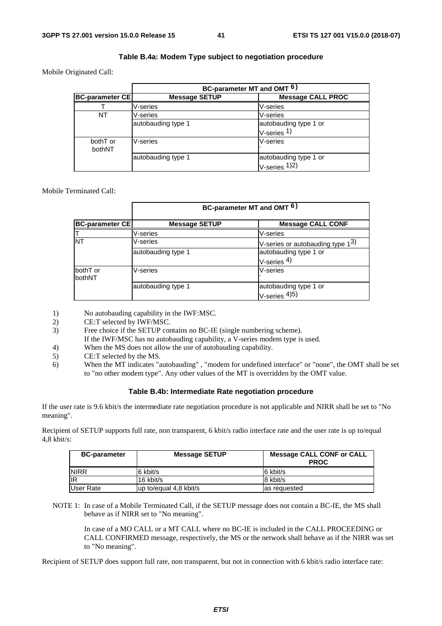## **Table B.4a: Modem Type subject to negotiation procedure**

Mobile Originated Call:

|                        | BC-parameter MT and OMT <sup>6)</sup> |                                                          |
|------------------------|---------------------------------------|----------------------------------------------------------|
| <b>BC-parameter CE</b> | <b>Message SETUP</b>                  | <b>Message CALL PROC</b>                                 |
|                        | V-series                              | V-series                                                 |
| NT                     | V-series                              | V-series                                                 |
|                        | autobauding type 1                    | autobauding type 1 or<br>$V\text{-series}$ <sup>1)</sup> |
| bothT or<br>bothNT     | V-series                              | V-series                                                 |
|                        | autobauding type 1                    | autobauding type 1 or<br>$V\text{-series}$ 1)2)          |

### Mobile Terminated Call:

|                        | BC-parameter MT and OMT <sup>6)</sup> |                                              |
|------------------------|---------------------------------------|----------------------------------------------|
| <b>BC-parameter CE</b> | <b>Message SETUP</b>                  | <b>Message CALL CONF</b>                     |
|                        | V-series                              | V-series                                     |
| <b>NT</b>              | V-series                              | V-series or autobauding type 1 <sup>3)</sup> |
|                        | autobauding type 1                    | autobauding type 1 or                        |
|                        |                                       | V-series $4)$                                |
| bothT or               | V-series                              | V-series                                     |
| <b>bothNT</b>          |                                       |                                              |
|                        | autobauding type 1                    | autobauding type 1 or                        |
|                        |                                       | $V\text{-series}^{4)}$                       |

1) No autobauding capability in the IWF:MSC.

- 2) CE:T selected by IWF/MSC.<br>3) Free choice if the SETUP cor
- Free choice if the SETUP contains no BC-IE (single numbering scheme).
	- If the IWF/MSC has no autobauding capability, a V-series modem type is used.
- 4) When the MS does not allow the use of autobauding capability.
- 5) CE:T selected by the MS.
- 6) When the MT indicates "autobauding" , "modem for undefined interface" or "none", the OMT shall be set to "no other modem type". Any other values of the MT is overridden by the OMT value.

### **Table B.4b: Intermediate Rate negotiation procedure**

If the user rate is 9.6 kbit/s the intermediate rate negotiation procedure is not applicable and NIRR shall be set to "No meaning".

Recipient of SETUP supports full rate, non transparent, 6 kbit/s radio interface rate and the user rate is up to/equal 4,8 kbit/s:

| <b>BC-parameter</b> | <b>Message SETUP</b>   | <b>Message CALL CONF or CALL</b><br><b>PROC</b> |
|---------------------|------------------------|-------------------------------------------------|
| <b>NIRR</b>         | 6 kbit/s               | 6 kbit/s                                        |
| <b>IIR</b>          | 16 kbit/s              | 8 kbit/s                                        |
| User Rate           | up to/equal 4,8 kbit/s | as requested                                    |

NOTE 1: In case of a Mobile Terminated Call, if the SETUP message does not contain a BC-IE, the MS shall behave as if NIRR set to "No meaning".

 In case of a MO CALL or a MT CALL where no BC-IE is included in the CALL PROCEEDING or CALL CONFIRMED message, respectively, the MS or the network shall behave as if the NIRR was set to "No meaning".

Recipient of SETUP does support full rate, non transparent, but not in connection with 6 kbit/s radio interface rate: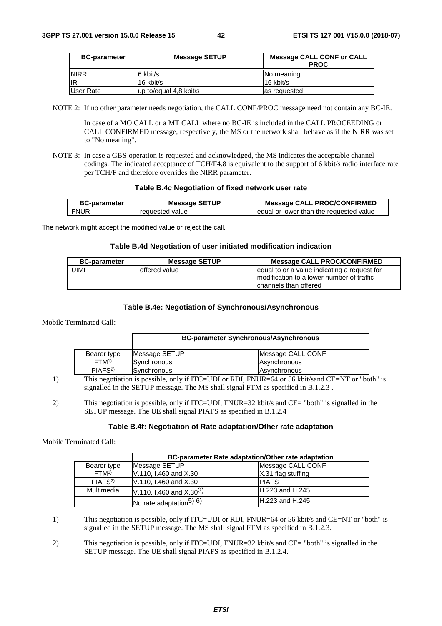| <b>BC-parameter</b> | <b>Message SETUP</b>   | <b>Message CALL CONF or CALL</b><br><b>PROC</b> |
|---------------------|------------------------|-------------------------------------------------|
| <b>INIRR</b>        | 6 kbit/s               | INo meaning                                     |
| lir                 | 16 kbit/s              | 16 kbit/s                                       |
| User Rate           | up to/equal 4.8 kbit/s | las requested                                   |

NOTE 2: If no other parameter needs negotiation, the CALL CONF/PROC message need not contain any BC-IE.

 In case of a MO CALL or a MT CALL where no BC-IE is included in the CALL PROCEEDING or CALL CONFIRMED message, respectively, the MS or the network shall behave as if the NIRR was set to "No meaning".

NOTE 3: In case a GBS-operation is requested and acknowledged, the MS indicates the acceptable channel codings. The indicated acceptance of TCH/F4.8 is equivalent to the support of 6 kbit/s radio interface rate per TCH/F and therefore overrides the NIRR parameter.

### **Table B.4c Negotiation of fixed network user rate**

| <b>BC-parameter</b> | <b>Message SETUP</b> | <b>Message CALL PROC/CONFIRMED</b>      |
|---------------------|----------------------|-----------------------------------------|
| <b>FNUR</b>         | requested value      | equal or lower than the requested value |

The network might accept the modified value or reject the call.

### **Table B.4d Negotiation of user initiated modification indication**

| <b>BC-parameter</b> | <b>Message SETUP</b> | <b>Message CALL PROC/CONFIRMED</b>                                                                                 |
|---------------------|----------------------|--------------------------------------------------------------------------------------------------------------------|
| JIMI                | offered value        | equal to or a value indicating a request for<br>modification to a lower number of traffic<br>channels than offered |

### **Table B.4e: Negotiation of Synchronous/Asynchronous**

Mobile Terminated Call:

|                    | <b>BC-parameter Synchronous/Asynchronous</b>                                                             |                     |
|--------------------|----------------------------------------------------------------------------------------------------------|---------------------|
| Bearer type        | Message SETUP                                                                                            | Message CALL CONF   |
| FTM <sup>1</sup>   | lSvnchronous                                                                                             | <b>Asynchronous</b> |
| PIAFS <sup>2</sup> | <b>Synchronous</b>                                                                                       | Asynchronous        |
|                    | This perceptizion is possible, only if $ITC-IIDI$ or $PDI$ $ENIIIP-64$ or 56 kbit/sand $CF-NT$ or "both" |                     |

1) This negotiation is possible, only if ITC=UDI or RDI, FNUR=64 or 56 kbit/sand CE=NT or "both" is signalled in the SETUP message. The MS shall signal FTM as specified in B.1.2.3 .

2) This negotiation is possible, only if ITC=UDI, FNUR=32 kbit/s and CE= "both" is signalled in the SETUP message. The UE shall signal PIAFS as specified in B.1.2.4

### **Table B.4f: Negotiation of Rate adaptation/Other rate adaptation**

Mobile Terminated Call:

|                    | BC-parameter Rate adaptation/Other rate adaptation |                        |
|--------------------|----------------------------------------------------|------------------------|
| Bearer type        | Message SETUP                                      | Message CALL CONF      |
| FTM <sup>1</sup>   | V.110, I.460 and X.30                              | X.31 flag stuffing     |
| PIAFS <sup>2</sup> | V.110, I.460 and X.30                              | <b>PIAFS</b>           |
| Multimedia         | V.110, I.460 and $X.30^{3}$                        | <b>H.223 and H.245</b> |
|                    | No rate adaptation <sup>5)</sup> $6$ )             | <b>H.223 and H.245</b> |

1) This negotiation is possible, only if ITC=UDI or RDI, FNUR=64 or 56 kbit/s and CE=NT or "both" is signalled in the SETUP message. The MS shall signal FTM as specified in B.1.2.3.

2) This negotiation is possible, only if ITC=UDI, FNUR=32 kbit/s and CE= "both" is signalled in the SETUP message. The UE shall signal PIAFS as specified in B.1.2.4.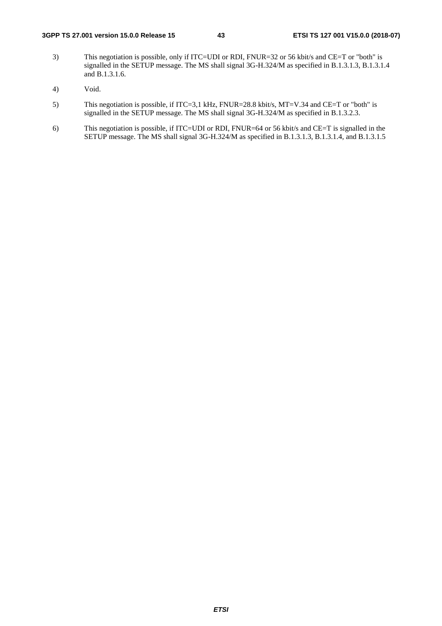- 3) This negotiation is possible, only if ITC=UDI or RDI, FNUR=32 or 56 kbit/s and CE=T or "both" is signalled in the SETUP message. The MS shall signal 3G-H.324/M as specified in B.1.3.1.3, B.1.3.1.4 and B.1.3.1.6.
- 4) Void.
- 5) This negotiation is possible, if ITC=3,1 kHz, FNUR=28.8 kbit/s, MT=V.34 and CE=T or "both" is signalled in the SETUP message. The MS shall signal 3G-H.324/M as specified in B.1.3.2.3.
- 6) This negotiation is possible, if ITC=UDI or RDI, FNUR=64 or 56 kbit/s and CE=T is signalled in the SETUP message. The MS shall signal 3G-H.324/M as specified in B.1.3.1.3, B.1.3.1.4, and B.1.3.1.5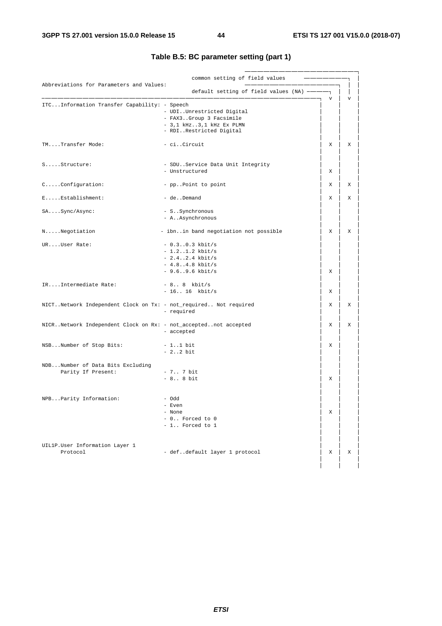|                                                                  | common setting of field values                                                                               |          |   |
|------------------------------------------------------------------|--------------------------------------------------------------------------------------------------------------|----------|---|
| Abbreviations for Parameters and Values:                         |                                                                                                              |          |   |
|                                                                  | default setting of field values (NA)                                                                         | ٦Ī.<br>v | v |
| ITCInformation Transfer Capability: - Speech                     | - UDIUnrestricted Digital<br>- FAX3Group 3 Facsimile<br>$-3,1$ kHz3,1 kHz Ex PLMN<br>- RDIRestricted Digital |          |   |
| TMTransfer Mode:                                                 | - ciCircuit                                                                                                  | Χ        | X |
| SStructure:                                                      | - SDUService Data Unit Integrity<br>- Unstructured                                                           | Χ        |   |
| CConfiguration:                                                  | - ppPoint to point                                                                                           | х        | Χ |
| EEstablishment:                                                  | - deDemand                                                                                                   | X        | х |
| SASync/Async:                                                    | - SSynchronous<br>- A. . Asynchronous                                                                        |          |   |
| NNegotiation                                                     | - ibnin band negotiation not possible                                                                        | Χ        | Χ |
| URUser Rate:                                                     | $-0.3.00.3$ kbit/s<br>$-1.2.1.2$ kbit/s<br>$-2.4. .2.4$ kbit/s<br>$-4.84.8$ kbit/s<br>$-9.6. .9.6$ kbit/s    | Χ        |   |
| IRIntermediate Rate:                                             | - 8 8 kbit/s<br>$-1616$ kbit/s                                                                               | Х        |   |
| NICTNetwork Independent Clock on Tx: - not_required Not required | - required                                                                                                   | X        | X |
| NICRNetwork Independent Clock on Rx: - not_acceptednot accepted  | - accepted                                                                                                   | Х        | Χ |
| NSBNumber of Stop Bits:                                          | $-1.1$ bit<br>$-2.2 bit$                                                                                     | Χ        |   |
| NDBNumber of Data Bits Excluding<br>Parity If Present:           | $-7.7$ bit<br>$-88 \text{ bit}$                                                                              | Χ        |   |
| NPBParity Information:                                           | - Odd<br>- Even<br>- None<br>- 0 Forced to 0<br>- 1 Forced to 1                                              | Χ        |   |
| UIL1P.User Information Layer 1<br>Protocol                       | - defdefault layer 1 protocol                                                                                | Χ        | X |

## **Table B.5: BC parameter setting (part 1)**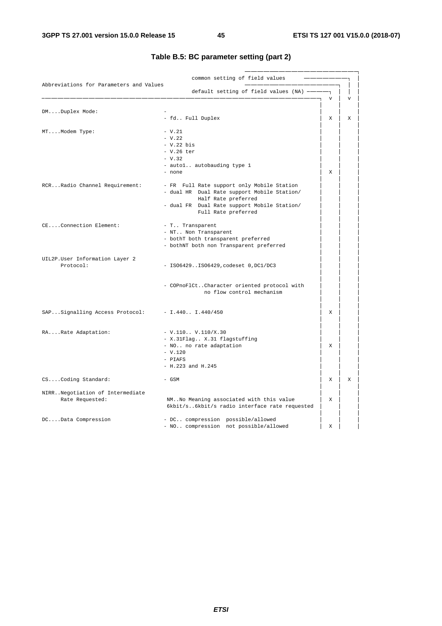| Abbreviations for Parameters and Values          | common setting of field values                                           |                |                |
|--------------------------------------------------|--------------------------------------------------------------------------|----------------|----------------|
|                                                  | default setting of field values (NA) -                                   |                |                |
|                                                  |                                                                          | $\overline{V}$ | $\overline{V}$ |
| DMDuplex Mode:                                   |                                                                          |                |                |
|                                                  | - fd Full Duplex                                                         | X              | X              |
| MTModem Type:                                    | $- V.21$                                                                 |                |                |
|                                                  | $- V.22$                                                                 |                |                |
|                                                  | $-V.22$ bis                                                              |                |                |
|                                                  | $-$ V.26 ter                                                             |                |                |
|                                                  |                                                                          |                |                |
|                                                  | $- V.32$                                                                 |                |                |
|                                                  | - autol autobauding type 1                                               |                |                |
|                                                  | - none                                                                   | X              |                |
| RCRRadio Channel Requirement:                    | - FR Full Rate support only Mobile Station                               |                |                |
|                                                  | - dual HR Dual Rate support Mobile Station/                              |                |                |
|                                                  | Half Rate preferred                                                      |                |                |
|                                                  | - dual FR Dual Rate support Mobile Station/                              |                |                |
|                                                  | Full Rate preferred                                                      |                |                |
|                                                  |                                                                          |                |                |
| CEConnection Element:                            | - T Transparent                                                          |                |                |
|                                                  | - NT Non Transparent                                                     |                |                |
|                                                  | - bothT both transparent preferred                                       |                |                |
|                                                  | - bothNT both non Transparent preferred                                  |                |                |
| UIL2P.User Information Layer 2                   |                                                                          |                |                |
| Protocol:                                        | - ISO6429ISO6429, codeset 0, DC1/DC3                                     |                |                |
|                                                  |                                                                          |                |                |
|                                                  |                                                                          |                |                |
|                                                  | - COPnoFlCtCharacter oriented protocol with<br>no flow control mechanism |                |                |
|                                                  |                                                                          |                |                |
| SAPSignalling Access Protocol: - I.440 I.440/450 |                                                                          | X              |                |
|                                                  |                                                                          |                |                |
|                                                  |                                                                          |                |                |
| RARate Adaptation:                               | $-V.110.$ . V.110/X.30                                                   |                |                |
|                                                  | - X.31Flag X.31 flagstuffing                                             |                |                |
|                                                  | - NO no rate adaptation                                                  | X              |                |
|                                                  | $- V.120$                                                                |                |                |
|                                                  | - PIAFS                                                                  |                |                |
|                                                  | $- H.223$ and $H.245$                                                    |                |                |
| CSCoding Standard:                               | - GSM                                                                    | X              | X              |
|                                                  |                                                                          |                |                |
| NIRRNegotiation of Intermediate                  |                                                                          |                |                |
| Rate Requested:                                  | NM No Meaning associated with this value                                 | X              |                |
|                                                  | 6kbit/s6kbit/s radio interface rate requested                            |                |                |
|                                                  |                                                                          |                |                |
| DCData Compression                               | - DC compression possible/allowed                                        |                |                |
|                                                  | - NO compression not possible/allowed                                    | X              |                |

## **Table B.5: BC parameter setting (part 2)**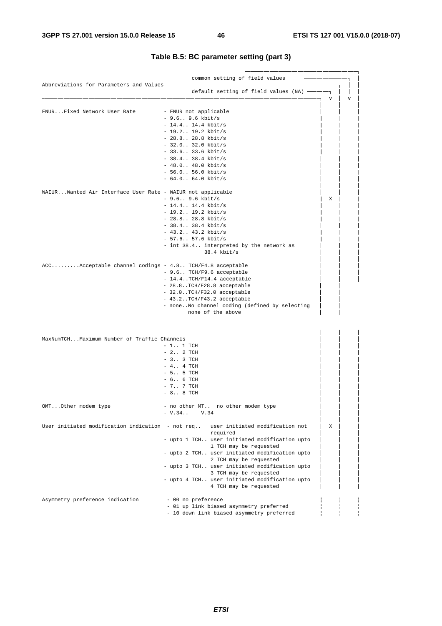| Abbreviations for Parameters and Values                    | common setting of field values                                                   |   |
|------------------------------------------------------------|----------------------------------------------------------------------------------|---|
|                                                            | default setting of field values (NA)                                             | v |
| FNURFixed Network User Rate                                | - FNUR not applicable                                                            |   |
|                                                            | $-9.6.$ . 9.6 kbit/s                                                             |   |
|                                                            | $-14.4$ 14.4 kbit/s                                                              |   |
|                                                            |                                                                                  |   |
|                                                            | $-19.2.$ . 19.2 kbit/s                                                           |   |
|                                                            | $-28.8 28.8$ kbit/s                                                              |   |
|                                                            | $-32.0 32.0 kbit/s$                                                              |   |
|                                                            | $-33.633.6$ kbit/s                                                               |   |
|                                                            | $-38.4.$ $38.4$ kbit/s                                                           |   |
|                                                            | $-48.048.0 kbit/s$                                                               |   |
|                                                            | $-56.0.$ . 56.0 kbit/s                                                           |   |
|                                                            | $-64.0 64.0 kbit/s$                                                              |   |
| WAIURWanted Air Interface User Rate - WAIUR not applicable |                                                                                  |   |
|                                                            | $-9.6.$ . 9.6 kbit/s                                                             | X |
|                                                            | $-14.4$ 14.4 kbit/s                                                              |   |
|                                                            | $-19.2.$ . 19.2 kbit/s                                                           |   |
|                                                            |                                                                                  |   |
|                                                            | $-28.8 28.8$ kbit/s                                                              |   |
|                                                            | $-38.4.$ . 38.4 kbit/s                                                           |   |
|                                                            | $-43.2.$ . $43.2$ kbit/s                                                         |   |
|                                                            | $-57.6 57.6 kbit/s$                                                              |   |
|                                                            | - int 38.4 interpreted by the network as<br>$38.4$ kbit/s                        |   |
| $ACC$ Acceptable channel codings - 4.8 TCH/F4.8 acceptable |                                                                                  |   |
|                                                            |                                                                                  |   |
|                                                            | - 9.6 TCH/F9.6 acceptable                                                        |   |
|                                                            | - 14.4TCH/F14.4 acceptable                                                       |   |
|                                                            | - 28.8TCH/F28.8 acceptable                                                       |   |
|                                                            | - 32.0TCH/F32.0 acceptable                                                       |   |
|                                                            | - 43.2TCH/F43.2 acceptable                                                       |   |
|                                                            | - noneNo channel coding (defined by selecting                                    |   |
|                                                            | none of the above                                                                |   |
|                                                            |                                                                                  |   |
| MaxNumTCHMaximum Number of Traffic Channels                |                                                                                  |   |
|                                                            | $-1.$ 1 TCH                                                                      |   |
|                                                            | $-2.2$ TCH                                                                       |   |
|                                                            | $-3.03$ TCH                                                                      |   |
|                                                            | $-4.74$ TCH                                                                      |   |
|                                                            |                                                                                  |   |
|                                                            | $-5.5$ TCH                                                                       |   |
|                                                            | $-66$ TCH                                                                        |   |
|                                                            | $-7.7$ TCH                                                                       |   |
|                                                            | $-88$ TCH                                                                        |   |
| OMTOther modem type                                        | - no other MT no other modem type                                                |   |
|                                                            | $-V.34$<br>V.34                                                                  |   |
|                                                            | User initiated modification indication - not req user initiated modification not | X |
|                                                            | required                                                                         |   |
|                                                            | - upto 1 TCH user initiated modification upto                                    |   |
|                                                            | 1 TCH may be requested                                                           |   |
|                                                            | - upto 2 TCH user initiated modification upto                                    |   |
|                                                            | 2 TCH may be requested                                                           |   |
|                                                            | - upto 3 TCH user initiated modification upto                                    |   |
|                                                            | 3 TCH may be requested                                                           |   |
|                                                            | - upto 4 TCH user initiated modification upto                                    |   |
|                                                            | 4 TCH may be requested                                                           |   |
|                                                            |                                                                                  |   |
| Asymmetry preference indication                            | - 00 no preference                                                               |   |
|                                                            | - 01 up link biased asymmetry preferred                                          |   |
|                                                            | - 10 down link biased asymmetry preferred                                        |   |

## **Table B.5: BC parameter setting (part 3)**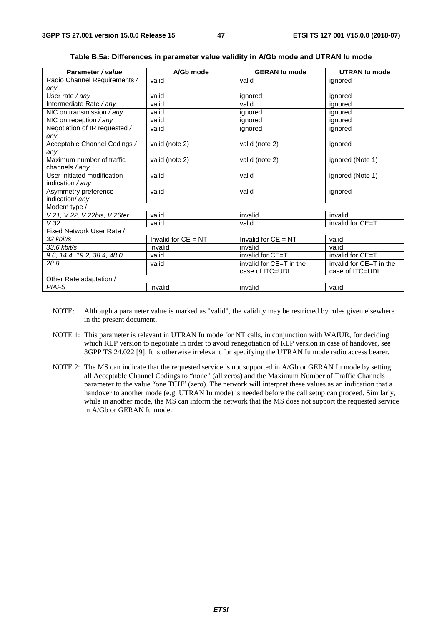| Parameter / value             | A/Gb mode             | <b>GERAN lu mode</b>    | <b>UTRAN lu mode</b>    |  |  |
|-------------------------------|-----------------------|-------------------------|-------------------------|--|--|
| Radio Channel Requirements /  | valid                 | valid                   | ignored                 |  |  |
| any                           |                       |                         |                         |  |  |
| User rate / any               | valid                 | ignored                 | ignored                 |  |  |
| Intermediate Rate / any       | valid                 | valid                   | ignored                 |  |  |
| NIC on transmission / any     | valid                 | ignored                 | ignored                 |  |  |
| NIC on reception / any        | valid                 | ignored                 | ignored                 |  |  |
| Negotiation of IR requested / | valid                 | ignored                 | ignored                 |  |  |
| any                           |                       |                         |                         |  |  |
| Acceptable Channel Codings /  | valid (note 2)        | valid (note 2)          | ignored                 |  |  |
| any                           |                       |                         |                         |  |  |
| Maximum number of traffic     | valid (note 2)        | valid (note 2)          | ignored (Note 1)        |  |  |
| channels / any                |                       |                         |                         |  |  |
| User initiated modification   | valid                 | valid                   | ignored (Note 1)        |  |  |
| indication / any              |                       |                         |                         |  |  |
| Asymmetry preference          | valid                 | valid                   | ignored                 |  |  |
| indication/ any               |                       |                         |                         |  |  |
| Modem type /                  |                       |                         |                         |  |  |
| V.21, V.22, V.22bis, V.26ter  | valid                 | invalid                 | invalid                 |  |  |
| V.32                          | valid                 | valid                   | invalid for CE=T        |  |  |
| Fixed Network User Rate /     |                       |                         |                         |  |  |
| 32 kbit/s                     | Invalid for $CE = NT$ | Invalid for $CE = NT$   | valid                   |  |  |
| $33.6$ kbit/s                 | invalid               | invalid                 | valid                   |  |  |
| 9.6, 14.4, 19.2, 38.4, 48.0   | valid                 | invalid for CE=T        | invalid for CE=T        |  |  |
| 28.8                          | valid                 | invalid for CE=T in the | invalid for CE=T in the |  |  |
|                               |                       | case of ITC=UDI         | case of ITC=UDI         |  |  |
| Other Rate adaptation /       |                       |                         |                         |  |  |
| <b>PIAFS</b>                  | invalid               | invalid                 | valid                   |  |  |

**Table B.5a: Differences in parameter value validity in A/Gb mode and UTRAN Iu mode** 

- NOTE: Although a parameter value is marked as "valid", the validity may be restricted by rules given elsewhere in the present document.
- NOTE 1: This parameter is relevant in UTRAN Iu mode for NT calls, in conjunction with WAIUR, for deciding which RLP version to negotiate in order to avoid renegotiation of RLP version in case of handover, see 3GPP TS 24.022 [9]. It is otherwise irrelevant for specifying the UTRAN Iu mode radio access bearer.
- NOTE 2: The MS can indicate that the requested service is not supported in A/Gb or GERAN Iu mode by setting all Acceptable Channel Codings to "none" (all zeros) and the Maximum Number of Traffic Channels parameter to the value "one TCH" (zero). The network will interpret these values as an indication that a handover to another mode (e.g. UTRAN Iu mode) is needed before the call setup can proceed. Similarly, while in another mode, the MS can inform the network that the MS does not support the requested service in A/Gb or GERAN Iu mode.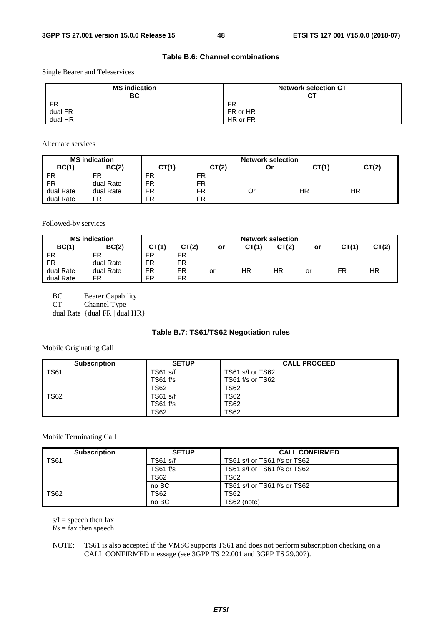## **Table B.6: Channel combinations**

Single Bearer and Teleservices

| <b>MS</b> indication<br>BC | <b>Network selection CT</b><br>СT |
|----------------------------|-----------------------------------|
| <b>FR</b>                  | FR                                |
| dual FR                    | FR or HR                          |
| dual HR                    | HR or FR                          |

Alternate services

| <b>MS</b> indication |           |           |           | <b>Network selection</b> |       |       |
|----------------------|-----------|-----------|-----------|--------------------------|-------|-------|
| BC(1)                | BC(2)     | CT(1`     | CT(2)     | Οr                       | CT(1) | CT(2) |
| <b>FR</b>            | FR        | FR        | FR        |                          |       |       |
| FR                   | dual Rate | FR        | FR        |                          |       |       |
| dual Rate            | dual Rate | FR        | FR        | Or                       | HR    | ΗR    |
| dual Rate            | FR        | <b>FR</b> | <b>FR</b> |                          |       |       |

Followed-by services

|           | <b>MS</b> indication |       |       |    |       | <b>Network selection</b> |    |       |       |
|-----------|----------------------|-------|-------|----|-------|--------------------------|----|-------|-------|
| BC(1)     | BC(2)                | CT(1) | CT(2) | or | CT(1) | CT(2)                    | or | CT(1) | CT(2) |
| <b>FR</b> | FR                   | FR    | FR    |    |       |                          |    |       |       |
| <b>FR</b> | dual Rate            | FR    | FR    |    |       |                          |    |       |       |
| dual Rate | dual Rate            | FR    | FR    | or | HR    | ΗR                       | or | FR    | ΗR    |
| dual Rate | FR                   | FR    | FR    |    |       |                          |    |       |       |

BC Bearer Capability

CT Channel Type

dual Rate  $\{$  dual FR  $\}$  dual HR $\}$ 

## **Table B.7: TS61/TS62 Negotiation rules**

Mobile Originating Call

| <b>Subscription</b> | <b>SETUP</b> | <b>CALL PROCEED</b> |
|---------------------|--------------|---------------------|
| <b>TS61</b>         | TS61 s/f     | TS61 s/f or TS62    |
|                     | TS61 f/s     | TS61 f/s or TS62    |
|                     | <b>TS62</b>  | <b>TS62</b>         |
| <b>TS62</b>         | TS61 s/f     | <b>TS62</b>         |
|                     | TS61 f/s     | <b>TS62</b>         |
|                     | <b>TS62</b>  | <b>TS62</b>         |

Mobile Terminating Call

| <b>Subscription</b> | <b>SETUP</b> | <b>CALL CONFIRMED</b>        |
|---------------------|--------------|------------------------------|
| <b>TS61</b>         | $TS61$ s/f   | TS61 s/f or TS61 f/s or TS62 |
|                     | $TS61$ f/s   | TS61 s/f or TS61 f/s or TS62 |
|                     | <b>TS62</b>  | <b>TS62</b>                  |
|                     | no BC        | TS61 s/f or TS61 f/s or TS62 |
| <b>TS62</b>         | <b>TS62</b>  | <b>TS62</b>                  |
|                     | no BC        | TS62 (note)                  |

 $s/f$  = speech then fax

 $f/s =$  fax then speech

NOTE: TS61 is also accepted if the VMSC supports TS61 and does not perform subscription checking on a CALL CONFIRMED message (see 3GPP TS 22.001 and 3GPP TS 29.007).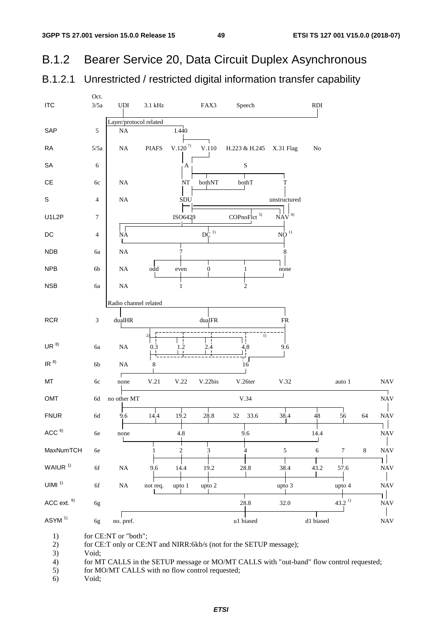#### Bearer Service 20, Data Circuit Duplex Asynchronous **B.1.2**

#### Unrestricted / restricted digital information transfer capability B.1.2.1



for CE:NT or "both";  $1)$ 

for CE:T only or CE:NT and NIRR:6kb/s (not for the SETUP message);  $(2)$ 

 $3)$ Void:

 $4)$ for MT CALLS in the SETUP message or MO/MT CALLS with "out-band" flow control requested;

 $5)$ for MO/MT CALLS with no flow control requested;

 $6)$ Void;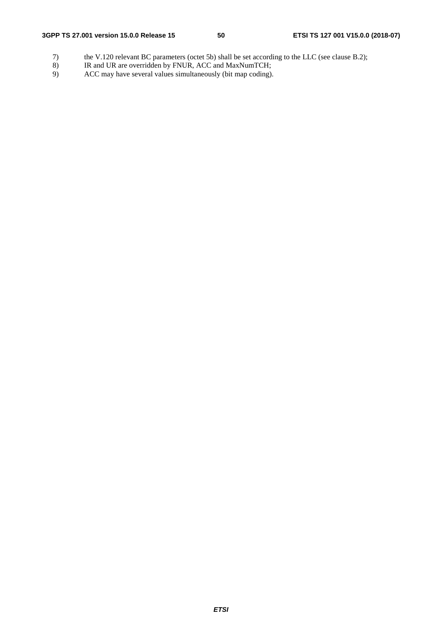- 7) the V.120 relevant BC parameters (octet 5b) shall be set according to the LLC (see clause B.2);<br>8) IR and UR are overridden by FNUR, ACC and MaxNumTCH;
- 8) IR and UR are overridden by FNUR, ACC and MaxNumTCH;<br>9) ACC may have several values simultaneously (bit map coding).
- ACC may have several values simultaneously (bit map coding).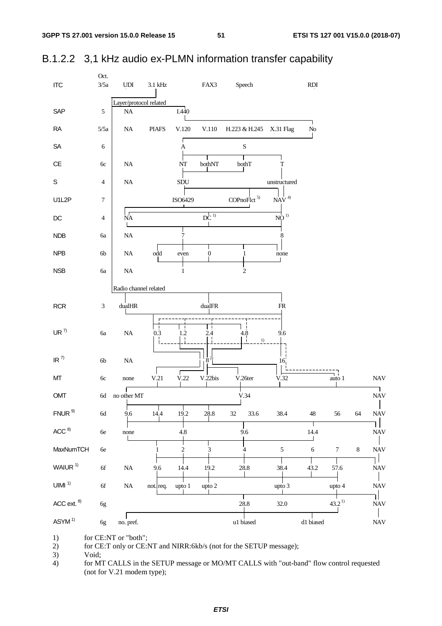

## B.1.2.2 3,1 kHz audio ex-PLMN information transfer capability

1) for CE:NT or "both";

 $2)$ for CE:T only or CE:NT and NIRR:6kb/s (not for the SETUP message);

3) Void;

for MT CALLS in the SETUP message or MO/MT CALLS with "out-band" flow control requested  $4)$ (not for  $V.21$  modem type);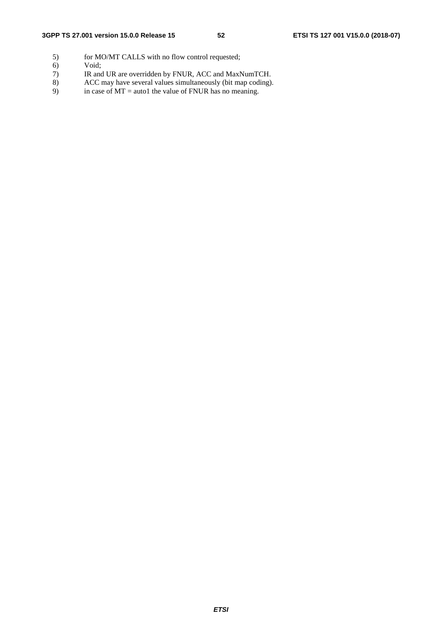- 5) for MO/MT CALLS with no flow control requested;<br>6) Void;
- 
- 6) Void;<br>7) IR and 7) IR and UR are overridden by FNUR, ACC and MaxNumTCH.<br>8) ACC may have several values simultaneously (bit map coding)
- 8) ACC may have several values simultaneously (bit map coding).<br>9) in case of  $MT =$  auto1 the value of FNUR has no meaning.
- in case of  $MT =$  auto1 the value of FNUR has no meaning.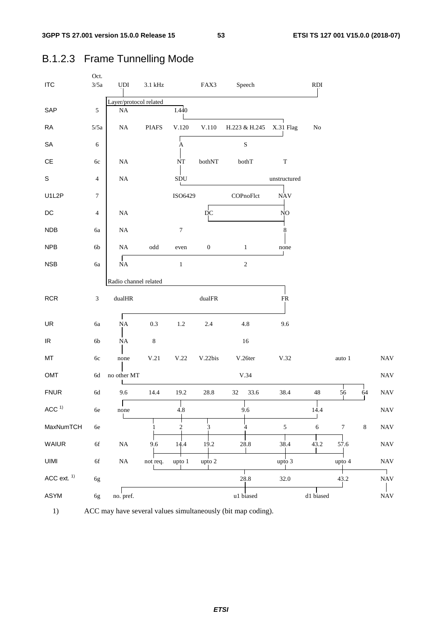| <b>ITC</b>                        | Oct.<br>$3/5a$ | UDI                    | $3.1\ \mathrm{kHz}$  |                  | FAX3             | Speech        |                | RDI         |                 |         |                           |
|-----------------------------------|----------------|------------------------|----------------------|------------------|------------------|---------------|----------------|-------------|-----------------|---------|---------------------------|
|                                   |                | Layer/protocol related |                      |                  |                  |               |                |             |                 |         |                           |
| SAP                               | $\sqrt{5}$     | $\rm NA$               |                      | I.440            |                  |               |                |             |                 |         |                           |
| <b>RA</b>                         | 5/5a           | $\rm NA$               | <b>PIAFS</b>         | V.120            | $V.110$          | H.223 & H.245 | X.31 Flag      | No          |                 |         |                           |
| SA                                | $\epsilon$     |                        |                      | $\boldsymbol{A}$ |                  | ${\bf S}$     |                |             |                 |         |                           |
| $\mathsf{CE}$                     | 6c             | $\rm NA$               |                      | NT               | bothNT           | bothT         | $\mathbf T$    |             |                 |         |                           |
| $\mathsf S$                       | $\overline{4}$ | $\rm NA$               |                      | ${\rm SDU}$      |                  |               | unstructured   |             |                 |         |                           |
| U1L2P                             | $\tau$         |                        |                      | ISO6429          |                  | COPnoFlct     | <b>NAV</b>     |             |                 |         |                           |
| $DC$                              | 4              | $\rm NA$               |                      |                  | $\overline{D}C$  |               | NO             |             |                 |         |                           |
| NDB                               | 6a             | $\rm NA$               |                      | $\boldsymbol{7}$ |                  |               | 8              |             |                 |         |                           |
| <b>NPB</b>                        | 6b             | $\rm NA$               | $\operatorname{odd}$ | even             | $\boldsymbol{0}$ | $\mathbf{1}$  | none           |             |                 |         |                           |
| <b>NSB</b>                        | 6a             | NA                     |                      | $\,1$            |                  | $\sqrt{2}$    |                |             |                 |         |                           |
|                                   |                | Radio channel related  |                      |                  |                  |               |                |             |                 |         |                           |
| <b>RCR</b>                        | $\sqrt{3}$     | $\text{dualHR}$        |                      |                  | $\text{dualFR}$  |               | ${\sf FR}$     |             |                 |         |                           |
| UR                                | <b>6a</b>      | NA                     | 0.3                  | $1.2\,$          | 2.4              | $4.8\,$       | 9.6            |             |                 |         |                           |
| $\ensuremath{\mathsf{IR}}\xspace$ | $6b$           | $\rm NA$               | $\,8\,$              |                  |                  | 16            |                |             |                 |         |                           |
| МT                                | $6c$           | none                   | V.21                 | $\rm V.22$       | V.22bis          | V.26ter       | V.32           |             | auto $\sqrt{1}$ |         | <b>NAV</b>                |
| OMT                               | $6\mathrm{d}$  | no other MT            |                      |                  |                  | $\rm V.34$    |                |             |                 |         | <b>NAV</b>                |
| <b>FNUR</b>                       | $6\mathrm{d}$  | 9.6                    | 14.4                 | 19.2             | 28.8             | 33.6<br>32    | 38.4           | $\sqrt{48}$ | 56              | 64      | <b>NAV</b>                |
| ACC <sup>1</sup>                  | $6e\,$         | none                   |                      | 4.8              |                  | 9.6           |                | 14.4        |                 |         | $\ensuremath{\text{NAV}}$ |
| MaxNumTCH                         | $6\mathrm{e}$  |                        |                      | $\frac{2}{1}$    | 3                | 4             | $\mathfrak{S}$ | $\sqrt{6}$  | $\tau$          | $\,8\,$ | <b>NAV</b>                |
| WAIUR                             | $6f$           | $\rm NA$               | 9.6                  | 14.4             | 19.2             | 28.8          | 38.4           | 43.2        | 57.6            |         | $\ensuremath{\text{NAV}}$ |
| <b>UIMI</b>                       | $6\mathrm{f}$  | $\rm NA$               | not req.             | upto 1           | upto 2           |               | upto 3         |             | upto 4          |         | <b>NAV</b>                |
| ACC ext. <sup>1)</sup>            | 6g             |                        |                      |                  |                  | 28.8          | 32.0           |             | 43.2            |         | $\perp$<br><b>NAV</b>     |
| ASYM                              | 6g             | no. pref.              |                      |                  |                  | u1 biased     |                | d1 biased   |                 |         | <b>NAV</b>                |

## B.1.2.3 Frame Tunnelling Mode

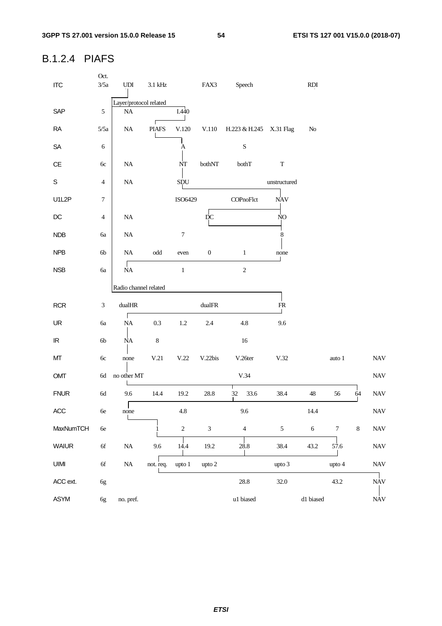## B.1.2.4 PIAFS

| <b>ITC</b>                        | Oct.<br>3/5a     | $\ensuremath{\mathrm{UDI}}$ | $3.1\,\mathrm{kHz}$  |                  | FAX3             | Speech                  |                | RDI        |                  |         |                           |
|-----------------------------------|------------------|-----------------------------|----------------------|------------------|------------------|-------------------------|----------------|------------|------------------|---------|---------------------------|
|                                   |                  | Layer/protocol related      |                      |                  |                  |                         |                |            |                  |         |                           |
| SAP                               | $\sqrt{5}$       | $\rm NA$                    |                      | I.440            |                  |                         |                |            |                  |         |                           |
| <b>RA</b>                         | 5/5a             | $\rm NA$                    | <b>PIAFS</b>         | V.120            | V.110            | H.223 & H.245 X.31 Flag |                | No         |                  |         |                           |
| ${\sf SA}$                        | $\sqrt{6}$       |                             |                      | $\mathbf{A}$     |                  | $\mathbf S$             |                |            |                  |         |                           |
| $\mathsf{CE}$                     | $6c$             | $\rm NA$                    |                      | NT               | bothNT           | bothT                   | $\mathbf T$    |            |                  |         |                           |
| $\mathbb S$                       | $\overline{4}$   | $\rm NA$                    |                      | SDU              |                  |                         | unstructured   |            |                  |         |                           |
| U1L2P                             | $\boldsymbol{7}$ |                             |                      | ISO6429          |                  | COPnoFlct               | <b>NAV</b>     |            |                  |         |                           |
| $D C$                             | $\overline{4}$   | $\rm NA$                    |                      |                  | $\rm \dot{D}C$   |                         | NO             |            |                  |         |                           |
| <b>NDB</b>                        | 6a               | $\rm NA$                    |                      | $\boldsymbol{7}$ |                  |                         | 8              |            |                  |         |                           |
| <b>NPB</b>                        | $6b$             | $\rm NA$                    | $\operatorname{odd}$ | even             | $\boldsymbol{0}$ | $\,1\,$                 | none           |            |                  |         |                           |
| <b>NSB</b>                        | 6a               | <b>NA</b>                   |                      | $\,1\,$          |                  | $\overline{2}$          |                |            |                  |         |                           |
|                                   |                  | Radio channel related       |                      |                  |                  |                         |                |            |                  |         |                           |
| <b>RCR</b>                        | $\sqrt{3}$       | $\text{dualHR}$             |                      |                  | $\text{dualFR}$  |                         | ${\sf FR}$     |            |                  |         |                           |
| UR                                |                  | Г                           |                      |                  |                  |                         |                |            |                  |         |                           |
|                                   | 6a               | $\rm NA$                    | 0.3                  | $1.2\,$          | 2.4              | 4.8                     | 9.6            |            |                  |         |                           |
| $\ensuremath{\mathsf{IR}}\xspace$ | $6b$             | <b>NA</b>                   | $\,$ 8 $\,$          |                  |                  | $16\,$                  |                |            |                  |         |                           |
| MT                                | $6c$             | none                        | V.21                 | V.22             | V.22bis          | V.26ter                 | V.32           |            | auto 1           |         | <b>NAV</b>                |
| OMT                               | $6d$             | no other MT                 |                      |                  |                  | V.34                    |                |            |                  |         | $\ensuremath{\text{NAV}}$ |
| <b>FNUR</b>                       | 6d               | 9.6                         | 14.4                 | 19.2             | 28.8             | 32<br>33.6              | 38.4           | $48\,$     | 56               | 64      | $\ensuremath{\text{NAV}}$ |
| ACC                               | $6e\,$           | $\mathbf{I}$<br>none        |                      | $4.8\,$          |                  | 9.6                     |                | 14.4       |                  |         | $\ensuremath{\text{NAV}}$ |
| MaxNumTCH                         | $6e$             |                             |                      | $\sqrt{2}$       | $\mathfrak{Z}$   | $\overline{4}$          | $\mathfrak{S}$ | $\sqrt{6}$ | $\boldsymbol{7}$ | $\,8\,$ | $\ensuremath{\text{NAV}}$ |
| <b>WAIUR</b>                      | $6\mathrm{f}$    | NA                          | 9.6                  | 14.4             | 19.2             | 28.8                    | 38.4           | 43.2       | 57.6             |         | $\ensuremath{\text{NAV}}$ |
| UIMI                              | $6f$             | $\rm NA$                    | not. req.            | upto 1           | upto 2           |                         | upto 3         |            | upto 4           |         | $\ensuremath{\text{NAV}}$ |
| ACC ext.                          | 6g               |                             |                      |                  |                  | 28.8                    | 32.0           |            | 43.2             |         | <b>NAV</b>                |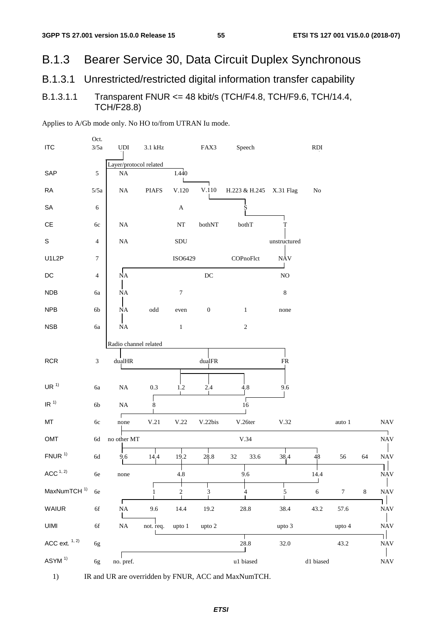#### Bearer Service 30, Data Circuit Duplex Synchronous **B.1.3**

#### Unrestricted/restricted digital information transfer capability B.1.3.1

#### Transparent FNUR <= 48 kbit/s (TCH/F4.8, TCH/F9.6, TCH/14.4, B.1.3.1.1 **TCH/F28.8)**

Oct. **ITC**  $3/5a$ **UDI** FAX3 **RDI** 3.1 kHz Speech Layer/protocol related SAP 5  $I.440$ **NA RA**  $5/5a$  $NA$ **PIAFS**  $V.120$ V.110 H.223 & H.245  $X.31$  Flag  $\overline{N}$ SA  $\sqrt{6}$  $\boldsymbol{A}$ **CE**  $NA$  $NT$ bothNT bothT  $6c$ T  $\mathbf{s}$ SDU  $NA$  $\overline{4}$ unstructured U<sub>1L2</sub>P  $\overline{7}$ ISO6429 COPnoFlct **NAV**  $\sqrt{\overline{NA}}$ **DC**  $\overline{4}$  $DC$ N<sub>O</sub> **NDB**  $NA$  $\overline{7}$ 8 **ба NPB**  $\overline{0}$  $\mathbf{1}$ 6b  $\operatorname{odd}$ **NA** even none **NSB**  $\overline{2}$  $\overline{1}$ 6a  $NA$ Radio channel related **RCR** dualHR  $dua$ IFR  $\overline{3}$  $FR$  $UR<sup>1</sup>$ **NA**  $0.3$  $1.2$ 2.4  $4.8$ 9.6 6a  $\ensuremath{\mathsf{IR}^{(1)}}$  $16$  $6<sub>b</sub>$  $NA$  $\frac{1}{8}$  $\Gamma$  $V.21$  $V.22$ **NAV MT** V.22bis V.26ter  $V.32$ 60 auto 1  $none$ no other MT  $V.34$ OMT 6d **NAV**  $\frac{1}{14.4}$ FNUR $1)$ 6d  $19.2$ 28.8 32 33.6 38.4 48 56 64 **NAV** 9.6 11 ACC  $1, 2$  $9.6$ **NAV** 4.8 6e none 14.4 ┪ Т T MaxNumTCH<sup>1)</sup>  $\overline{7}$  $\sqrt{2}$  $\overline{5}$  $\overline{6}$  $\,8\,$ **NAV** 6e  $\mathfrak{Z}$  $\frac{1}{4}$  $\mathbf{1}$ ıІ **WAIUR** 6f  $NA$ 9.6 14.4 19.2 28.8 38.4 43.2 57.6 **NAV UIMI** not. req. 6f  $NA$ upto 1 upto 2 upto  $3$ upto 4 **NAV** ٦I ACC ext.  $1, 2)$ 28.8 32.0  $43.2$ 6g **NAV** ASYM<sup>1)</sup> u1 biased d1 biased **NAV**  $6g$ no. pref.

Applies to A/Gb mode only. No HO to/from UTRAN Iu mode.

1) IR and UR are overridden by FNUR, ACC and MaxNumTCH.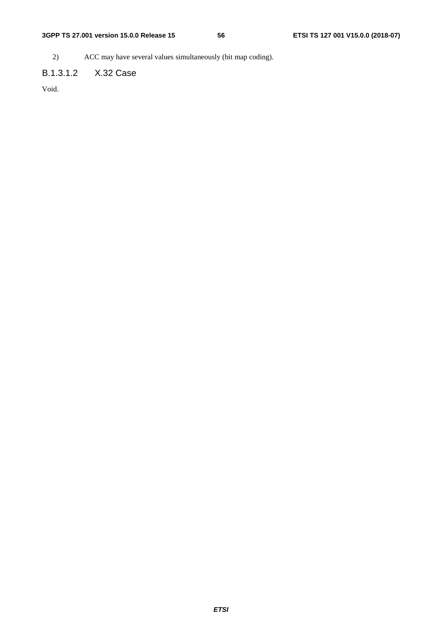2) ACC may have several values simultaneously (bit map coding).

## B.1.3.1.2 X.32 Case

Void.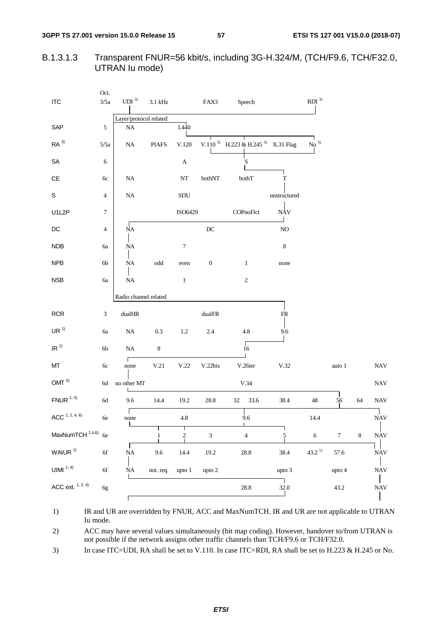57

#### Transparent FNUR=56 kbit/s, including 3G-H.324/M, (TCH/F9.6, TCH/F32.0, B.1.3.1.3 UTRAN lu mode)

|                               | Oct.             |                        |                      |                  |                     |                                                         |                |                                     |                  |         |            |
|-------------------------------|------------------|------------------------|----------------------|------------------|---------------------|---------------------------------------------------------|----------------|-------------------------------------|------------------|---------|------------|
| $\sf{ITC}$                    | $3/5a$           | UDI <sup>3)</sup>      | $3.1\,\mathrm{kHz}$  |                  | FAX3                | Speech                                                  |                | $\mathbf{R}\mathbf{D}\mathbf{I}$ 3) |                  |         |            |
|                               |                  | Layer/protocol related |                      |                  |                     |                                                         |                |                                     |                  |         |            |
| SAP                           | $\sqrt{5}$       | <b>NA</b>              |                      | I.440            |                     |                                                         |                |                                     |                  |         |            |
| RA <sup>3</sup>               | 5/5a             | $\rm NA$               | <b>PIAFS</b>         | V.120            |                     | V.110 <sup>3</sup> H.223 & H.245 <sup>3</sup> X.31 Flag |                | No <sup>3</sup>                     |                  |         |            |
| SA                            | 6                |                        |                      | $\mathbf A$      |                     | S                                                       |                |                                     |                  |         |            |
| $\mathsf{CE}% _{\mathcal{A}}$ | 6c               | <b>NA</b>              |                      | $\bf NT$         | bothNT              | bothT                                                   | T              |                                     |                  |         |            |
| S                             | 4                | $\rm NA$               |                      | SDU              |                     |                                                         | unstructured   |                                     |                  |         |            |
| U1L2P                         | $\boldsymbol{7}$ |                        |                      | ISO6429          |                     | COPnoFlct                                               | <b>NAV</b>     |                                     |                  |         |            |
| $\mathsf{DC}$                 | 4                | $\overline{NA}$        |                      |                  | $\operatorname{DC}$ |                                                         | $\rm NO$       |                                     |                  |         |            |
| NDB                           | бa               | $\rm NA$               |                      | $\boldsymbol{7}$ |                     |                                                         | $\,8\,$        |                                     |                  |         |            |
| <b>NPB</b>                    | 6b               | $\rm NA$               | $\operatorname{odd}$ | even             | $\boldsymbol{0}$    | $\mathbf{1}$                                            | none           |                                     |                  |         |            |
| <b>NSB</b>                    | 6a               | $\rm NA$               |                      | $\mathbf{1}$     |                     | $\sqrt{2}$                                              |                |                                     |                  |         |            |
|                               |                  | Radio channel related  |                      |                  |                     |                                                         |                |                                     |                  |         |            |
| RCR                           | 3                | $\text{dualHR}$        |                      |                  | $\text{dualFR}$     |                                                         | ${\sf FR}$     |                                     |                  |         |            |
| UR <sup>1</sup>               | 6a               | $\rm NA$               | 0.3                  | $1.2\,$          | 2.4                 | 4.8                                                     | 9.6            |                                     |                  |         |            |
| IR <sup>1</sup>               | 6 <sub>b</sub>   | $\rm NA$               | $\,8\,$              |                  |                     | $\sqrt{16}$                                             |                |                                     |                  |         |            |
| MT                            | 6c               | Г<br>none              | V.21                 | V.22             | V.22bis             | V.26ter                                                 | V.32           |                                     | auto 1           |         | <b>NAV</b> |
| OMT <sup>5</sup>              | $6\mathrm{d}$    | no other MT            |                      |                  |                     | V.34                                                    |                |                                     |                  |         | <b>NAV</b> |
| $FNUR$ <sup>1, 5)</sup>       | $6\mathrm{d}$    | 9.6                    | 14.4                 | 19.2             | $28.8\,$            | 33.6<br>32                                              | 38.4           | 48                                  | 56               | 64      | <b>NAV</b> |
| ACC <sup>1, 2, 4, 6</sup>     | 6e               | none                   |                      | $4.8\,$          |                     | 9.6                                                     |                | 14.4                                |                  |         | <b>NAV</b> |
| MaxNumTCH 1,4,6) 6e           |                  |                        | 1                    | $\overline{2}$   | $\mathfrak{Z}$      | $\sqrt{4}$                                              | $\overline{5}$ | $\sqrt{6}$                          | $\boldsymbol{7}$ | $\,8\,$ | <b>NAV</b> |
| WAIUR <sup>1)</sup>           | $6f$             | $\rm NA$               | 9.6                  | 14.4             | $19.2\,$            | $28.8\,$                                                | 38.4           | $43.2^{\,1)}$                       | 57.6             |         | <b>NAV</b> |
| UIMI $1, 4$                   | $6f$             | $\rm NA$               | not. req.            | upto 1           | upto 2              |                                                         | upto 3         |                                     | upto 4           |         | <b>NAV</b> |
| ACC ext. $1, 2, 4$            | 6g               |                        |                      |                  |                     | $28.8\,$                                                | 32.0           |                                     | 43.2             |         | <b>NAV</b> |
|                               |                  |                        |                      |                  |                     |                                                         |                |                                     |                  |         |            |

IR and UR are overridden by FNUR, ACC and MaxNumTCH. IR and UR are not applicable to UTRAN  $1)$ Iu mode.

ACC may have several values simultaneously (bit map coding). However, handover to/from UTRAN is 2) not possible if the network assigns other traffic channels than TCH/F9.6 or TCH/F32.0.

In case ITC=UDI, RA shall be set to V.110. In case ITC=RDI, RA shall be set to H.223 & H.245 or No. 3)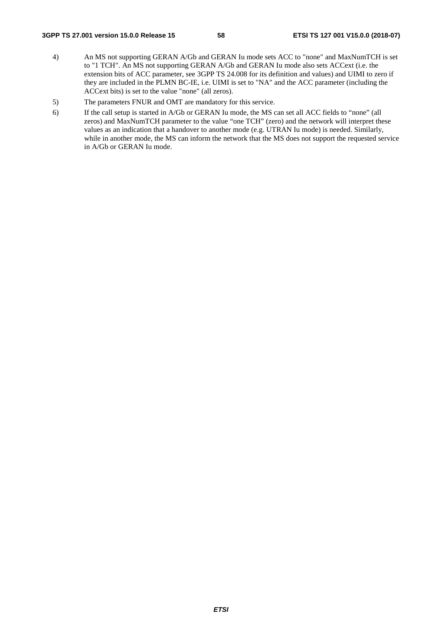### **3GPP TS 27.001 version 15.0.0 Release 15 58 ETSI TS 127 001 V15.0.0 (2018-07)**

- 4) An MS not supporting GERAN A/Gb and GERAN Iu mode sets ACC to "none" and MaxNumTCH is set to "1 TCH". An MS not supporting GERAN A/Gb and GERAN Iu mode also sets ACCext (i.e. the extension bits of ACC parameter, see 3GPP TS 24.008 for its definition and values) and UIMI to zero if they are included in the PLMN BC-IE, i.e. UIMI is set to "NA" and the ACC parameter (including the ACCext bits) is set to the value "none" (all zeros).
- 5) The parameters FNUR and OMT are mandatory for this service.
- 6) If the call setup is started in A/Gb or GERAN Iu mode, the MS can set all ACC fields to "none" (all zeros) and MaxNumTCH parameter to the value "one TCH" (zero) and the network will interpret these values as an indication that a handover to another mode (e.g. UTRAN Iu mode) is needed. Similarly, while in another mode, the MS can inform the network that the MS does not support the requested service in A/Gb or GERAN Iu mode.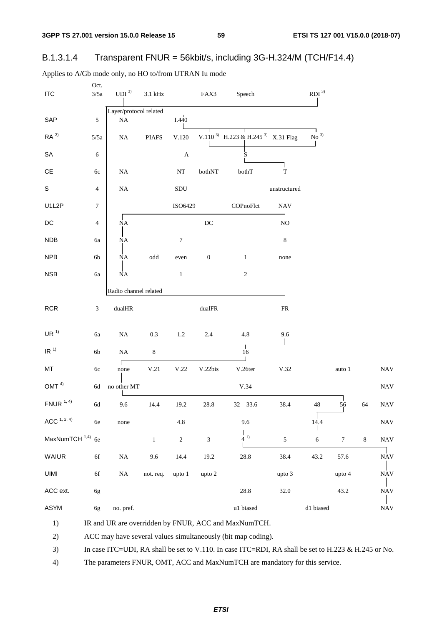59

#### Transparent FNUR = 56kbit/s, including 3G-H.324/M (TCH/F14.4) B.1.3.1.4

| <b>ITC</b>                    | Oct.<br>$3/5a$   | UDI <sup>3</sup>       | $3.1\ \mathrm{kHz}$  |                       | FAX3                        | Speech                                                    |                           | $\mathbf{R}\mathbf{D}\mathbf{I}$ 3) |                  |         |            |
|-------------------------------|------------------|------------------------|----------------------|-----------------------|-----------------------------|-----------------------------------------------------------|---------------------------|-------------------------------------|------------------|---------|------------|
|                               |                  | Layer/protocol related |                      |                       |                             |                                                           |                           |                                     |                  |         |            |
| SAP                           | $\sqrt{5}$       | $\rm NA$               |                      | I.440                 |                             |                                                           |                           |                                     |                  |         |            |
| RA <sup>3</sup>               | 5/5a             | $\rm NA$               | <b>PIAFS</b>         | V.120                 |                             | V.110 <sup>3)</sup> H.223 & H.245 <sup>3)</sup> X.31 Flag |                           | No <sup>3</sup>                     |                  |         |            |
| ${\sf SA}$                    | 6                |                        |                      | $\boldsymbol{\rm{A}}$ |                             | S                                                         |                           |                                     |                  |         |            |
| $\mathsf{CE}% _{\mathcal{A}}$ | 6c               | $\rm NA$               |                      | $\rm{NT}$             | bothNT                      | $\rm both T$                                              | T                         |                                     |                  |         |            |
| S                             | $\sqrt{4}$       | $\rm NA$               |                      | $\operatorname{SDU}$  |                             |                                                           | unstructured              |                                     |                  |         |            |
| U1L2P                         | $\boldsymbol{7}$ |                        |                      | ISO6429               |                             | COPnoFlct                                                 | $\ensuremath{\text{NAV}}$ |                                     |                  |         |            |
| $\mathsf{DC}$                 | 4                | NA                     |                      |                       | $\operatorname{DC}$         |                                                           | $\rm NO$                  |                                     |                  |         |            |
| <b>NDB</b>                    | 6a               | ŅA                     |                      | $\boldsymbol{7}$      |                             |                                                           | $\,8\,$                   |                                     |                  |         |            |
| NPB                           | 6b               | <b>NΑ</b>              | $\operatorname{odd}$ | even                  | $\boldsymbol{0}$            | $\mathbf{1}$                                              | none                      |                                     |                  |         |            |
| <b>NSB</b>                    | 6a               | <b>NΑ</b>              |                      | $\mathbf{1}$          |                             | $\sqrt{2}$                                                |                           |                                     |                  |         |            |
|                               |                  | Radio channel related  |                      |                       |                             |                                                           |                           |                                     |                  |         |            |
| <b>RCR</b>                    | $\mathfrak{Z}$   | dualHR                 |                      |                       | $\text{dualFR}$             |                                                           | ${\sf FR}$                |                                     |                  |         |            |
| UR <sup>1</sup>               | 6a               | $\rm NA$               | $0.3\,$              | 1.2                   | 2.4                         | 4.8                                                       | 9.6                       |                                     |                  |         |            |
| IR <sup>1</sup>               | $6\mathrm{b}$    | $\rm NA$               | $\,8\,$              |                       |                             | $\sqrt{16}$                                               |                           |                                     |                  |         |            |
| MT                            | $6c$             | none                   | V.21                 | V.22                  | V.22bis                     | V.26ter                                                   | V.32                      |                                     | auto $\sqrt{1}$  |         | <b>NAV</b> |
| OMT <sup>4</sup>              | 6d               | no other MT            |                      |                       |                             | V.34                                                      |                           |                                     |                  |         | <b>NAV</b> |
| $FNUR$ <sup>1, 4)</sup>       | $6\mathrm{d}$    | 9.6                    | 14.4                 | 19.2                  | 28.8                        | 32 33.6                                                   | 38.4                      | 48                                  | 56               | 64      | <b>NAV</b> |
| ACC <sup>1, 2, 4</sup>        | 6e               | none                   |                      | $4.8\,$               |                             | 9.6                                                       |                           | 14.4                                |                  |         | <b>NAV</b> |
| MaxNumTCH <sup>1,4)</sup> 6e  |                  |                        | $\mathbf{1}$         | $\sqrt{2}$            | $\ensuremath{\mathfrak{Z}}$ | $(4^{\circ})$                                             | $\mathfrak{S}$            | $\sqrt{6}$                          | $\boldsymbol{7}$ | $\,8\,$ | <b>NAV</b> |
| WAIUR                         | $6\mathrm{f}$    | $\rm NA$               | 9.6                  | 14.4                  | 19.2                        | 28.8                                                      | 38.4                      | 43.2                                | 57.6             |         | <b>NAV</b> |
| UIMI                          | $6f$             | $\rm NA$               | not. req.            | upto 1                | upto 2                      |                                                           | upto 3                    |                                     | upto 4           |         | <b>NAV</b> |
| ACC ext.                      | 6g               |                        |                      |                       |                             | $28.8\,$                                                  | 32.0                      |                                     | 43.2             |         | <b>NAV</b> |
| ASYM                          | 6g               | no. pref.              |                      |                       |                             | u1 biased                                                 |                           | d1 biased                           |                  |         | <b>NAV</b> |
| 1)                            |                  |                        |                      |                       |                             | IR and UR are overridden by FNUR, ACC and MaxNumTCH.      |                           |                                     |                  |         |            |

Applies to A/Gb mode only, no HO to/from UTRAN Iu mode

ACC may have several values simultaneously (bit map coding). 2)

 $3)$ In case ITC=UDI, RA shall be set to V.110. In case ITC=RDI, RA shall be set to H.223 & H.245 or No.

 $4)$ The parameters FNUR, OMT, ACC and MaxNumTCH are mandatory for this service.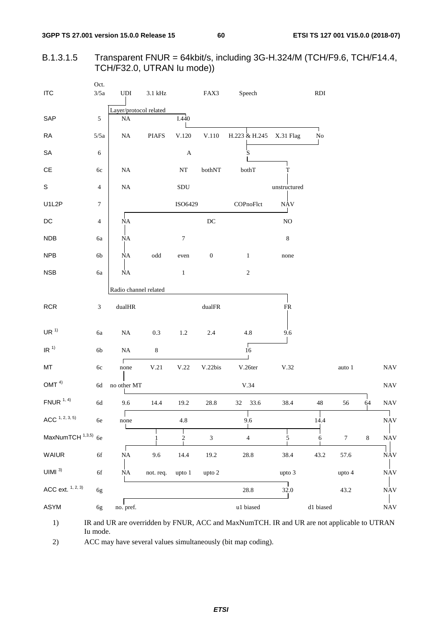60

#### Transparent FNUR = 64kbit/s, including 3G-H.324/M (TCH/F9.6, TCH/F14.4, B.1.3.1.5 TCH/F32.0, UTRAN lu mode))

| <b>ITC</b>                     | Oct.<br>3/5a   | $\ensuremath{\mathrm{UDI}}$ | $3.1\ \mathrm{kHz}$  |                       | FAX3                | Speech                                                                                     |              | RDI           |                  |         |                           |
|--------------------------------|----------------|-----------------------------|----------------------|-----------------------|---------------------|--------------------------------------------------------------------------------------------|--------------|---------------|------------------|---------|---------------------------|
|                                |                | Layer/protocol related      |                      |                       |                     |                                                                                            |              |               |                  |         |                           |
| SAP                            | $\sqrt{5}$     | $\rm NA$                    |                      | I.440                 |                     |                                                                                            |              |               |                  |         |                           |
| <b>RA</b>                      | 5/5a           | $\rm NA$                    | <b>PIAFS</b>         | V.120                 | V.110               | H.223 & H.245                                                                              | X.31 Flag    | ٦<br>$\rm No$ |                  |         |                           |
| ${\sf SA}$                     | $\sqrt{6}$     |                             |                      | $\boldsymbol{\rm{A}}$ |                     | S                                                                                          |              |               |                  |         |                           |
| $\mathsf{CE}% _{\mathcal{A}}$  | 6c             | $\rm NA$                    |                      | $\rm{NT}$             | bothNT              | bothT                                                                                      | T            |               |                  |         |                           |
| $\mathbb S$                    | 4              | $\rm NA$                    |                      | SDU                   |                     |                                                                                            | unstructured |               |                  |         |                           |
| U1L2P                          | 7              |                             |                      | ISO6429               |                     | COPnoFlct                                                                                  | <b>NAV</b>   |               |                  |         |                           |
| $\mathsf{DC}$                  | $\overline{4}$ | <b>NA</b>                   |                      |                       | $\operatorname{DC}$ |                                                                                            | $\rm NO$     |               |                  |         |                           |
| <b>NDB</b>                     | 6a             | <b>NA</b>                   |                      | $\boldsymbol{7}$      |                     |                                                                                            | $\,8\,$      |               |                  |         |                           |
| <b>NPB</b>                     | 6b             | <b>NA</b>                   | $\operatorname{odd}$ | even                  | $\boldsymbol{0}$    | $\mathbf{1}$                                                                               | none         |               |                  |         |                           |
| <b>NSB</b>                     | 6a             | $\rm NA$                    |                      | $\,1$                 |                     | $\sqrt{2}$                                                                                 |              |               |                  |         |                           |
|                                |                | Radio channel related       |                      |                       |                     |                                                                                            |              |               |                  |         |                           |
| RCR                            | 3              | $\text{dualHR}$             |                      |                       | $\text{dualFR}$     |                                                                                            | ${\rm FR}$   |               |                  |         |                           |
| UR <sup>1</sup>                | 6a             | $\rm NA$                    | 0.3                  | 1.2                   | 2.4                 | 4.8                                                                                        | 9.6          |               |                  |         |                           |
| IR <sup>1</sup>                | $6\mathrm{b}$  | $\rm NA$                    | $\,8\,$              |                       |                     | 16                                                                                         |              |               |                  |         |                           |
| MT                             | 6c             | Г<br>none                   | V.21                 | $\rm V.22$            | V.22bis             | V.26ter                                                                                    | V.32         |               | auto 1           |         | <b>NAV</b>                |
| OMT $4)$                       | $6\mathrm{d}$  | no other MT                 |                      |                       |                     | V.34                                                                                       |              |               |                  |         | <b>NAV</b>                |
| $FNUR$ <sup>1, 4)</sup>        | $6\mathrm{d}$  | 9.6                         | 14.4                 | 19.2                  | 28.8                | 33.6<br>32                                                                                 | 38.4         | $\sqrt{48}$   | 56               | 64      | $\ensuremath{\text{NAV}}$ |
| ACC <sup>1, 2, 3, 5</sup>      | $6\mathrm{e}$  | none                        |                      | 4.8                   |                     | 9.6                                                                                        |              | 14.4          |                  |         | <b>NAV</b>                |
| MaxNumTCH <sup>1,3,5)</sup> 6e |                |                             |                      | $\overline{2}$        | $\sqrt{3}$          | $\overline{4}$                                                                             | 5            | 6             | $\boldsymbol{7}$ | $\,8\,$ | $\it{NAV}$                |
| <b>WAIUR</b>                   | $6f$           | $\rm NA$                    | 9.6                  | 14.4                  | 19.2                | 28.8                                                                                       | 38.4         | 43.2          | 57.6             |         | <b>NAV</b>                |
| UIMI <sup>3</sup>              | $6f$           | $\rm NA$                    | not. req.            | upto 1                | upto 2              |                                                                                            | upto 3       |               | upto 4           |         | $\it{NAV}$                |
| ACC ext. $1, 2, 3$             | 6g             |                             |                      |                       |                     | 28.8                                                                                       | 32.0         |               | 43.2             |         | <b>NAV</b>                |
| ASYM                           | 6g             | no. pref.                   |                      |                       |                     | u1 biased                                                                                  |              | d1 biased     |                  |         | <b>NAV</b>                |
| 1)                             |                |                             |                      |                       |                     | IR and UR are overridden by FNUR, ACC and MaxNumTCH. IR and UR are not applicable to UTRAN |              |               |                  |         |                           |

Iu mode.

 $2)$ ACC may have several values simultaneously (bit map coding).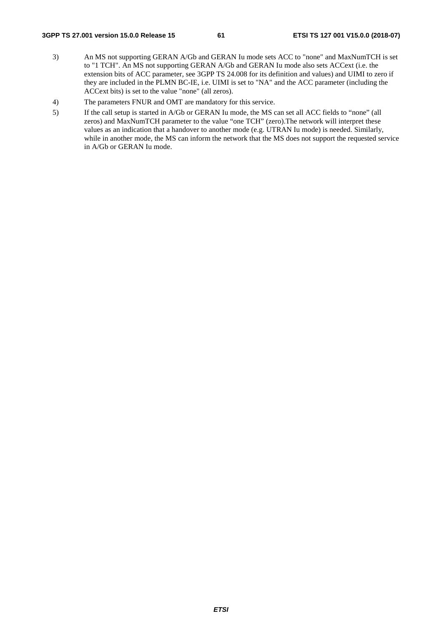### **3GPP TS 27.001 version 15.0.0 Release 15 61 ETSI TS 127 001 V15.0.0 (2018-07)**

- 3) An MS not supporting GERAN A/Gb and GERAN Iu mode sets ACC to "none" and MaxNumTCH is set to "1 TCH". An MS not supporting GERAN A/Gb and GERAN Iu mode also sets ACCext (i.e. the extension bits of ACC parameter, see 3GPP TS 24.008 for its definition and values) and UIMI to zero if they are included in the PLMN BC-IE, i.e. UIMI is set to "NA" and the ACC parameter (including the ACCext bits) is set to the value "none" (all zeros).
- 4) The parameters FNUR and OMT are mandatory for this service.
- 5) If the call setup is started in A/Gb or GERAN Iu mode, the MS can set all ACC fields to "none" (all zeros) and MaxNumTCH parameter to the value "one TCH" (zero).The network will interpret these values as an indication that a handover to another mode (e.g. UTRAN Iu mode) is needed. Similarly, while in another mode, the MS can inform the network that the MS does not support the requested service in A/Gb or GERAN Iu mode.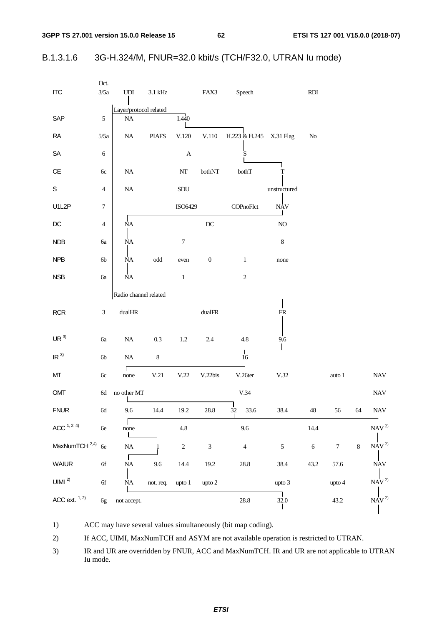62

#### 3G-H.324/M, FNUR=32.0 kbit/s (TCH/F32.0, UTRAN lu mode) B.1.3.1.6

| <b>ITC</b>                | Oct.<br>3/5a   | $\ensuremath{\mathrm{UDI}}$ | $3.1\,\mathrm{kHz}$  |                  | FAX3                    | Speech                  |              | $\mathbf{R}\mathbf{D}\mathbf{I}$ |                  |       |                                               |
|---------------------------|----------------|-----------------------------|----------------------|------------------|-------------------------|-------------------------|--------------|----------------------------------|------------------|-------|-----------------------------------------------|
|                           |                | Layer/protocol related      |                      |                  |                         |                         |              |                                  |                  |       |                                               |
| SAP                       | $\sqrt{5}$     | $\rm NA$                    |                      | I.440            |                         |                         |              |                                  |                  |       |                                               |
| <b>RA</b>                 | 5/5a           | $\rm NA$                    | <b>PIAFS</b>         | V.120            | V.110                   | H.223 & H.245 X.31 Flag |              | $\rm No$                         |                  |       |                                               |
| SA                        | $\sqrt{6}$     |                             |                      | $\mathbf A$      |                         | S                       |              |                                  |                  |       |                                               |
| $\mathsf{CE}$             | 6c             | $\rm NA$                    |                      | $\rm{NT}$        | $\mbox{both} \text{NT}$ | bothT                   | T            |                                  |                  |       |                                               |
| $\mathsf S$               | $\overline{4}$ | $\rm NA$                    |                      | SDU              |                         |                         | unstructured |                                  |                  |       |                                               |
| U1L2P                     | $\tau$         |                             |                      | ISO6429          |                         | COPnoFlct               | <b>NAV</b>   |                                  |                  |       |                                               |
| $D C$                     | $\overline{4}$ | $\rm NA$                    |                      |                  | $\operatorname{DC}$     |                         | $\rm NO$     |                                  |                  |       |                                               |
| NDB                       | бa             | <b>NΑ</b>                   |                      | $\boldsymbol{7}$ |                         |                         | $\,8\,$      |                                  |                  |       |                                               |
| NPB                       | 6 <sub>b</sub> | NA                          | $\operatorname{odd}$ | even             | $\boldsymbol{0}$        | $\mathbf{1}$            | none         |                                  |                  |       |                                               |
| NSB                       | <b>6a</b>      | $\rm NA$                    |                      | $\,1$            |                         | $\sqrt{2}$              |              |                                  |                  |       |                                               |
|                           |                | Radio channel related       |                      |                  |                         |                         |              |                                  |                  |       |                                               |
| RCR                       | $\mathfrak{Z}$ | $\text{dualHR}$             |                      |                  | $\text{dualFR}$         |                         | ${\sf FR}$   |                                  |                  |       |                                               |
| UR <sup>3</sup>           | <b>6a</b>      | $\rm NA$                    | $0.3\,$              | $1.2\,$          | $2.4\,$                 | $4.8\,$                 | 9.6          |                                  |                  |       |                                               |
| IR <sup>3</sup>           | $6b$           | $\rm NA$                    | $\,8\,$              |                  |                         | $\sqrt{16}$             |              |                                  |                  |       |                                               |
| MT                        | $6c$           | Г<br>none                   | V.21                 | V.22             | V.22bis                 | V.26ter                 | V.32         |                                  | auto 1           |       | $\ensuremath{\text{NAV}}$                     |
| OMT                       | $6\mathrm{d}$  | no other MT                 |                      |                  |                         | V.34                    |              |                                  |                  |       | <b>NAV</b>                                    |
| <b>FNUR</b>               | 6d             | 9.6                         | 14.4                 | 19.2             | 28.8                    | 32<br>33.6              | 38.4         | 48                               | 56               | 64    | <b>NAV</b>                                    |
| ACC <sup>1, 2, 4</sup>    | $6e$           | none                        |                      | $4.8\,$          |                         | 9.6                     |              | 14.4                             |                  |       | $N\text{\AA}V$ $^{2)}$                        |
| MaxNumTCH <sup>2,4)</sup> | 6e             | $\rm NA$                    |                      | $\sqrt{2}$       | $\mathfrak{Z}$          | $\overline{4}$          | $\sqrt{5}$   | $\sqrt{6}$                       | $\boldsymbol{7}$ | $8\,$ | $\mbox{NAV}^{\,2)}$                           |
| <b>WAIUR</b>              | $6f$           | $\mathbf{I}$<br>$\rm NA$    | 9.6                  | $14.4\,$         | $19.2\,$                | $28.8\,$                | 38.4         | 43.2                             | 57.6             |       | <b>NAV</b>                                    |
| $UIMI$ $^{2)}$            | $6f$           | $\rm NA$                    | not. req.            | upto 1           | upto 2                  |                         | upto 3       |                                  | upto 4           |       | $\ensuremath{\mbox{NA}}\xspace V^{2)}$        |
| ACC ext. $1, 2)$          | 6g             | not accept.                 |                      |                  |                         | 28.8                    | 32.0         |                                  | 43.2             |       | $\ensuremath{\mathop{\rm NAV}}\nolimits^1$ 2) |
|                           |                |                             |                      |                  |                         |                         |              |                                  |                  |       |                                               |

 $1)$ ACC may have several values simultaneously (bit map coding).

 $2)$ If ACC, UIMI, MaxNumTCH and ASYM are not available operation is restricted to UTRAN.

 $3)$ IR and UR are overridden by FNUR, ACC and MaxNumTCH. IR and UR are not applicable to UTRAN Iu mode.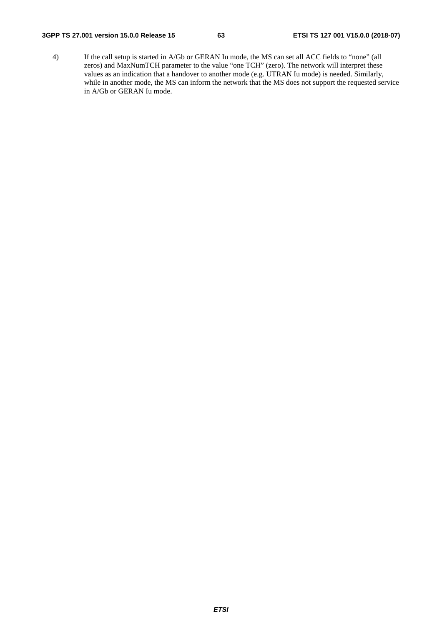### **3GPP TS 27.001 version 15.0.0 Release 15 63 ETSI TS 127 001 V15.0.0 (2018-07)**

4) If the call setup is started in A/Gb or GERAN Iu mode, the MS can set all ACC fields to "none" (all zeros) and MaxNumTCH parameter to the value "one TCH" (zero). The network will interpret these values as an indication that a handover to another mode (e.g. UTRAN Iu mode) is needed. Similarly, while in another mode, the MS can inform the network that the MS does not support the requested service in A/Gb or GERAN Iu mode.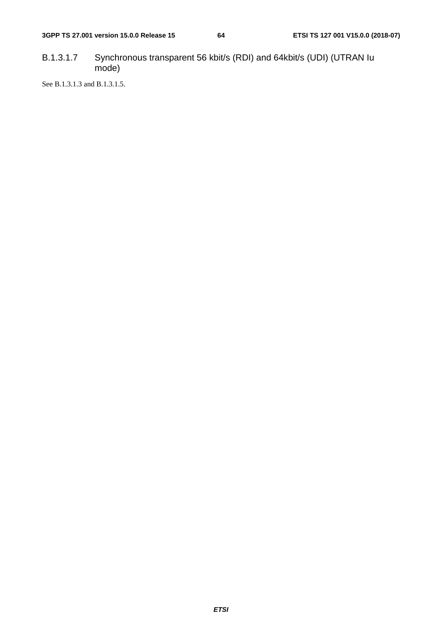B.1.3.1.7 Synchronous transparent 56 kbit/s (RDI) and 64kbit/s (UDI) (UTRAN Iu mode)

See B.1.3.1.3 and B.1.3.1.5.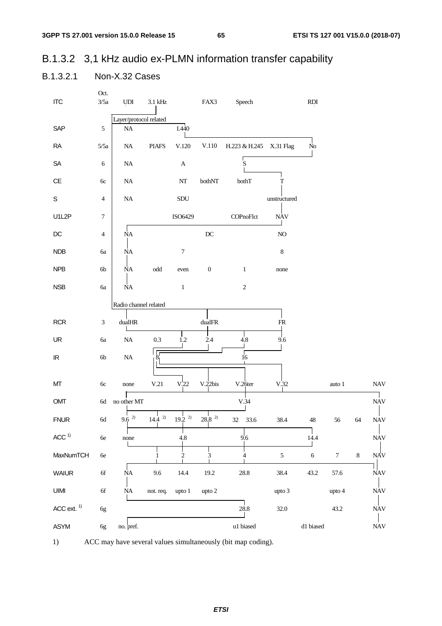65

## B.1.3.2 3,1 kHz audio ex-PLMN information transfer capability

#### B.1.3.2.1 Non-X.32 Cases

| <b>ITC</b>                        | Oct.<br>3/5a  | <b>UDI</b>             | $3.1$ kHz            |                  | FAX3                | Speech             |              | RDI            |        |       |                           |
|-----------------------------------|---------------|------------------------|----------------------|------------------|---------------------|--------------------|--------------|----------------|--------|-------|---------------------------|
|                                   |               | Layer/protocol related |                      |                  |                     |                    |              |                |        |       |                           |
| SAP                               | $\sqrt{5}$    | $\rm NA$               |                      | I.440            |                     |                    |              |                |        |       |                           |
| ${\sf RA}$                        | 5/5a          | $\rm NA$               | <b>PIAFS</b>         | V.120            | V.110               | H.223 & H.245      | X.31 Flag    | N <sub>o</sub> |        |       |                           |
| ${\sf SA}$                        | 6             | $\rm NA$               |                      | $\mathbf A$      |                     | $\mathbf{\dot{S}}$ |              |                |        |       |                           |
| $\mathsf{CE}$                     | 6c            | $\rm NA$               |                      | $\rm{NT}$        | bothNT              | bothT              | $\mathbf T$  |                |        |       |                           |
| $\mathbb S$                       | 4             | $\rm NA$               |                      | SDU              |                     |                    | unstructured |                |        |       |                           |
| U1L2P                             | 7             |                        |                      | ISO6429          |                     | COPnoFlct          | <b>NAV</b>   |                |        |       |                           |
| $\mathsf{DC}$                     | 4             | <b>NΑ</b>              |                      |                  | $\operatorname{DC}$ |                    | $\rm NO$     |                |        |       |                           |
| NDB                               | бa            | <b>ΝΑ</b>              |                      | $\overline{7}$   |                     |                    | $\,$ $\,$    |                |        |       |                           |
| NPB                               | 6b            | <b>NΑ</b>              | $\operatorname{odd}$ | even             | $\boldsymbol{0}$    | $\mathbf{1}$       | none         |                |        |       |                           |
| <b>NSB</b>                        | 6a            | <b>NΑ</b>              |                      | $\,1$            |                     | $\sqrt{2}$         |              |                |        |       |                           |
|                                   |               | Radio channel related  |                      |                  |                     |                    |              |                |        |       |                           |
| <b>RCR</b>                        | 3             | dualHR                 |                      |                  | dualFR              |                    | ${\sf FR}$   |                |        |       |                           |
| UR                                | 6a            | $\rm NA$               | 0.3                  | 1.2              | 2.4                 | $4.8\,$            | 9.6          |                |        |       |                           |
| $\ensuremath{\mathsf{IR}}\xspace$ | $6b$          | $\rm NA$               | δ                    |                  |                     | $\sqrt{16}$        |              |                |        |       |                           |
|                                   |               |                        |                      |                  |                     |                    |              |                |        |       |                           |
| МT                                | 6c            | none                   | V.21                 | V <sub>.22</sub> | V.22bis             | V.26ter            | V.32         |                | auto 1 |       | <b>NAV</b>                |
| OMT                               | 6d            | no other MT            |                      |                  |                     | V.34               |              |                |        |       | <b>NAV</b>                |
| <b>FNUR</b>                       | $6\mathrm{d}$ | $9.6^{2}$              | 2)<br>14.4           | 2)<br>19.2       | $28.8~^{2)}$        | $32\,$<br>33.6     | 38.4         | $\sqrt{48}$    | 56     | 64    | <b>NAV</b>                |
| ACC <sup>1</sup>                  | 6e            | none                   |                      | 4.8              |                     | 9.6                |              | 14.4           |        |       | $\ensuremath{\text{NAV}}$ |
| MaxNumTCH                         | $6e$          |                        | 1                    | $\overline{c}$   | 3                   | 4                  | $\sqrt{5}$   | $\sqrt{6}$     | $\tau$ | $8\,$ | <b>NAV</b>                |
| <b>WAIUR</b>                      | $6f$          | <b>NA</b>              | 9.6                  | 14.4             | 19.2                | 28.8               | 38.4         | 43.2           | 57.6   |       | $\ensuremath{\text{NAV}}$ |
| UIMI                              | $6f$          | $\rm NA$               | not. req.            | upto 1           | upto 2              |                    | upto 3       |                | upto 4 |       | <b>NAV</b>                |
| $ACC$ ext. $1)$                   | 6g            |                        |                      |                  |                     | 28.8               | 32.0         |                | 43.2   |       | <b>NAV</b>                |
| ASYM                              | 6g            | no. pref.              |                      |                  |                     | u1 biased          |              | d1 biased      |        |       | $\ensuremath{\text{NAV}}$ |



ACC may have several values simultaneously (bit map coding).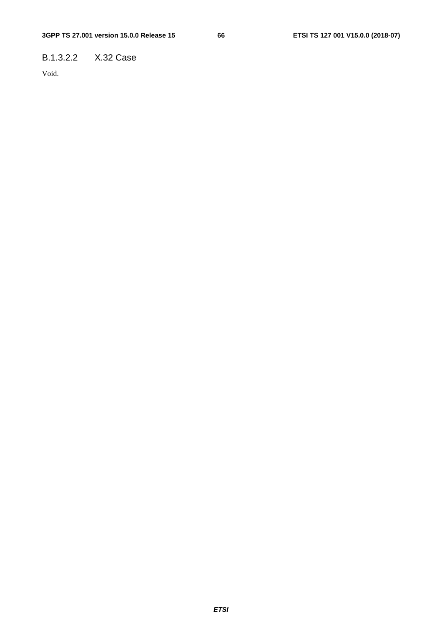## B.1.3.2.2 X.32 Case

Void.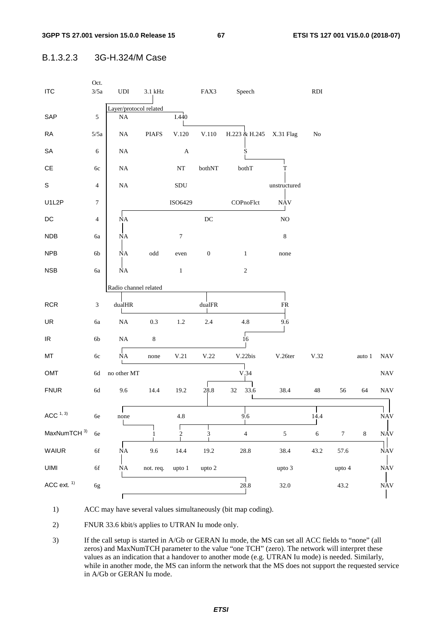B.1.3.2.3 3G-H.324/M Case



1) ACC may have several values simultaneously (bit map coding).

2) FNUR 33.6 kbit/s applies to UTRAN Iu mode only.

3) If the call setup is started in A/Gb or GERAN Iu mode, the MS can set all ACC fields to "none" (all zeros) and MaxNumTCH parameter to the value "one TCH" (zero). The network will interpret these values as an indication that a handover to another mode (e.g. UTRAN Iu mode) is needed. Similarly, while in another mode, the MS can inform the network that the MS does not support the requested service in A/Gb or GERAN Iu mode.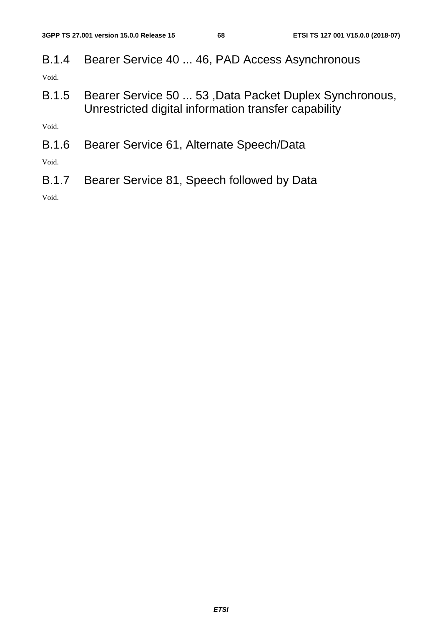B.1.4 Bearer Service 40 ... 46, PAD Access Asynchronous

Void.

B.1.5 Bearer Service 50 ... 53 ,Data Packet Duplex Synchronous, Unrestricted digital information transfer capability

Void.

B.1.6 Bearer Service 61, Alternate Speech/Data

Void.

B.1.7 Bearer Service 81, Speech followed by Data

Void.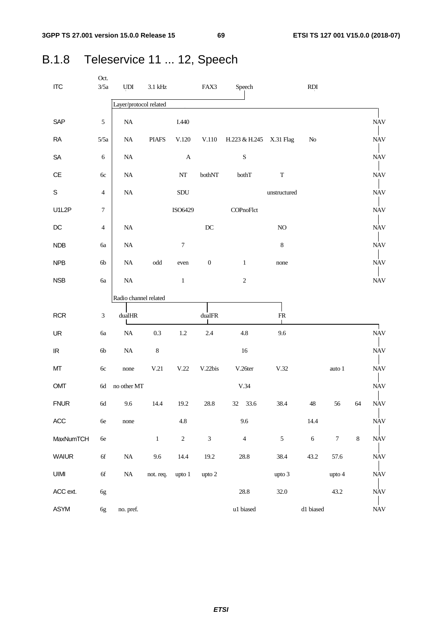# B.1.8 Teleservice 11 ... 12, Speech

| <b>ITC</b>                        | Oct.<br>3/5a   | $\ensuremath{\mathrm{UDI}}$ | $3.1\,\mathrm{kHz}$  |                  | FAX3             | Speech                  |                | <b>RDI</b>      |                  |         |                           |
|-----------------------------------|----------------|-----------------------------|----------------------|------------------|------------------|-------------------------|----------------|-----------------|------------------|---------|---------------------------|
|                                   |                | Layer/protocol related      |                      |                  |                  |                         |                |                 |                  |         |                           |
| SAP                               | 5              | $\rm NA$                    |                      | I.440            |                  |                         |                |                 |                  |         | <b>NAV</b>                |
| RA                                | 5/5a           | NA                          | <b>PIAFS</b>         | $\rm V.120$      | V.110            | H.223 & H.245 X.31 Flag |                | No              |                  |         | <b>NAV</b>                |
| SA                                | 6              | $\rm NA$                    |                      | A                |                  | ${\bf S}$               |                |                 |                  |         | <b>NAV</b>                |
| CE                                | 6c             | $\rm NA$                    |                      | $\mathbf{NT}$    | bothNT           | bothT                   | $\mathbf T$    |                 |                  |         | <b>NAV</b>                |
| S                                 | 4              | $\rm NA$                    |                      | SDU              |                  |                         | unstructured   |                 |                  |         | <b>NAV</b>                |
| U1L2P                             | $\tau$         |                             |                      | ISO6429          |                  | COPnoFlct               |                |                 |                  |         | <b>NAV</b>                |
| $DC$                              | $\overline{4}$ | NA                          |                      |                  | DC               |                         | $\rm NO$       |                 |                  |         | <b>NAV</b>                |
| <b>NDB</b>                        | 6a             | $\rm NA$                    |                      | $\boldsymbol{7}$ |                  |                         | $\,8\,$        |                 |                  |         | <b>NAV</b>                |
| <b>NPB</b>                        | 6 <sub>b</sub> | $\rm NA$                    | $\operatorname{odd}$ | even             | $\boldsymbol{0}$ | $\mathbf{1}$            | none           |                 |                  |         | <b>NAV</b>                |
| <b>NSB</b>                        | 6a             | $\rm NA$                    |                      | $\mathbf{1}$     |                  | $\sqrt{2}$              |                |                 |                  |         | <b>NAV</b>                |
|                                   |                | Radio channel related       |                      |                  |                  |                         |                |                 |                  |         |                           |
| <b>RCR</b>                        | $\mathfrak{Z}$ | dualHR                      |                      |                  | $\text{dualFR}$  |                         | ${\sf FR}$     |                 |                  |         |                           |
| UR                                | 6a             | $\rm NA$                    | 0.3                  | 1.2              | 2.4              | 4.8                     | 9.6            |                 |                  |         | $\ensuremath{\text{NAV}}$ |
| $\ensuremath{\mathsf{IR}}\xspace$ | 6b             | $\rm NA$                    | $\,8\,$              |                  |                  | 16                      |                |                 |                  |         | <b>NAV</b>                |
| MT                                | 6c             | none                        | V.21                 | V.22             | V.22bis          | V.26ter                 | V.32           |                 | auto 1           |         | <b>NAV</b>                |
| OMT                               | 6d             | no other MT                 |                      |                  |                  | V.34                    |                |                 |                  |         | <b>NAV</b>                |
| <b>FNUR</b>                       | 6d             | 9.6                         | 14.4                 | 19.2             | $28.8\,$         | 32 33.6                 | 38.4           | 48              | 56               | 64      | <b>NAV</b>                |
| $\mathsf{ACC}$                    | 6e             | none                        |                      | $4.8\,$          |                  | 9.6                     |                | 14.4            |                  |         | <b>NAV</b>                |
| MaxNumTCH                         | $6e$           |                             | $\,1$                | $\overline{c}$   | $\overline{3}$   | $\overline{4}$          | 5 <sup>5</sup> | $6\phantom{.}6$ | $\boldsymbol{7}$ | $\,8\,$ | $\ensuremath{\text{NAV}}$ |
| <b>WAIUR</b>                      | 6f             | $\rm NA$                    | 9.6                  | 14.4             | 19.2             | 28.8                    | 38.4           | 43.2            | 57.6             |         | <b>NAV</b>                |
| UIMI                              | 6f             | $\rm NA$                    | not. req.            | upto 1           | upto 2           |                         | upto 3         |                 | upto 4           |         | <b>NAV</b>                |
| ACC ext.                          | 6g             |                             |                      |                  |                  | 28.8                    | 32.0           |                 | 43.2             |         | NAV                       |
| ASYM                              | 6g             | no. pref.                   |                      |                  |                  | u1 biased               |                | d1 biased       |                  |         | $\ensuremath{\text{NAV}}$ |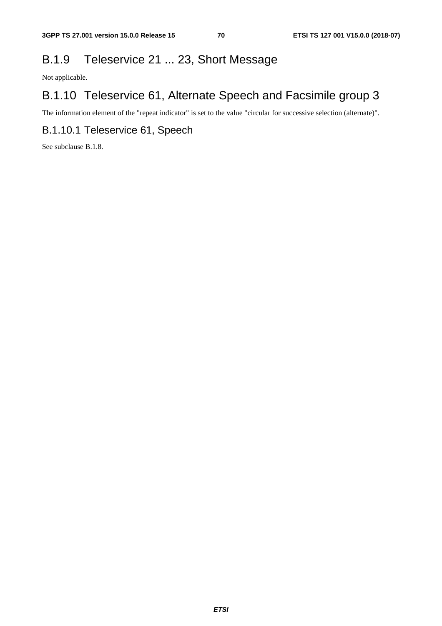# B.1.9 Teleservice 21 ... 23, Short Message

Not applicable.

# B.1.10 Teleservice 61, Alternate Speech and Facsimile group 3

The information element of the "repeat indicator" is set to the value "circular for successive selection (alternate)".

## B.1.10.1 Teleservice 61, Speech

See subclause B.1.8.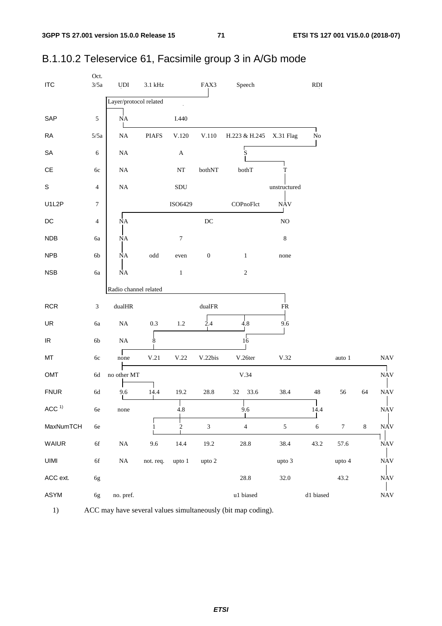| <b>ITC</b>                        | Oct.<br>$3/5a$ | <b>UDI</b>             | $3.1\ \mathrm{kHz}$  |                      | FAX3                        | Speech        |              | <b>RDI</b> |                  |         |            |
|-----------------------------------|----------------|------------------------|----------------------|----------------------|-----------------------------|---------------|--------------|------------|------------------|---------|------------|
|                                   |                | Layer/protocol related |                      | $\ddot{\phantom{a}}$ |                             |               |              |            |                  |         |            |
| SAP                               | $\sqrt{5}$     | <b>NA</b>              |                      | I.440                |                             |               |              |            |                  |         |            |
| RA                                | 5/5a           | $\rm NA$               | <b>PIAFS</b>         | V.120                | $V.110$                     | H.223 & H.245 | X.31 Flag    | $\rm No$   |                  |         |            |
| ${\sf SA}$                        | 6              | $\rm NA$               |                      | $\mathbf A$          |                             | S             |              |            |                  |         |            |
| $\mathsf{CE}% _{\mathcal{A}}$     | 6c             | $\rm NA$               |                      | $\bf NT$             | bothNT                      | bothT         | T            |            |                  |         |            |
| $\mathsf S$                       | $\overline{4}$ | $\rm NA$               |                      | ${\rm SDU}$          |                             |               | unstructured |            |                  |         |            |
| U1L2P                             | 7              |                        |                      | ISO6429              |                             | COPnoFlct     | <b>NAV</b>   |            |                  |         |            |
| $\mathsf{DC}$                     | $\overline{4}$ | ΝA                     |                      |                      | $\operatorname{DC}$         |               | $\rm NO$     |            |                  |         |            |
| <b>NDB</b>                        | бa             | <b>NΑ</b>              |                      | 7                    |                             |               | $\,8\,$      |            |                  |         |            |
| <b>NPB</b>                        | 6b             | <b>NΑ</b>              | $\operatorname{odd}$ | even                 | $\boldsymbol{0}$            | $\,1\,$       | none         |            |                  |         |            |
| <b>NSB</b>                        | <b>6a</b>      | ΝA                     |                      | $\mathbf 1$          |                             | $\sqrt{2}$    |              |            |                  |         |            |
|                                   |                | Radio channel related  |                      |                      |                             |               |              |            |                  |         |            |
| RCR                               | 3              | $\text{dualHR}$        |                      |                      | $\text{dualFR}$             |               | ${\sf FR}$   |            |                  |         |            |
| UR                                | $6\mathrm{a}$  | $\rm NA$               | 0.3                  | $1.2\,$              | $\dot{2}$ .4                | 4.8           | 9.6          |            |                  |         |            |
| $\ensuremath{\mathsf{IR}}\xspace$ | $6\mathrm{b}$  | $\rm NA$               | 8                    |                      |                             | $\sqrt{16}$   |              |            |                  |         |            |
| MT                                | $6c$           | none                   | $\rm V.21$           | $\rm V.22$           | V.22bis                     | V.26ter       | $\rm V.32$   |            | auto $1\,$       |         | <b>NAV</b> |
| OMT                               | $6d$           | no other MT            |                      |                      |                             | V.34          |              |            |                  |         | <b>NAV</b> |
| <b>FNUR</b>                       | $6\mathrm{d}$  | 9.6                    | 14.4                 | 19.2                 | $28.8\,$                    | 33.6<br>32    | 38.4         | 48         | 56               | 64      | <b>NAV</b> |
| ACC <sup>1</sup>                  | $6\mathrm{e}$  | none                   |                      | 4.8                  |                             | 9.6           |              | 14.4       |                  |         | <b>NAV</b> |
| MaxNumTCH                         | $6\mathrm{e}$  |                        |                      | $\sqrt{2}$           | $\ensuremath{\mathfrak{Z}}$ | $\sqrt{4}$    | $\sqrt{5}$   | $\sqrt{6}$ | $\boldsymbol{7}$ | $\,8\,$ | <b>NAV</b> |
| WAIUR                             | 6f             | $\rm NA$               | 9.6                  | 14.4                 | 19.2                        | $28.8\,$      | 38.4         | 43.2       | 57.6             |         | <b>NAV</b> |
| UIMI                              | $6f$           | $\rm NA$               | not. req.            | upto 1               | upto 2                      |               | upto 3       |            | upto 4           |         | <b>NAV</b> |
| ACC ext.                          | 6g             |                        |                      |                      |                             | $28.8\,$      | 32.0         |            | 43.2             |         | <b>NAV</b> |
| ASYM                              | 6g             | no. pref.              |                      |                      |                             | u1 biased     |              | d1 biased  |                  |         | <b>NAV</b> |

## B.1.10.2 Teleservice 61, Facsimile group 3 in A/Gb mode



ACC may have several values simultaneously (bit map coding).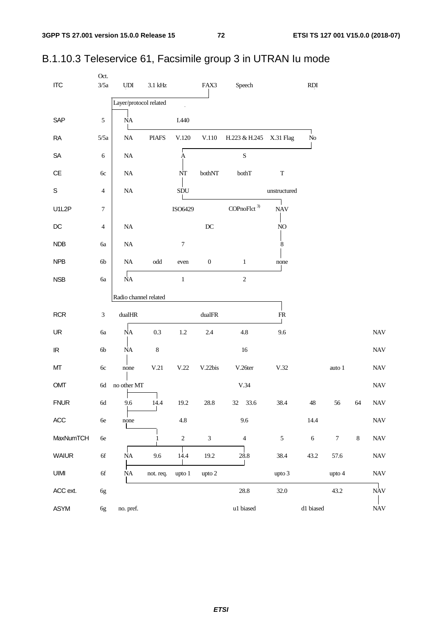| <b>ITC</b>                        | Oct.<br>3/5a   | $\ensuremath{\mathrm{UDI}}$ | $3.1\,\mathrm{kHz}$  |                  | FAX3                | Speech                  |              | $\mathop{\rm RDI}$ |                  |         |                           |
|-----------------------------------|----------------|-----------------------------|----------------------|------------------|---------------------|-------------------------|--------------|--------------------|------------------|---------|---------------------------|
|                                   |                | Layer/protocol related      |                      |                  |                     |                         |              |                    |                  |         |                           |
| SAP                               | $\sqrt{5}$     | <b>NA</b>                   |                      | I.440            |                     |                         |              |                    |                  |         |                           |
| <b>RA</b>                         | 5/5a           | $\rm NA$                    | <b>PIAFS</b>         | V.120            | V.110               | H.223 & H.245 X.31 Flag |              | ${\rm No}$         |                  |         |                           |
| SA                                | $\sqrt{6}$     | $\rm NA$                    |                      | Ą                |                     | $\mathbf S$             |              |                    |                  |         |                           |
| $\mathsf{CE}$                     | 6c             | $\rm NA$                    |                      | NT               | bothNT              | bothT                   | $\mathbf T$  |                    |                  |         |                           |
| $\mathbf S$                       | $\overline{4}$ | $\rm NA$                    |                      | SDU              |                     |                         | unstructured |                    |                  |         |                           |
| U1L2P                             | $\tau$         |                             |                      | ISO6429          |                     | COPnoFlct <sup>3)</sup> | <b>NAV</b>   |                    |                  |         |                           |
| $DC$                              | $\overline{4}$ | $\rm NA$                    |                      |                  | $\operatorname{DC}$ |                         | $\rm NO$     |                    |                  |         |                           |
| NDB                               | бa             | $\rm NA$                    |                      | $\boldsymbol{7}$ |                     |                         | 8            |                    |                  |         |                           |
| <b>NPB</b>                        | 6b             | $\rm NA$                    | $\operatorname{odd}$ | even             | $\boldsymbol{0}$    | $\mathbf{1}$            | none         |                    |                  |         |                           |
| <b>NSB</b>                        | 6a             | <b>NΑ</b>                   |                      | $\,1$            |                     | $\sqrt{2}$              |              |                    |                  |         |                           |
|                                   |                | Radio channel related       |                      |                  |                     |                         |              |                    |                  |         |                           |
| <b>RCR</b>                        | $\mathfrak{Z}$ | $\text{dualHR}$             |                      |                  | $\text{dualFR}$     |                         | ${\sf FR}$   |                    |                  |         |                           |
| UR                                | 6a             | $\rm NA$                    | 0.3                  | $1.2\,$          | 2.4                 | 4.8                     | 9.6          |                    |                  |         | <b>NAV</b>                |
| $\ensuremath{\mathsf{IR}}\xspace$ | $6b$           | $\rm NA$                    | $\,$ 8 $\,$          |                  |                     | $16\,$                  |              |                    |                  |         | <b>NAV</b>                |
| MT                                | 6c             | none                        | V.21                 | V.22             | V.22bis             | V.26ter                 | V.32         |                    | auto 1           |         | <b>NAV</b>                |
| OMT                               | $6d\,$         | no other MT                 |                      |                  |                     | V.34                    |              |                    |                  |         | <b>NAV</b>                |
| <b>FNUR</b>                       | $6\mathrm{d}$  | 9.6                         | 14.4                 | 19.2             | 28.8                | 33.6<br>32              | 38.4         | $\sqrt{48}$        | 56               | 64      | <b>NAV</b>                |
| ACC                               | 6e             | none                        |                      | 4.8              |                     | 9.6                     |              | 14.4               |                  |         | <b>NAV</b>                |
| MaxNumTCH                         | 6e             |                             | 1                    | $\sqrt{2}$       | $\mathfrak{Z}$      | $\overline{4}$          | $\sqrt{5}$   | $\sqrt{6}$         | $\boldsymbol{7}$ | $\,8\,$ | <b>NAV</b>                |
| <b>WAIUR</b>                      | $6f$           | <b>NA</b>                   | 9.6                  | 14.4             | 19.2                | 28.8                    | 38.4         | 43.2               | 57.6             |         | <b>NAV</b>                |
| <b>UIMI</b>                       | $6f$           | NA                          | not. req.            | upto 1           | upto 2              |                         | upto 3       |                    | upto 4           |         | <b>NAV</b>                |
| ACC ext.                          | 6g             |                             |                      |                  |                     | 28.8                    | 32.0         |                    | 43.2             |         | <b>NAV</b>                |
| ASYM                              | 6g             | no. pref.                   |                      |                  |                     | $\,$ u1 biased          |              | $\,$ d1 biased     |                  |         | $\ensuremath{\text{NAV}}$ |

### B.1.10.3 Teleservice 61, Facsimile group 3 in UTRAN Iu mode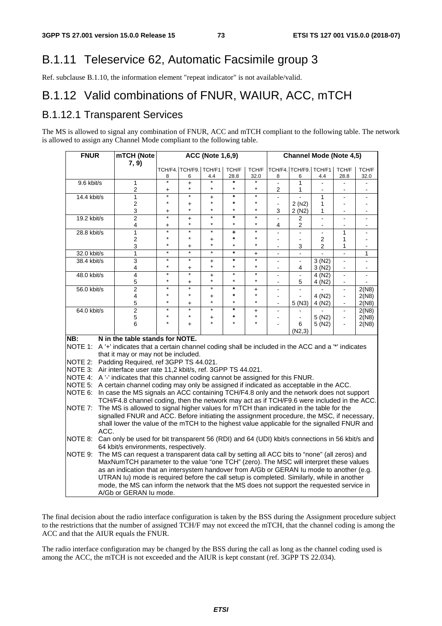## B.1.11 Teleservice 62, Automatic Facsimile group 3

Ref. subclause B.1.10, the information element "repeat indicator" is not available/valid.

## B.1.12 Valid combinations of FNUR, WAIUR, ACC, mTCH

### B.1.12.1 Transparent Services

The MS is allowed to signal any combination of FNUR, ACC and mTCH compliant to the following table. The network is allowed to assign any Channel Mode compliant to the following table.

| <b>FNUR</b>                |      | mTCH (Note                                                                                                                                                                         |                      |                             | <b>ACC (Note 1,6,9)</b> |                    |                      |                                  | <b>Channel Mode (Note 4,5)</b> |                                  |                                          |                     |
|----------------------------|------|------------------------------------------------------------------------------------------------------------------------------------------------------------------------------------|----------------------|-----------------------------|-------------------------|--------------------|----------------------|----------------------------------|--------------------------------|----------------------------------|------------------------------------------|---------------------|
|                            |      | 7, 9)                                                                                                                                                                              |                      |                             |                         |                    |                      |                                  |                                |                                  |                                          |                     |
|                            |      |                                                                                                                                                                                    | 8                    | TCH/F4. TCH/F9. TCH/F1<br>6 | 4.4                     | TCH/F<br>28.8      | TCH/F<br>32.0        | 8                                | TCH/F4. TCH/F9. TCH/F1<br>6    | 4.4                              | TCH/F<br>28.8                            | TCH/F<br>32.0       |
| 9.6 kbit/s                 |      | $\mathbf{1}$<br>2                                                                                                                                                                  | $\star$<br>+         | $\ddot{}$<br>$\star$        | $\star$                 | $\star$            | $\star$              | 2                                | 1<br>1                         |                                  |                                          |                     |
| 14.4 kbit/s                |      | $\mathbf{1}$                                                                                                                                                                       | $\star$              | $\star$                     | $\ddot{}$               | $\star$            | $\star$              |                                  |                                | 1                                |                                          |                     |
|                            |      | 2                                                                                                                                                                                  | $\star$              | $\ddot{}$                   | $\star$                 | $\star$            | $\star$              | $\blacksquare$                   | 2(N2)                          | 1                                | $\overline{a}$                           |                     |
|                            |      | 3                                                                                                                                                                                  | $\ddot{}$<br>$\star$ |                             | $\star$<br>$\ast$       | $\star$<br>$\ast$  | $\star$<br>$\ast$    | 3                                | 2(N2)                          | 1                                |                                          |                     |
| 19.2 kbit/s                |      | $\overline{2}$<br>4                                                                                                                                                                | $\ddot{}$            | $\ddot{}$                   | $\star$                 | $\star$            | $\star$              | $\overline{a}$<br>4              | 2<br>2                         | $\overline{a}$<br>$\blacksquare$ | $\mathbf{r}$<br>$\overline{\phantom{a}}$ | $\overline{a}$<br>۰ |
| 28.8 kbit/s                |      | $\mathbf{1}$                                                                                                                                                                       | $\star$              | ¥                           | ¥                       | ٠                  | $\star$              | $\overline{a}$                   | ä,                             | $\overline{\phantom{a}}$         | 1                                        |                     |
|                            |      | $\overline{2}$                                                                                                                                                                     | $\star$<br>$\star$   | ÷                           | $\ddot{}$<br>$\star$    | $\star$<br>$\star$ | ÷<br>÷               | ÷.                               | $\blacksquare$                 | $\overline{2}$                   | 1                                        | $\blacksquare$      |
|                            |      | 3<br>$\mathbf{1}$                                                                                                                                                                  | $\star$              | +<br>÷                      | $\ast$                  | $\star$            |                      | $\blacksquare$                   | 3                              | $\overline{2}$                   | 1<br>$\overline{a}$                      | $\blacksquare$<br>1 |
| 32.0 kbit/s<br>38.4 kbit/s |      | 3                                                                                                                                                                                  | $\star$              | $\star$                     | $\ddot{}$               | $\star$            | $+$<br>¥             | $\overline{a}$<br>$\overline{a}$ | $\overline{\phantom{a}}$<br>ä, | 3(N2)                            | ä,                                       |                     |
|                            |      | 4                                                                                                                                                                                  | $\star$              | $\ddot{}$                   | $\star$                 | $\star$            | $\star$              |                                  | 4                              | 3(N2)                            |                                          | $\blacksquare$      |
| 48.0 kbit/s                |      | 4                                                                                                                                                                                  | $\star$<br>$\star$   | $\star$                     | $\ddot{}$<br>$\star$    | $\star$<br>$\star$ | $\star$<br>$\star$   | $\blacksquare$                   | L.                             | 4 (N2)                           | $\blacksquare$                           |                     |
| 56.0 kbit/s                |      | 5<br>$\overline{2}$                                                                                                                                                                | $\star$              | +<br>$\star$                | $\star$                 | $\star$            |                      | $\blacksquare$                   | 5                              | 4 (N2)                           | $\overline{a}$                           | 2(N8)               |
|                            |      | 4                                                                                                                                                                                  | $\star$              | $\star$                     | $\ddot{}$               | $\star$            | $\ddot{}$<br>$\star$ | $\blacksquare$                   |                                | 4 (N <sub>2</sub> )              | $\blacksquare$                           | 2(N8)               |
|                            |      | 5                                                                                                                                                                                  | $\star$              | +                           | $\star$                 | $\star$            | $\star$              |                                  | 5 (N3)                         | 4 (N2)                           |                                          | 2(N8)               |
| 64.0 kbit/s                |      | $\overline{2}$                                                                                                                                                                     | $\star$              | $\star$                     | $\star$                 | $\star$            | +                    |                                  |                                |                                  | $\blacksquare$                           | 2(N8)               |
|                            |      | 5                                                                                                                                                                                  | $\star$              | $\star$                     | $\ddot{}$               | $\star$            | $\star$              |                                  | ä,                             | 5 (N2)                           | $\blacksquare$                           | 2(N8)               |
|                            |      | 6                                                                                                                                                                                  | $\star$              | $\ddot{}$                   | ÷                       | $\star$            | $\star$              |                                  | 6<br>(N2,3)                    | 5(N2)                            | $\blacksquare$                           | 2(N8)               |
| NB:                        |      | N in the table stands for NOTE.                                                                                                                                                    |                      |                             |                         |                    |                      |                                  |                                |                                  |                                          |                     |
|                            |      | NOTE 1: A '+' indicates that a certain channel coding shall be included in the ACC and a '*' indicates                                                                             |                      |                             |                         |                    |                      |                                  |                                |                                  |                                          |                     |
|                            |      | that it may or may not be included.                                                                                                                                                |                      |                             |                         |                    |                      |                                  |                                |                                  |                                          |                     |
|                            |      | NOTE 2: Padding Required, ref 3GPP TS 44.021.                                                                                                                                      |                      |                             |                         |                    |                      |                                  |                                |                                  |                                          |                     |
|                            |      | NOTE 3: Air interface user rate 11,2 kbit/s, ref. 3GPP TS 44.021.                                                                                                                  |                      |                             |                         |                    |                      |                                  |                                |                                  |                                          |                     |
|                            |      | NOTE 4: A '-' indicates that this channel coding cannot be assigned for this FNUR.<br>NOTE 5: A certain channel coding may only be assigned if indicated as acceptable in the ACC. |                      |                             |                         |                    |                      |                                  |                                |                                  |                                          |                     |
|                            |      | NOTE 6: In case the MS signals an ACC containing TCH/F4.8 only and the network does not support                                                                                    |                      |                             |                         |                    |                      |                                  |                                |                                  |                                          |                     |
|                            |      | TCH/F4.8 channel coding, then the network may act as if TCH/F9.6 were included in the ACC.                                                                                         |                      |                             |                         |                    |                      |                                  |                                |                                  |                                          |                     |
| NOTE 7:                    |      | The MS is allowed to signal higher values for mTCH than indicated in the table for the                                                                                             |                      |                             |                         |                    |                      |                                  |                                |                                  |                                          |                     |
|                            |      | signalled FNUR and ACC. Before initiating the assignment procedure, the MSC, if necessary,                                                                                         |                      |                             |                         |                    |                      |                                  |                                |                                  |                                          |                     |
|                            |      | shall lower the value of the mTCH to the highest value applicable for the signalled FNUR and                                                                                       |                      |                             |                         |                    |                      |                                  |                                |                                  |                                          |                     |
|                            | ACC. |                                                                                                                                                                                    |                      |                             |                         |                    |                      |                                  |                                |                                  |                                          |                     |
|                            |      | NOTE 8: Can only be used for bit transparent 56 (RDI) and 64 (UDI) kbit/s connections in 56 kbit/s and                                                                             |                      |                             |                         |                    |                      |                                  |                                |                                  |                                          |                     |
|                            |      | 64 kbit/s environments, respectively.                                                                                                                                              |                      |                             |                         |                    |                      |                                  |                                |                                  |                                          |                     |
| NOTE 9:                    |      | The MS can request a transparent data call by setting all ACC bits to "none" (all zeros) and                                                                                       |                      |                             |                         |                    |                      |                                  |                                |                                  |                                          |                     |
|                            |      | MaxNumTCH parameter to the value "one TCH" (zero). The MSC will interpret these values                                                                                             |                      |                             |                         |                    |                      |                                  |                                |                                  |                                          |                     |
|                            |      | as an indication that an intersystem handover from A/Gb or GERAN Iu mode to another (e.g.                                                                                          |                      |                             |                         |                    |                      |                                  |                                |                                  |                                          |                     |
|                            |      | UTRAN Iu) mode is required before the call setup is completed. Similarly, while in another                                                                                         |                      |                             |                         |                    |                      |                                  |                                |                                  |                                          |                     |
|                            |      | mode, the MS can inform the network that the MS does not support the requested service in                                                                                          |                      |                             |                         |                    |                      |                                  |                                |                                  |                                          |                     |
|                            |      | A/Gb or GERAN lu mode.                                                                                                                                                             |                      |                             |                         |                    |                      |                                  |                                |                                  |                                          |                     |

The final decision about the radio interface configuration is taken by the BSS during the Assignment procedure subject to the restrictions that the number of assigned TCH/F may not exceed the mTCH, that the channel coding is among the ACC and that the AIUR equals the FNUR.

The radio interface configuration may be changed by the BSS during the call as long as the channel coding used is among the ACC, the mTCH is not exceeded and the AIUR is kept constant (ref. 3GPP TS 22.034).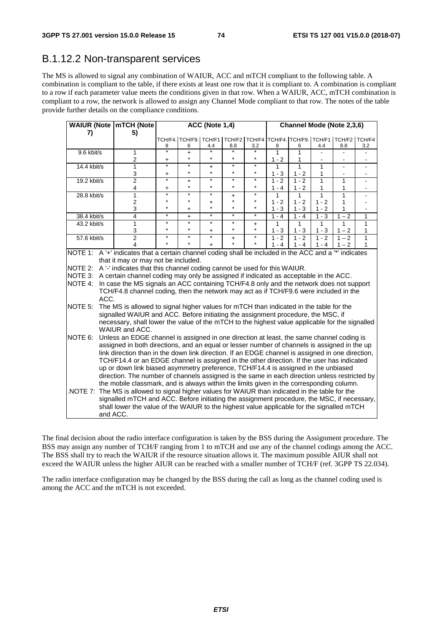#### B.1.12.2 Non-transparent services

The MS is allowed to signal any combination of WAIUR, ACC and mTCH compliant to the following table. A combination is compliant to the table, if there exists at least one row that it is compliant to. A combination is compliant to a row if each parameter value meets the conditions given in that row. When a WAIUR, ACC, mTCH combination is compliant to a row, the network is allowed to assign any Channel Mode compliant to that row. The notes of the table provide further details on the compliance conditions.

| WAIUR (Note   mTCH (Note |          |                                                                                                  | ACC (Note 1,4)         |                        |                      |                       |           | Channel Mode (Note 2,3,6) |                                    |              |                |     |
|--------------------------|----------|--------------------------------------------------------------------------------------------------|------------------------|------------------------|----------------------|-----------------------|-----------|---------------------------|------------------------------------|--------------|----------------|-----|
| 7)                       |          | 5)                                                                                               |                        |                        |                      |                       |           |                           |                                    |              |                |     |
|                          |          |                                                                                                  |                        | TCH/F4. TCH/F9. TCH/F1 |                      |                       |           |                           | TCH/F2 TCH/F4 TCH/F4 TCH/F9 TCH/F1 |              | TCH/F2 TCH/F4  |     |
|                          |          |                                                                                                  | 8<br>$\ast$            | 6                      | 4.4                  | 8.8                   | 3.2       | 8                         | 6                                  | 4.4          | 8.8            | 3.2 |
| 9.6 kbit/s               |          | 1<br>2                                                                                           |                        | $\ddot{}$<br>$\star$   | $\star$              | $\star$               | $\star$   | $\overline{1}$<br>$1 - 2$ | 1<br>1                             |              |                |     |
| 14.4 kbit/s              |          | $\mathbf{1}$                                                                                     | +<br>$\overline{\ast}$ | $\star$                | $\ddot{}$            | $\star$               | $\star$   | 1                         | $\overline{1}$                     | $\mathbf{1}$ | $\blacksquare$ |     |
|                          |          | 3                                                                                                | +                      | $\star$                | $\star$              | $\star$               | $\star$   | $1 - 3$                   | $1 - 2$                            | 1            |                |     |
| 19.2 kbit/s              |          | 2                                                                                                | $\ast$                 | $\ddag$                | $\star$              | $\star$               | $\star$   | $1 - 2$                   | $1 - 2$                            | 1            | 1              |     |
|                          |          | 4                                                                                                | $\ddot{}$              | $\star$                | $\star$              | $\star$               | $\star$   | $1 - 4$                   | $1 - 2$                            | 1            | 1              |     |
| 28.8 kbit/s              |          | 1                                                                                                | $\star$                | $\star$                | $\star$              | $\ddot{}$             | $\star$   | 1                         | 1                                  | 1            | $\mathbf{1}$   |     |
|                          |          | $\mathbf 2$                                                                                      | $\star$                | $\star$                | +                    | $\star$               | $^\star$  | $1 - 2$                   | $1 - 2$                            | $1 - 2$      | 1              |     |
|                          |          | 3                                                                                                | $\star$                | $\ddot{}$              | $\star$              | $\star$               | $\star$   | $1 - 3$                   | $1 - 3$                            | $1 - 2$      | 1              |     |
| 38.4 kbit/s              |          | 4                                                                                                | $\ast$                 | $\ddot{}$              | $\star$              | ¥                     | $\star$   | $1 - 4$                   | $1 - 4$                            | $1 - 3$      | $-2$<br>1      | 1   |
| 43.2 kbit/s              |          | 1                                                                                                | $\star$                | $\star$                | $\star$              | $^{\star}$<br>$\star$ | $\ddot{}$ | 1                         | 1                                  | 1            | 1              | 1   |
|                          |          | 3                                                                                                | $\star$<br>$\star$     | $\star$<br>$\star$     | $\ddot{}$<br>$\star$ |                       | $\star$   | $1 - 3$                   | $1 - 3$                            | $1 - 3$      | $1 - 2$        | 1   |
| 57.6 kbit/s              |          | $\overline{2}$                                                                                   |                        |                        |                      | $\ddot{}$             | $\star$   | $1 - 2$                   | $1 - 2$                            | $1 - 2$      | $1 - 2$        | 1   |
|                          |          | 4                                                                                                |                        |                        | $+$                  |                       |           | $1 - 4$                   | $1 - 4$                            | $1 - 4$      | $1 - 2$        | 1   |
| INOTE 1:                 |          | A '+' indicates that a certain channel coding shall be included in the ACC and a '*' indicates   |                        |                        |                      |                       |           |                           |                                    |              |                |     |
|                          |          | that it may or may not be included.                                                              |                        |                        |                      |                       |           |                           |                                    |              |                |     |
| NOTE 2:                  |          | A'-' indicates that this channel coding cannot be used for this WAIUR.                           |                        |                        |                      |                       |           |                           |                                    |              |                |     |
| NOTE 3:                  |          | A certain channel coding may only be assigned if indicated as acceptable in the ACC.             |                        |                        |                      |                       |           |                           |                                    |              |                |     |
| NOTE 4:                  |          | In case the MS signals an ACC containing TCH/F4.8 only and the network does not support          |                        |                        |                      |                       |           |                           |                                    |              |                |     |
|                          |          | TCH/F4.8 channel coding, then the network may act as if TCH/F9.6 were included in the            |                        |                        |                      |                       |           |                           |                                    |              |                |     |
|                          | ACC.     |                                                                                                  |                        |                        |                      |                       |           |                           |                                    |              |                |     |
| NOTE 5:                  |          | The MS is allowed to signal higher values for mTCH than indicated in the table for the           |                        |                        |                      |                       |           |                           |                                    |              |                |     |
|                          |          | signalled WAIUR and ACC. Before initiating the assignment procedure, the MSC, if                 |                        |                        |                      |                       |           |                           |                                    |              |                |     |
|                          |          | necessary, shall lower the value of the mTCH to the highest value applicable for the signalled   |                        |                        |                      |                       |           |                           |                                    |              |                |     |
|                          |          | WAIUR and ACC.                                                                                   |                        |                        |                      |                       |           |                           |                                    |              |                |     |
| NOTE 6:                  |          | Unless an EDGE channel is assigned in one direction at least, the same channel coding is         |                        |                        |                      |                       |           |                           |                                    |              |                |     |
|                          |          | assigned in both directions, and an equal or lesser number of channels is assigned in the up     |                        |                        |                      |                       |           |                           |                                    |              |                |     |
|                          |          | link direction than in the down link direction. If an EDGE channel is assigned in one direction, |                        |                        |                      |                       |           |                           |                                    |              |                |     |
|                          |          | TCH/F14.4 or an EDGE channel is assigned in the other direction. If the user has indicated       |                        |                        |                      |                       |           |                           |                                    |              |                |     |
|                          |          | up or down link biased asymmetry preference, TCH/F14.4 is assigned in the unbiased               |                        |                        |                      |                       |           |                           |                                    |              |                |     |
|                          |          | direction. The number of channels assigned is the same in each direction unless restricted by    |                        |                        |                      |                       |           |                           |                                    |              |                |     |
|                          |          | the mobile classmark, and is always within the limits given in the corresponding column.         |                        |                        |                      |                       |           |                           |                                    |              |                |     |
|                          |          | NOTE 7: The MS is allowed to signal higher values for WAIUR than indicated in the table for the  |                        |                        |                      |                       |           |                           |                                    |              |                |     |
|                          |          | signalled mTCH and ACC. Before initiating the assignment procedure, the MSC, if necessary,       |                        |                        |                      |                       |           |                           |                                    |              |                |     |
|                          |          | shall lower the value of the WAIUR to the highest value applicable for the signalled mTCH        |                        |                        |                      |                       |           |                           |                                    |              |                |     |
|                          |          |                                                                                                  |                        |                        |                      |                       |           |                           |                                    |              |                |     |
|                          | and ACC. |                                                                                                  |                        |                        |                      |                       |           |                           |                                    |              |                |     |

The final decision about the radio interface configuration is taken by the BSS during the Assignment procedure. The BSS may assign any number of TCH/F ranging from 1 to mTCH and use any of the channel codings among the ACC. The BSS shall try to reach the WAIUR if the resource situation allows it. The maximum possible AIUR shall not exceed the WAIUR unless the higher AIUR can be reached with a smaller number of TCH/F (ref. 3GPP TS 22.034).

The radio interface configuration may be changed by the BSS during the call as long as the channel coding used is among the ACC and the mTCH is not exceeded.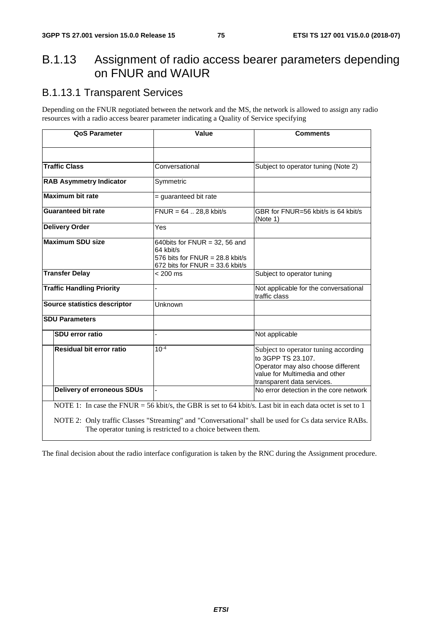### B.1.13 Assignment of radio access bearer parameters depending on FNUR and WAIUR

#### B.1.13.1 Transparent Services

Depending on the FNUR negotiated between the network and the MS, the network is allowed to assign any radio resources with a radio access bearer parameter indicating a Quality of Service specifying

| <b>QoS Parameter</b>              | Value                                                                                                                   | <b>Comments</b>                                                                                                                                                  |
|-----------------------------------|-------------------------------------------------------------------------------------------------------------------------|------------------------------------------------------------------------------------------------------------------------------------------------------------------|
|                                   |                                                                                                                         |                                                                                                                                                                  |
| <b>Traffic Class</b>              | Conversational                                                                                                          | Subject to operator tuning (Note 2)                                                                                                                              |
| <b>RAB Asymmetry Indicator</b>    | Symmetric                                                                                                               |                                                                                                                                                                  |
| <b>Maximum bit rate</b>           | = guaranteed bit rate                                                                                                   |                                                                                                                                                                  |
| <b>Guaranteed bit rate</b>        | $FNUR = 64$ 28,8 kbit/s                                                                                                 | GBR for FNUR=56 kbit/s is 64 kbit/s<br>(Note 1)                                                                                                                  |
| <b>Delivery Order</b>             | Yes                                                                                                                     |                                                                                                                                                                  |
| <b>Maximum SDU size</b>           | 640bits for $FWUR = 32$ , 56 and<br>64 kbit/s<br>576 bits for $FWUR = 28.8$ kbit/s<br>672 bits for $FWIR = 33.6$ kbit/s |                                                                                                                                                                  |
| <b>Transfer Delay</b>             | $< 200$ ms                                                                                                              | Subject to operator tuning                                                                                                                                       |
| <b>Traffic Handling Priority</b>  |                                                                                                                         | Not applicable for the conversational<br>traffic class                                                                                                           |
| Source statistics descriptor      | Unknown                                                                                                                 |                                                                                                                                                                  |
| <b>SDU Parameters</b>             |                                                                                                                         |                                                                                                                                                                  |
| SDU error ratio                   |                                                                                                                         | Not applicable                                                                                                                                                   |
| Residual bit error ratio          | $10^{-4}$                                                                                                               | Subject to operator tuning according<br>to 3GPP TS 23.107.<br>Operator may also choose different<br>value for Multimedia and other<br>transparent data services. |
| <b>Delivery of erroneous SDUs</b> |                                                                                                                         | No error detection in the core network                                                                                                                           |
|                                   |                                                                                                                         | NOTE 1: In case the FNUR = 56 kbit/s, the GBR is set to 64 kbit/s. Last bit in each data octet is set to 1                                                       |
|                                   | The operator tuning is restricted to a choice between them.                                                             | NOTE 2: Only traffic Classes "Streaming" and "Conversational" shall be used for Cs data service RABs.                                                            |

The final decision about the radio interface configuration is taken by the RNC during the Assignment procedure.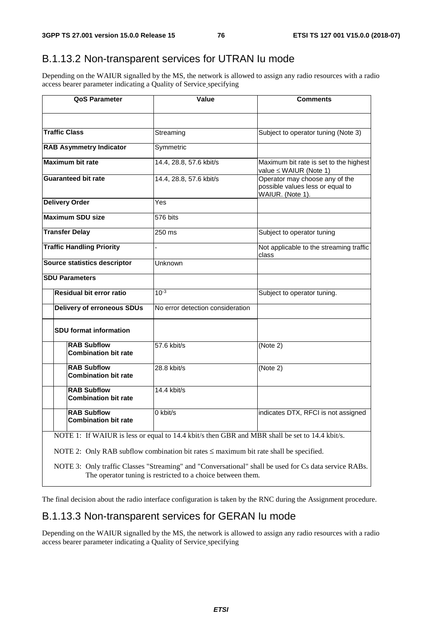#### B.1.13.2 Non-transparent services for UTRAN Iu mode

Depending on the WAIUR signalled by the MS, the network is allowed to assign any radio resources with a radio access bearer parameter indicating a Quality of Service specifying

| <b>QoS Parameter</b>                              | Value                                                                                                                                                                                                                                                       | <b>Comments</b>                                                                                       |  |
|---------------------------------------------------|-------------------------------------------------------------------------------------------------------------------------------------------------------------------------------------------------------------------------------------------------------------|-------------------------------------------------------------------------------------------------------|--|
|                                                   |                                                                                                                                                                                                                                                             |                                                                                                       |  |
| <b>Traffic Class</b>                              | Streaming                                                                                                                                                                                                                                                   | Subject to operator tuning (Note 3)                                                                   |  |
| <b>RAB Asymmetry Indicator</b>                    | Symmetric                                                                                                                                                                                                                                                   |                                                                                                       |  |
| <b>Maximum bit rate</b>                           | 14.4, 28.8, 57.6 kbit/s                                                                                                                                                                                                                                     | Maximum bit rate is set to the highest<br>value ≤ WAIUR (Note 1)                                      |  |
| <b>Guaranteed bit rate</b>                        | 14.4, 28.8, 57.6 kbit/s                                                                                                                                                                                                                                     | Operator may choose any of the<br>possible values less or equal to<br>WAIUR. (Note 1).                |  |
| <b>Delivery Order</b>                             | Yes                                                                                                                                                                                                                                                         |                                                                                                       |  |
| <b>Maximum SDU size</b>                           | 576 bits                                                                                                                                                                                                                                                    |                                                                                                       |  |
| <b>Transfer Delay</b>                             | 250 ms                                                                                                                                                                                                                                                      | Subject to operator tuning                                                                            |  |
| <b>Traffic Handling Priority</b>                  |                                                                                                                                                                                                                                                             | Not applicable to the streaming traffic<br>class                                                      |  |
| Source statistics descriptor                      | Unknown                                                                                                                                                                                                                                                     |                                                                                                       |  |
| <b>SDU Parameters</b>                             |                                                                                                                                                                                                                                                             |                                                                                                       |  |
| Residual bit error ratio                          | $10^{-3}$                                                                                                                                                                                                                                                   | Subject to operator tuning.                                                                           |  |
| <b>Delivery of erroneous SDUs</b>                 | No error detection consideration                                                                                                                                                                                                                            |                                                                                                       |  |
| <b>SDU format information</b>                     |                                                                                                                                                                                                                                                             |                                                                                                       |  |
| <b>RAB Subflow</b><br><b>Combination bit rate</b> | 57.6 kbit/s                                                                                                                                                                                                                                                 | (Note 2)                                                                                              |  |
| <b>RAB Subflow</b><br><b>Combination bit rate</b> | $28.8$ kbit/s                                                                                                                                                                                                                                               | (Note 2)                                                                                              |  |
| <b>RAB Subflow</b><br><b>Combination bit rate</b> | $14.4$ kbit/s                                                                                                                                                                                                                                               |                                                                                                       |  |
| <b>RAB Subflow</b><br><b>Combination bit rate</b> | 0 kbit/s                                                                                                                                                                                                                                                    | indicates DTX, RFCI is not assigned                                                                   |  |
|                                                   | NOTE 1: If WAIUR is less or equal to 14.4 kbit/s then GBR and MBR shall be set to 14.4 kbit/s.<br>NOTE 2: Only RAB subflow combination bit rates $\leq$ maximum bit rate shall be specified.<br>The operator tuning is restricted to a choice between them. | NOTE 3: Only traffic Classes "Streaming" and "Conversational" shall be used for Cs data service RABs. |  |

The final decision about the radio interface configuration is taken by the RNC during the Assignment procedure.

#### B.1.13.3 Non-transparent services for GERAN Iu mode

Depending on the WAIUR signalled by the MS, the network is allowed to assign any radio resources with a radio access bearer parameter indicating a Quality of Service specifying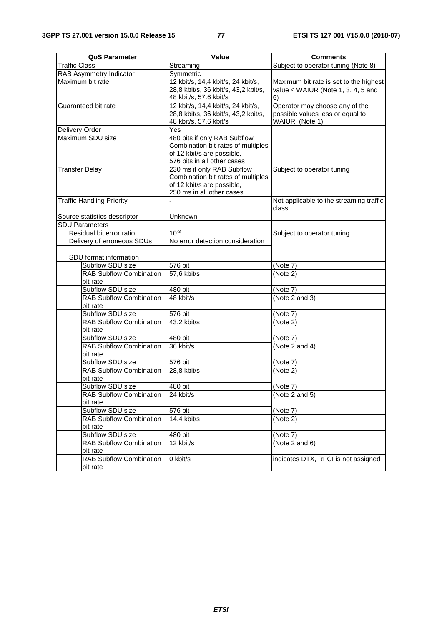| <b>QoS Parameter</b>                       | <b>Value</b>                                                     | <b>Comments</b>                         |
|--------------------------------------------|------------------------------------------------------------------|-----------------------------------------|
| <b>Traffic Class</b>                       | Streaming                                                        | Subject to operator tuning (Note 8)     |
| RAB Asymmetry Indicator                    | Symmetric                                                        |                                         |
| Maximum bit rate                           | 12 kbit/s, 14,4 kbit/s, 24 kbit/s,                               | Maximum bit rate is set to the highest  |
|                                            | 28,8 kbit/s, 36 kbit/s, 43,2 kbit/s,                             | value $\leq$ WAIUR (Note 1, 3, 4, 5 and |
|                                            | 48 kbit/s, 57.6 kbit/s                                           | 6)                                      |
| Guaranteed bit rate                        | 12 kbit/s, 14,4 kbit/s, 24 kbit/s,                               | Operator may choose any of the          |
|                                            | 28,8 kbit/s, 36 kbit/s, 43,2 kbit/s,                             | possible values less or equal to        |
|                                            | 48 kbit/s, 57.6 kbit/s                                           | WAIUR. (Note 1)                         |
| Delivery Order                             | Yes                                                              |                                         |
| Maximum SDU size                           | 480 bits if only RAB Subflow                                     |                                         |
|                                            | Combination bit rates of multiples                               |                                         |
|                                            | of 12 kbit/s are possible,                                       |                                         |
|                                            | 576 bits in all other cases                                      |                                         |
| <b>Transfer Delay</b>                      | 230 ms if only RAB Subflow<br>Combination bit rates of multiples | Subject to operator tuning              |
|                                            | of 12 kbit/s are possible,                                       |                                         |
|                                            | 250 ms in all other cases                                        |                                         |
| <b>Traffic Handling Priority</b>           |                                                                  | Not applicable to the streaming traffic |
|                                            |                                                                  | class                                   |
| Source statistics descriptor               | Unknown                                                          |                                         |
| <b>SDU Parameters</b>                      |                                                                  |                                         |
| Residual bit error ratio                   | $10^{-3}$                                                        | Subject to operator tuning.             |
| Delivery of erroneous SDUs                 | No error detection consideration                                 |                                         |
|                                            |                                                                  |                                         |
| SDU format information                     |                                                                  |                                         |
| Subflow SDU size                           | 576 bit                                                          | (Note 7)                                |
| <b>RAB Subflow Combination</b>             | 57,6 kbit/s                                                      | (Note 2)                                |
| bit rate                                   |                                                                  |                                         |
| Subflow SDU size                           | 480 bit                                                          | (Note 7)                                |
| <b>RAB Subflow Combination</b>             | 48 kbit/s                                                        | (Note 2 and 3)                          |
| bit rate<br>Subflow SDU size               | 576 bit                                                          | (Note 7)                                |
| <b>RAB Subflow Combination</b>             | 43,2 kbit/s                                                      | (Note 2)                                |
| bit rate                                   |                                                                  |                                         |
| Subflow SDU size                           | 480 bit                                                          | (Note 7)                                |
| <b>RAB Subflow Combination</b>             | 36 kbit/s                                                        | (Note 2 and 4)                          |
| bit rate                                   |                                                                  |                                         |
| Subflow SDU size                           | 576 bit                                                          | (Note 7)                                |
| <b>RAB Subflow Combination</b>             | 28,8 kbit/s                                                      | (Note 2)                                |
| bit rate                                   |                                                                  |                                         |
| Subflow SDU size                           | 480 bit                                                          | (Note 7)                                |
| RAB Subflow Combination                    | 24 kbit/s                                                        | (Note 2 and 5)                          |
| bit rate                                   |                                                                  |                                         |
| Subflow SDU size                           | 576 bit                                                          | (Note 7)                                |
| RAB Subflow Combination                    | 14,4 kbit/s                                                      | (Note 2)                                |
| bit rate                                   |                                                                  |                                         |
| Subflow SDU size                           | 480 bit                                                          | (Note 7)                                |
| <b>RAB Subflow Combination</b>             | 12 kbit/s                                                        | (Note 2 and $6$ )                       |
| bit rate<br><b>RAB Subflow Combination</b> | 0 kbit/s                                                         | indicates DTX, RFCI is not assigned     |
| bit rate                                   |                                                                  |                                         |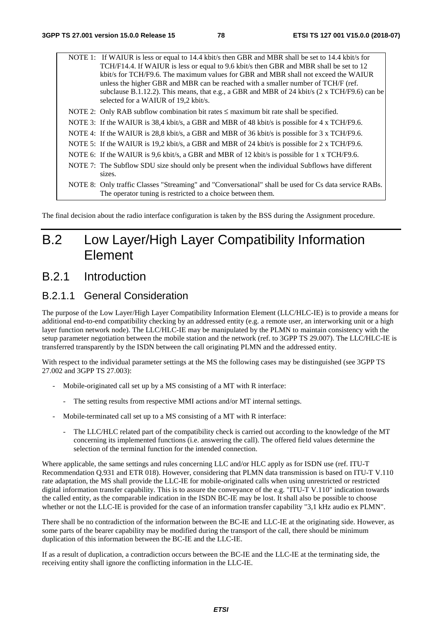NOTE 1: If WAIUR is less or equal to 14.4 kbit/s then GBR and MBR shall be set to 14.4 kbit/s for TCH/F14.4. If WAIUR is less or equal to 9.6 kbit/s then GBR and MBR shall be set to 12 kbit/s for TCH/F9.6. The maximum values for GBR and MBR shall not exceed the WAIUR unless the higher GBR and MBR can be reached with a smaller number of TCH/F (ref. subclause B.1.12.2). This means, that e.g., a GBR and MBR of 24 kbit/s  $(2 \times TCH/F9.6)$  can be selected for a WAIUR of 19,2 kbit/s. NOTE 2: Only RAB subflow combination bit rates ≤ maximum bit rate shall be specified. NOTE 3: If the WAIUR is 38.4 kbit/s, a GBR and MBR of 48 kbit/s is possible for 4 x TCH/F9.6. NOTE 4: If the WAIUR is 28,8 kbit/s, a GBR and MBR of 36 kbit/s is possible for 3 x TCH/F9.6. NOTE 5: If the WAIUR is 19,2 kbit/s, a GBR and MBR of 24 kbit/s is possible for 2 x TCH/F9.6. NOTE 6: If the WAIUR is 9.6 kbit/s, a GBR and MBR of 12 kbit/s is possible for 1 x TCH/F9.6. NOTE 7: The Subflow SDU size should only be present when the individual Subflows have different

sizes. NOTE 8: Only traffic Classes "Streaming" and "Conversational" shall be used for Cs data service RABs. The operator tuning is restricted to a choice between them.

The final decision about the radio interface configuration is taken by the BSS during the Assignment procedure.

## B.2 Low Layer/High Layer Compatibility Information Element

### B.2.1 Introduction

#### B.2.1.1 General Consideration

The purpose of the Low Layer/High Layer Compatibility Information Element (LLC/HLC-IE) is to provide a means for additional end-to-end compatibility checking by an addressed entity (e.g. a remote user, an interworking unit or a high layer function network node). The LLC/HLC-IE may be manipulated by the PLMN to maintain consistency with the setup parameter negotiation between the mobile station and the network (ref. to 3GPP TS 29.007). The LLC/HLC-IE is transferred transparently by the ISDN between the call originating PLMN and the addressed entity.

With respect to the individual parameter settings at the MS the following cases may be distinguished (see 3GPP TS 27.002 and 3GPP TS 27.003):

- Mobile-originated call set up by a MS consisting of a MT with R interface:
	- The setting results from respective MMI actions and/or MT internal settings.
- Mobile-terminated call set up to a MS consisting of a MT with R interface:
	- The LLC/HLC related part of the compatibility check is carried out according to the knowledge of the MT concerning its implemented functions (i.e. answering the call). The offered field values determine the selection of the terminal function for the intended connection.

Where applicable, the same settings and rules concerning LLC and/or HLC apply as for ISDN use (ref. ITU-T Recommendation Q.931 and ETR 018). However, considering that PLMN data transmission is based on ITU-T V.110 rate adaptation, the MS shall provide the LLC-IE for mobile-originated calls when using unrestricted or restricted digital information transfer capability. This is to assure the conveyance of the e.g. "ITU-T V.110" indication towards the called entity, as the comparable indication in the ISDN BC-IE may be lost. It shall also be possible to choose whether or not the LLC-IE is provided for the case of an information transfer capability "3,1 kHz audio ex PLMN".

There shall be no contradiction of the information between the BC-IE and LLC-IE at the originating side. However, as some parts of the bearer capability may be modified during the transport of the call, there should be minimum duplication of this information between the BC-IE and the LLC-IE.

If as a result of duplication, a contradiction occurs between the BC-IE and the LLC-IE at the terminating side, the receiving entity shall ignore the conflicting information in the LLC-IE.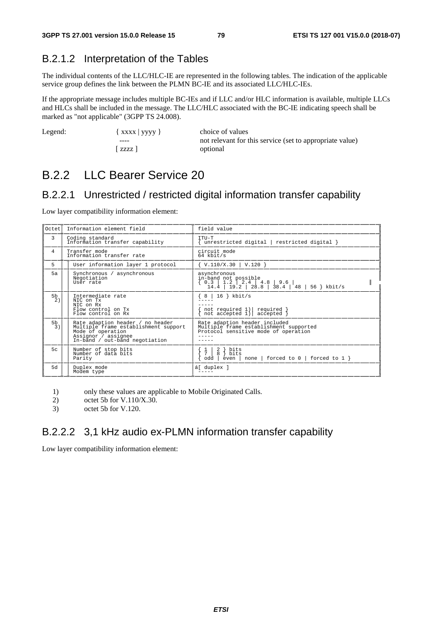#### B.2.1.2 Interpretation of the Tables

The individual contents of the LLC/HLC-IE are represented in the following tables. The indication of the applicable service group defines the link between the PLMN BC-IE and its associated LLC/HLC-IEs.

If the appropriate message includes multiple BC-IEs and if LLC and/or HLC information is available, multiple LLCs and HLCs shall be included in the message. The LLC/HLC associated with the BC-IE indicating speech shall be marked as "not applicable" (3GPP TS 24.008).

| Legend: | $\{$ XXXX   yyyy } | choice of values                                         |
|---------|--------------------|----------------------------------------------------------|
|         | ----               | not relevant for this service (set to appropriate value) |
|         | zzz l              | optional                                                 |

### B.2.2 LLC Bearer Service 20

#### B.2.2.1 Unrestricted / restricted digital information transfer capability

Low layer compatibility information element:

| Octet                | Information element field                                                                                                                              | field value                                                                                                     |
|----------------------|--------------------------------------------------------------------------------------------------------------------------------------------------------|-----------------------------------------------------------------------------------------------------------------|
| 3                    | Coding standard<br>Information transfer capability                                                                                                     | TTU-T<br>unrestricted digital   restricted digital }                                                            |
| $\overline{4}$       | Transfer mode<br>Information transfer rate                                                                                                             | circuit mode<br>$64$ kbit/s                                                                                     |
| 5                    | User information layer 1 protocol                                                                                                                      | $\{ V.110/X.30 \mid V.120 \}$                                                                                   |
| 5a                   | Synchronous / asynchronous<br>Negotiation<br>User rate                                                                                                 | asynchronous<br>in-band not possible                                                                            |
| 5 <sub>b</sub><br>2) | Intermediate rate<br>NTC on Tx<br>NTC on Rx<br>Flow control on Tx<br>Flow control on Rx                                                                | $8 \mid 16$ } kbit/s<br>not required 1) required }<br>not accepted 1) accepted }                                |
| 5 <sub>b</sub><br>3) | Rate adaption header / no header<br>Multiple frame establishment support<br>Mode of operation<br>Assignor / assignee<br>In-band / out-band negotiation | Rate adaption header included<br>Multiple frame establishment supported<br>Protocol sensitive mode of operation |
| 5c                   | Number of stop bits<br>Number of data bits<br>Parity                                                                                                   | bits<br>2<br>8<br>bits<br>$\text{even}$   none   forced to $0$   forced to $1$ }<br>odd                         |
| 5d                   | Duplex mode<br>Modem type                                                                                                                              | á[ duplex ]                                                                                                     |

- 1) only these values are applicable to Mobile Originated Calls.
- 2) octet 5b for V.110/X.30.
- 3) octet 5b for V.120.

#### B.2.2.2 3,1 kHz audio ex-PLMN information transfer capability

Low layer compatibility information element: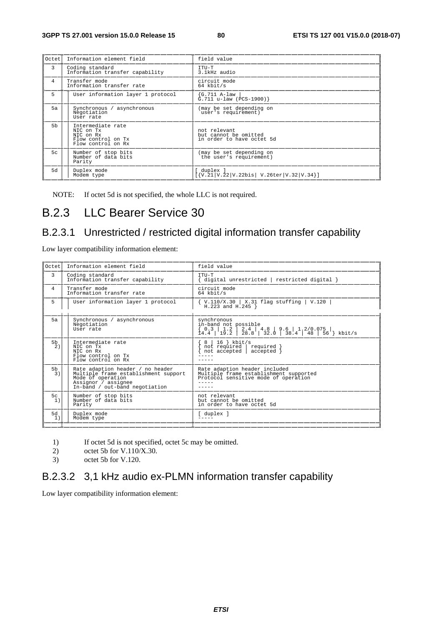| Octet          | Information element field                                                               | field value                                                        |
|----------------|-----------------------------------------------------------------------------------------|--------------------------------------------------------------------|
| 3              | Coding standard<br>Information transfer capability                                      | TTU-T<br>3.1kHz audio                                              |
| 4              | Transfer mode<br>Information transfer rate                                              | circuit mode<br>$64$ kbit/s                                        |
| 5              | User information layer 1 protocol                                                       | {G.711 A-law<br>$\texttt{G.711 u-law}$ (PCS-1900)}                 |
| 5a             | Synchronous / asynchronous<br>Negotiation<br>User rate                                  | (may be set depending on<br>user's requirement)                    |
| 5 <sub>b</sub> | Intermediate rate<br>NIC on Tx<br>NTC on Rx<br>Flow control on Tx<br>Flow control on Rx | not relevant<br>but cannot be omitted<br>in order to have octet 5d |
| 5c             | Number of stop bits<br>Number of data bits<br>Parity                                    | (may be set depending on<br>the user's requirement)                |
| 5d             | Duplex mode<br>Modem type                                                               | duplex ]<br>[N.21 V.22 V.22bis V.26ter V.32 V.34]                  |

NOTE: If octet 5d is not specified, the whole LLC is not required.

### B.2.3 LLC Bearer Service 30

#### B.2.3.1 Unrestricted / restricted digital information transfer capability

Low layer compatibility information element:

| Oct.et.              | Information element field                                                                                                                              | field value                                                                                                     |
|----------------------|--------------------------------------------------------------------------------------------------------------------------------------------------------|-----------------------------------------------------------------------------------------------------------------|
| 3                    | Coding standard<br>Information transfer capability                                                                                                     | TTU-T<br>{ digital unrestricted   restricted digital }                                                          |
| 4                    | Transfer mode<br>Information transfer rate                                                                                                             | circuit mode<br>$64$ kbit/s                                                                                     |
| 5                    | User information layer 1 protocol                                                                                                                      | $\{ V.110/X.30   X.31 false \}$ Elag stuffing   V.120 H.223 and H.245 }                                         |
| 5a                   | Synchronous / asynchronous<br>Negotiation<br>User rate                                                                                                 | synchronous<br>in-band not possible                                                                             |
| 5 <sub>b</sub><br>2) | Intermediate rate<br>NIC on Tx<br>NTC on Rx<br>Flow control on Tx<br>Flow control on Rx                                                                | $16$ } kbit/s<br>$8-1$<br>not required required<br>not accepted   accepted                                      |
| 5 <sub>b</sub><br>3) | Rate adaption header / no header<br>Multiple frame establishment support<br>Mode of operation<br>Assignor / assignee<br>In-band / out-band negotiation | Rate adaption header included<br>Multiple frame establishment supported<br>Protocol sensitive mode of operation |
| 5c<br>1)             | Number of stop bits<br>Number of data bits<br>Parity                                                                                                   | not relevant<br>but cannot be omitted<br>in order to have octet 5d                                              |
| 5d<br>1)             | Duplex mode<br>Modem type                                                                                                                              | [ duplex ]                                                                                                      |

- 1) If octet 5d is not specified, octet 5c may be omitted.<br>2) octet 5b for V.110/X.30.
- 2) octet 5b for V.110/X.30.<br>3) octet 5b for V.120.
- octet 5b for V.120.

#### B.2.3.2 3,1 kHz audio ex-PLMN information transfer capability

Low layer compatibility information element: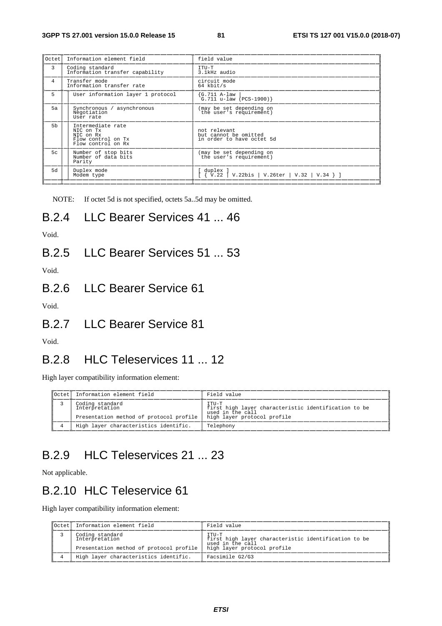| lOctet         | Information element field                                                               | field value                                                        |
|----------------|-----------------------------------------------------------------------------------------|--------------------------------------------------------------------|
| 3              | Coding standard<br>Information transfer capability                                      | TTU-T<br>3.1kHz audio                                              |
| 4              | Transfer mode<br>Information transfer rate                                              | circuit mode<br>$64$ kbit/s                                        |
| 5              | User information layer 1 protocol                                                       | G.711 A-law<br>$G.711 u-law (PCS-1900)$                            |
| 5a             | Synchronous / asynchronous<br>Negotiation<br>User rate                                  | (may be set depending on<br>the user's requirement)                |
| 5 <sub>b</sub> | Intermediate rate<br>NIC on Tx<br>NTC on Rx<br>Flow control on Tx<br>Flow control on Rx | not relevant<br>but cannot be omitted<br>in order to have octet 5d |
| 5c             | Number of stop bits<br>Number of data bits<br>Parity                                    | (may be set depending on<br>the user's requirement)                |
| 5d             | Duplex mode<br>Modem type                                                               | duplex<br>V.22bis   V.26ter   V.32   V.34 } ]<br>$\{V.22\}$        |

╚═════╧═════════════════════════════════════════╧═══════════════════════════════════════════════════════════╝

NOTE: If octet 5d is not specified, octets 5a..5d may be omitted.

### B.2.4 LLC Bearer Services 41 ... 46

Void.

B.2.5 LLC Bearer Services 51 ... 53

Void.

B.2.6 LLC Bearer Service 61

Void.

B.2.7 LLC Bearer Service 81

Void.

### B.2.8 HLC Teleservices 11 ... 12

High layer compatibility information element:

| $I$ Octet $I$ | Information element field                                                    | Field value                                                                                                      |
|---------------|------------------------------------------------------------------------------|------------------------------------------------------------------------------------------------------------------|
|               | Coding standard<br>Interpretation<br>Presentation method of protocol profile | TTU-T<br>first high layer characteristic identification to be<br>used in the call<br>high layer protocol profile |
|               | High layer characteristics identific.                                        | Telephony                                                                                                        |

## B.2.9 HLC Teleservices 21 ... 23

Not applicable.

## B.2.10 HLC Teleservice 61

High layer compatibility information element:

| lOctet i | Information element field                                                    | Field value                                                                                                         |
|----------|------------------------------------------------------------------------------|---------------------------------------------------------------------------------------------------------------------|
|          | Coding standard<br>Interpretation<br>Presentation method of protocol profile | $TTTI-T$<br>first high layer characteristic identification to be<br>used in the call<br>high layer protocol profile |
|          | High layer characteristics identific.                                        | Facsimile G2/G3                                                                                                     |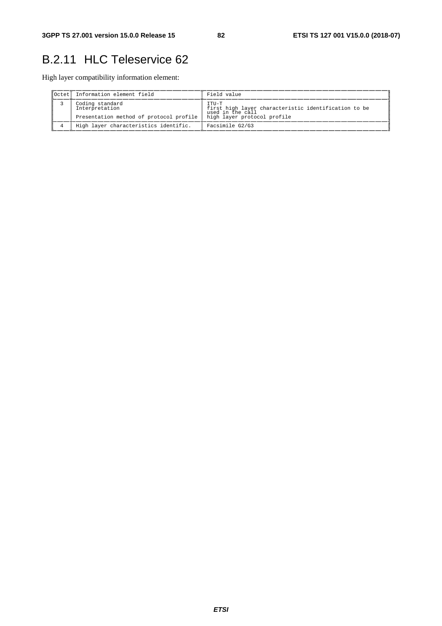## B.2.11 HLC Teleservice 62

High layer compatibility information element:

| lOctet i | Information element field                                                    | Field value                                                                                                      |
|----------|------------------------------------------------------------------------------|------------------------------------------------------------------------------------------------------------------|
|          | Coding standard<br>Interpretation<br>Presentation method of protocol profile | TTU-T<br>first high layer characteristic identification to be<br>used in the call<br>high layer protocol profile |
|          | High layer characteristics identific.                                        | Facsimile G2/G3                                                                                                  |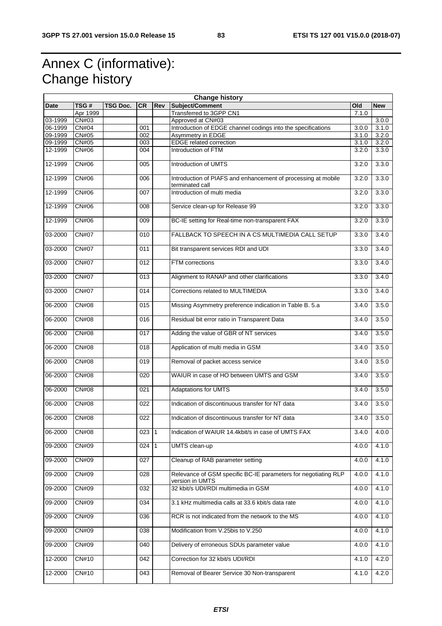## Annex C (informative): Change history

| <b>Change history</b> |              |                 |                  |            |                                                                                   |       |            |
|-----------------------|--------------|-----------------|------------------|------------|-----------------------------------------------------------------------------------|-------|------------|
| Date                  | TSG#         | <b>TSG Doc.</b> | <b>CR</b>        | <b>Rev</b> | Subject/Comment                                                                   | Old   | <b>New</b> |
|                       | Apr 1999     |                 |                  |            | Transferred to 3GPP CN1                                                           | 7.1.0 |            |
| 03-1999               | CN#03        |                 |                  |            | Approved at CN#03                                                                 |       | 3.0.0      |
| 06-1999               | CN#04        |                 | 001              |            | Introduction of EDGE channel codings into the specifications                      | 3.0.0 | 3.1.0      |
| 09-1999               | <b>CN#05</b> |                 | 002              |            | Asymmetry in EDGE                                                                 | 3.1.0 | 3.2.0      |
| 09-1999               | <b>CN#05</b> |                 | 003              |            | <b>EDGE</b> related correction                                                    | 3.1.0 | 3.2.0      |
| 12-1999               | CN#06        |                 | 004              |            | Introduction of FTM                                                               | 3.2.0 | 3.3.0      |
|                       |              |                 |                  |            |                                                                                   |       |            |
| 12-1999               | <b>CN#06</b> |                 | 005              |            | Introduction of UMTS                                                              | 3.2.0 | 3.3.0      |
| 12-1999               | <b>CN#06</b> |                 | 006              |            | Introduction of PIAFS and enhancement of processing at mobile<br>terminated call  | 3.2.0 | 3.3.0      |
| 12-1999               | CN#06        |                 | 007              |            | Introduction of multi media                                                       | 3.2.0 | 3.3.0      |
| 12-1999               | <b>CN#06</b> |                 | 008              |            | Service clean-up for Release 99                                                   | 3.2.0 | 3.3.0      |
| 12-1999               | <b>CN#06</b> |                 | 009              |            | BC-IE setting for Real-time non-transparent FAX                                   | 3.2.0 | 3.3.0      |
| 03-2000               | <b>CN#07</b> |                 | 010              |            | FALLBACK TO SPEECH IN A CS MULTIMEDIA CALL SETUP                                  | 3.3.0 | 3.4.0      |
| 03-2000               | <b>CN#07</b> |                 | 011              |            | Bit transparent services RDI and UDI                                              | 3.3.0 | 3.4.0      |
| 03-2000               | <b>CN#07</b> |                 | 012              |            | FTM corrections                                                                   | 3.3.0 | 3.4.0      |
| 03-2000               | <b>CN#07</b> |                 | $\overline{013}$ |            | Alignment to RANAP and other clarifications                                       | 3.3.0 | 3.4.0      |
| 03-2000               | <b>CN#07</b> |                 | 014              |            | Corrections related to MULTIMEDIA                                                 | 3.3.0 | 3.4.0      |
| 06-2000               | <b>CN#08</b> |                 | 015              |            | Missing Asymmetry preference indication in Table B. 5.a                           | 3.4.0 | 3.5.0      |
| 06-2000               | <b>CN#08</b> |                 | 016              |            | Residual bit error ratio in Transparent Data                                      | 3.4.0 | 3.5.0      |
| 06-2000               | <b>CN#08</b> |                 | 017              |            | Adding the value of GBR of NT services                                            | 3.4.0 | 3.5.0      |
| 06-2000               | <b>CN#08</b> |                 | 018              |            | Application of multi media in GSM                                                 | 3.4.0 | 3.5.0      |
| 06-2000               | <b>CN#08</b> |                 | 019              |            | Removal of packet access service                                                  | 3.4.0 | 3.5.0      |
| 06-2000               | <b>CN#08</b> |                 | 020              |            | WAIUR in case of HO between UMTS and GSM                                          | 3.4.0 | 3.5.0      |
| 06-2000               | <b>CN#08</b> |                 | 021              |            | <b>Adaptations for UMTS</b>                                                       | 3.4.0 | 3.5.0      |
| 06-2000               | <b>CN#08</b> |                 | 022              |            | Indication of discontinuous transfer for NT data                                  | 3.4.0 | 3.5.0      |
| 06-2000               | <b>CN#08</b> |                 | 022              |            | Indication of discontinuous transfer for NT data                                  | 3.4.0 | 3.5.0      |
| 06-2000               | CN#08        |                 | 023 1            |            | Indication of WAIUR 14.4kbit/s in case of UMTS FAX                                | 3.4.0 | 4.0.0      |
| 09-2000               | CN#09        |                 | $024$ 1          |            | UMTS clean-up                                                                     | 4.0.0 | 4.1.0      |
| 09-2000               | <b>CN#09</b> |                 | 027              |            | Cleanup of RAB parameter setting                                                  | 4.0.0 | 4.1.0      |
| 09-2000               | CN#09        |                 | 028              |            | Relevance of GSM specific BC-IE parameters for negotiating RLP<br>version in UMTS | 4.0.0 | 4.1.0      |
| 09-2000               | CN#09        |                 | 032              |            | 32 kbit/s UDI/RDI multimedia in GSM                                               | 4.0.0 | 4.1.0      |
| 09-2000               | <b>CN#09</b> |                 | 034              |            | 3.1 kHz multimedia calls at 33.6 kbit/s data rate                                 | 4.0.0 | 4.1.0      |
| 09-2000               | CN#09        |                 | 036              |            | RCR is not indicated from the network to the MS                                   | 4.0.0 | 4.1.0      |
| 09-2000               | CN#09        |                 | 038              |            | Modification from V.25bis to V.250                                                | 4.0.0 | 4.1.0      |
| 09-2000               | CN#09        |                 | 040              |            | Delivery of erroneous SDUs parameter value                                        | 4.0.0 | 4.1.0      |
| 12-2000               | CN#10        |                 | 042              |            | Correction for 32 kbit/s UDI/RDI                                                  | 4.1.0 | 4.2.0      |
| 12-2000               | <b>CN#10</b> |                 | 043              |            | Removal of Bearer Service 30 Non-transparent                                      | 4.1.0 | 4.2.0      |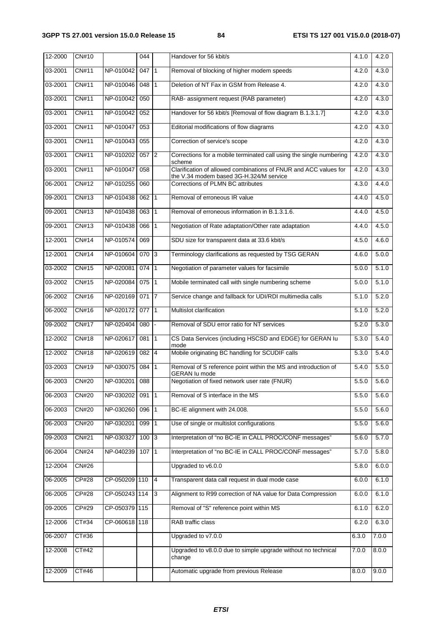| 12-2000 | CN#10        |               | 044              |                | Handover for 56 kbit/s                                                                                      | 4.1.0 | 4.2.0 |
|---------|--------------|---------------|------------------|----------------|-------------------------------------------------------------------------------------------------------------|-------|-------|
| 03-2001 | CN#11        | NP-010042     | 047              | $\vert$ 1      | Removal of blocking of higher modem speeds                                                                  | 4.2.0 | 4.3.0 |
| 03-2001 | <b>CN#11</b> | NP-010046     | 048              | $\mathbf 1$    | Deletion of NT Fax in GSM from Release 4.                                                                   | 4.2.0 | 4.3.0 |
| 03-2001 | <b>CN#11</b> | NP-010042     | $\overline{050}$ |                | RAB- assignment request (RAB parameter)                                                                     | 4.2.0 | 4.3.0 |
| 03-2001 | CN#11        | NP-010042     | 052              |                | Handover for 56 kbit/s [Removal of flow diagram B.1.3.1.7]                                                  | 4.2.0 | 4.3.0 |
| 03-2001 | CN#11        | NP-010047     | 053              |                | Editorial modifications of flow diagrams                                                                    | 4.2.0 | 4.3.0 |
| 03-2001 | CN#11        | NP-010043     | 055              |                | Correction of service's scope                                                                               | 4.2.0 | 4.3.0 |
| 03-2001 | CN#11        | NP-010202     | 057              | 2              | Corrections for a mobile terminated call using the single numbering<br>scheme                               | 4.2.0 | 4.3.0 |
| 03-2001 | CN#11        | NP-010047     | 058              |                | Clarification of allowed combinations of FNUR and ACC values for<br>the V.34 modem based 3G-H.324/M service | 4.2.0 | 4.3.0 |
| 06-2001 | CN#12        | NP-010255     | 060              |                | Corrections of PLMN BC attributes                                                                           | 4.3.0 | 4.4.0 |
| 09-2001 | CN#13        | NP-010438     | 062              | $\vert$ 1      | Removal of erroneous IR value                                                                               | 4.4.0 | 4.5.0 |
| 09-2001 | CN#13        | NP-010438     | 063              | 1              | Removal of erroneous information in B.1.3.1.6.                                                              | 4.4.0 | 4.5.0 |
| 09-2001 | <b>CN#13</b> | NP-010438     | 066              | 1              | Negotiation of Rate adaptation/Other rate adaptation                                                        | 4.4.0 | 4.5.0 |
| 12-2001 | CN#14        | NP-010574     | 069              |                | SDU size for transparent data at 33.6 kbit/s                                                                | 4.5.0 | 4.6.0 |
| 12-2001 | <b>CN#14</b> | NP-010604     | 070              | $\overline{3}$ | Terminology clarifications as requested by TSG GERAN                                                        | 4.6.0 | 5.0.0 |
| 03-2002 | CN#15        | NP-020081     | 074              | $\mathbf{1}$   | Negotiation of parameter values for facsimile                                                               | 5.0.0 | 5.1.0 |
| 03-2002 | CN#15        | NP-020084     | 075              | $\vert$ 1      | Mobile terminated call with single numbering scheme                                                         | 5.0.0 | 5.1.0 |
| 06-2002 | <b>CN#16</b> | NP-020169     | 071              | 7              | Service change and fallback for UDI/RDI multimedia calls                                                    | 5.1.0 | 5.2.0 |
| 06-2002 | <b>CN#16</b> | NP-020172     | 077              | $\vert$ 1      | Multislot clarification                                                                                     | 5.1.0 | 5.2.0 |
| 09-2002 | <b>CN#17</b> | NP-020404     | 080              |                | Removal of SDU error ratio for NT services                                                                  | 5.2.0 | 5.3.0 |
| 12-2002 | CN#18        | NP-020617     | 081              | $\vert$ 1      | CS Data Services (including HSCSD and EDGE) for GERAN lu<br>mode                                            | 5.3.0 | 5.4.0 |
| 12-2002 | CN#18        | NP-020619     | 082              | 4              | Mobile originating BC handling for SCUDIF calls                                                             | 5.3.0 | 5.4.0 |
| 03-2003 | <b>CN#19</b> | NP-030075     | 084              | $\mathbf{1}$   | Removal of S reference point within the MS and introduction of<br><b>GERAN lu mode</b>                      | 5.4.0 | 5.5.0 |
| 06-2003 | <b>CN#20</b> | NP-030201     | 088              |                | Negotiation of fixed network user rate (FNUR)                                                               | 5.5.0 | 5.6.0 |
| 06-2003 | <b>CN#20</b> | NP-030202     | 091              | $\vert$ 1      | Removal of S interface in the MS                                                                            | 5.5.0 | 5.6.0 |
| 06-2003 | <b>CN#20</b> | NP-030260     | 096              | 1              | BC-IE alignment with 24.008.                                                                                | 5.5.0 | 5.6.0 |
| 06-2003 | <b>CN#20</b> | NP-030201     | 099              | $\mathbf{1}$   | Use of single or multislot configurations                                                                   | 5.5.0 | 5.6.0 |
| 09-2003 | <b>CN#21</b> | NP-030327     | 100              | $\overline{3}$ | Interpretation of "no BC-IE in CALL PROC/CONF messages"                                                     | 5.6.0 | 5.7.0 |
| 06-2004 | CN#24        | NP-040239     | 107              | $\vert$ 1      | Interpretation of "no BC-IE in CALL PROC/CONF messages"                                                     | 5.7.0 | 5.8.0 |
| 12-2004 | <b>CN#26</b> |               |                  |                | Upgraded to v6.0.0                                                                                          | 5.8.0 | 6.0.0 |
| 06-2005 | CP#28        | CP-050209 110 |                  | $\overline{4}$ | Transparent data call request in dual mode case                                                             | 6.0.0 | 6.1.0 |
| 06-2005 | <b>CP#28</b> | CP-050243 114 |                  | 3              | Alignment to R99 correction of NA value for Data Compression                                                | 6.0.0 | 6.1.0 |
| 09-2005 | CP#29        | CP-050379 115 |                  |                | Removal of "S" reference point within MS                                                                    | 6.1.0 | 6.2.0 |
| 12-2006 | CT#34        | CP-060618 118 |                  |                | RAB traffic class                                                                                           | 6.2.0 | 6.3.0 |
| 06-2007 | CT#36        |               |                  |                | Upgraded to v7.0.0                                                                                          | 6.3.0 | 7.0.0 |
| 12-2008 | CT#42        |               |                  |                | Upgraded to v8.0.0 due to simple upgrade without no technical<br>change                                     | 7.0.0 | 8.0.0 |
| 12-2009 | CT#46        |               |                  |                | Automatic upgrade from previous Release                                                                     | 8.0.0 | 9.0.0 |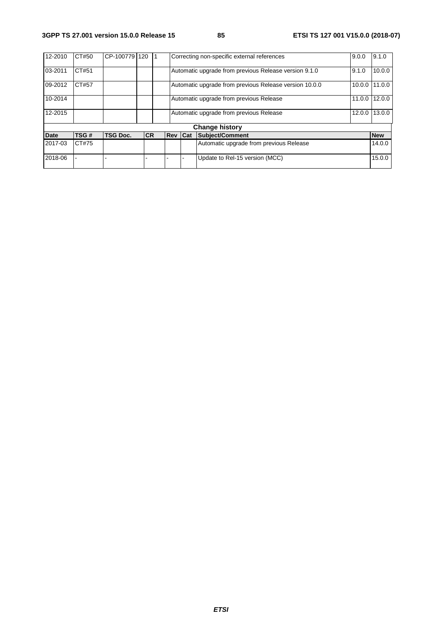| 12-2010               | CT#50 | CP-100779       | 120        |  |         |  | Correcting non-specific external references            | 9.0.0  | 9.1.0      |
|-----------------------|-------|-----------------|------------|--|---------|--|--------------------------------------------------------|--------|------------|
| 03-2011               | CT#51 |                 |            |  |         |  | Automatic upgrade from previous Release version 9.1.0  | 9.1.0  | 10.0.0     |
| 09-2012               | CT#57 |                 |            |  |         |  | Automatic upgrade from previous Release version 10.0.0 | 10.0.0 | 11.0.0     |
| 10-2014               |       |                 |            |  |         |  | Automatic upgrade from previous Release                | 11.0.0 | 12.0.0     |
| 12-2015               |       |                 |            |  |         |  | Automatic upgrade from previous Release                | 12.0.0 | 13.0.0     |
| <b>Change history</b> |       |                 |            |  |         |  |                                                        |        |            |
| <b>Date</b>           | TSG#  | <b>TSG Doc.</b> | <b>ICR</b> |  | Rev Cat |  | Subject/Comment                                        |        | <b>New</b> |
| 2017-03               | CT#75 |                 |            |  |         |  | Automatic upgrade from previous Release                |        | 14.0.0     |
| 2018-06               |       |                 |            |  |         |  | Update to Rel-15 version (MCC)                         |        | 15.0.0     |